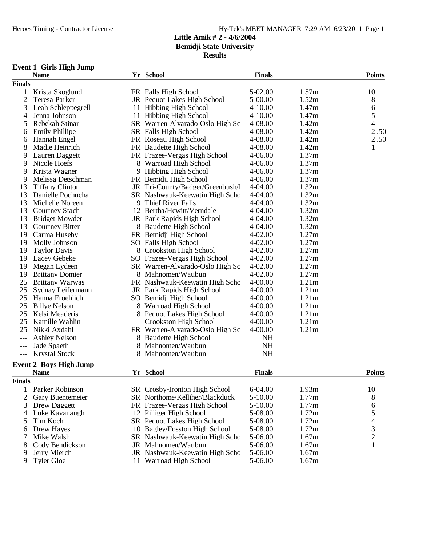**Results**

# **Event 1 Girls High Jump**

|                | <b>Name</b>                   |   | Yr School                       | <b>Finals</b> |                   | <b>Points</b>  |
|----------------|-------------------------------|---|---------------------------------|---------------|-------------------|----------------|
| <b>Finals</b>  |                               |   |                                 |               |                   |                |
| 1              | Krista Skoglund               |   | FR Falls High School            | 5-02.00       | 1.57m             | 10             |
| $\overline{2}$ | Teresa Parker                 |   | JR Pequot Lakes High School     | 5-00.00       | 1.52m             | 8              |
| 3              | Leah Schleppegrell            |   | 11 Hibbing High School          | $4 - 10.00$   | 1.47m             | 6              |
| 4              | Jenna Johnson                 |   | 11 Hibbing High School          | $4 - 10.00$   | 1.47m             | 5              |
| 5              | Rebekah Stinar                |   | SR Warren-Alvarado-Oslo High Sc | 4-08.00       | 1.42m             | 4              |
| 6              | <b>Emily Phillipe</b>         |   | SR Falls High School            | 4-08.00       | 1.42m             | 2.50           |
| 6              | Hannah Engel                  |   | FR Roseau High School           | 4-08.00       | 1.42m             | 2.50           |
| 8              | Madie Heinrich                |   | FR Baudette High School         | 4-08.00       | 1.42m             | 1              |
| 9              | Lauren Daggett                |   | FR Frazee-Vergas High School    | $4 - 06.00$   | 1.37m             |                |
| 9              | Nicole Hoefs                  |   | 8 Warroad High School           | 4-06.00       | 1.37m             |                |
| 9              | Krista Wagner                 |   | 9 Hibbing High School           | 4-06.00       | 1.37m             |                |
| 9              | Melissa Detschman             |   | FR Bemidji High School          | 4-06.00       | 1.37m             |                |
| 13             | <b>Tiffany Clinton</b>        |   | JR Tri-County/Badger/Greenbush/ | $4 - 04.00$   | 1.32m             |                |
| 13             | Danielle Pochucha             |   | SR Nashwauk-Keewatin High Scho  | 4-04.00       | 1.32m             |                |
| 13             | Michelle Noreen               |   | 9 Thief River Falls             | 4-04.00       | 1.32m             |                |
| 13             | <b>Courtney Stach</b>         |   | 12 Bertha/Hewitt/Verndale       | 4-04.00       | 1.32m             |                |
| 13             | <b>Bridget Mowder</b>         |   | JR Park Rapids High School      | $4 - 04.00$   | 1.32m             |                |
| 13             | <b>Courtney Bitter</b>        |   | 8 Baudette High School          | $4 - 04.00$   | 1.32m             |                |
| 19             | Carma Huseby                  |   | FR Bemidji High School          | $4 - 02.00$   | 1.27m             |                |
| 19             | Molly Johnson                 |   | SO Falls High School            | $4 - 02.00$   | 1.27m             |                |
| 19             | <b>Taylor Davis</b>           |   | 8 Crookston High School         | 4-02.00       | 1.27m             |                |
| 19             | <b>Lacey Gebeke</b>           |   | SO Frazee-Vergas High School    | 4-02.00       | 1.27m             |                |
| 19             | Megan Lydeen                  |   | SR Warren-Alvarado-Oslo High Sc | $4 - 02.00$   | 1.27m             |                |
| 19             | <b>Brittany Domier</b>        |   | 8 Mahnomen/Waubun               | $4 - 02.00$   | 1.27m             |                |
| 25             | <b>Brittany Warwas</b>        |   | FR Nashwauk-Keewatin High Scho  | 4-00.00       | 1.21m             |                |
| 25             | Sydnay Leifermann             |   | JR Park Rapids High School      | $4 - 00.00$   | 1.21m             |                |
| 25             | Hanna Froehlich               |   | SO Bemidji High School          | $4 - 00.00$   | 1.21m             |                |
| 25             | <b>Billye Nelson</b>          |   | 8 Warroad High School           | 4-00.00       | 1.21m             |                |
| 25             | Kelsi Meaderis                |   | 8 Pequot Lakes High School      | $4 - 00.00$   | 1.21 <sub>m</sub> |                |
| 25             | Kamille Wahlin                |   | Crookston High School           | 4-00.00       | 1.21m             |                |
| 25             | Nikki Axdahl                  |   | FR Warren-Alvarado-Oslo High Sc | 4-00.00       | 1.21m             |                |
| $---$          | <b>Ashley Nelson</b>          |   | 8 Baudette High School          | NH            |                   |                |
| $---$          | Jade Spaeth                   | 8 | Mahnomen/Waubun                 | <b>NH</b>     |                   |                |
| ---            | <b>Krystal Stock</b>          |   | Mahnomen/Waubun                 | <b>NH</b>     |                   |                |
|                | <b>Event 2 Boys High Jump</b> |   |                                 |               |                   |                |
|                | <b>Name</b>                   |   | Yr School                       | <b>Finals</b> |                   | <b>Points</b>  |
| <b>Finals</b>  |                               |   |                                 |               |                   |                |
| 1              | Parker Robinson               |   | SR Crosby-Ironton High School   | $6-04.00$     | 1.93m             | 10             |
| $\overline{2}$ | Gary Buentemeier              |   | SR Northome/Kelliher/Blackduck  | 5-10.00       | 1.77m             | 8              |
| 3              | Drew Daggett                  |   | FR Frazee-Vergas High School    | $5 - 10.00$   | 1.77m             | 6              |
| 4              | Luke Kavanaugh                |   | 12 Pilliger High School         | 5-08.00       | 1.72m             | 5              |
| 5              | Tim Koch                      |   | SR Pequot Lakes High School     | 5-08.00       | 1.72m             | 4              |
| 6              | Drew Hayes                    |   | 10 Bagley/Fosston High School   | 5-08.00       | 1.72m             | 3              |
| 7              | Mike Walsh                    |   | SR Nashwauk-Keewatin High Schc  | 5-06.00       | 1.67m             | $\overline{c}$ |
| 8              | Cody Bendickson               |   | JR Mahnomen/Waubun              | 5-06.00       | 1.67m             | 1              |

9 Jerry Mierch **JR** Nashwauk-Keewatin High School 5-06.00 1.67m 9 Jerry Mierch JR Nashwauk-Keewatin High School 5-06.00 1.67m<br>
9 Tyler Gloe 11 Warroad High School 5-06.00 1.67m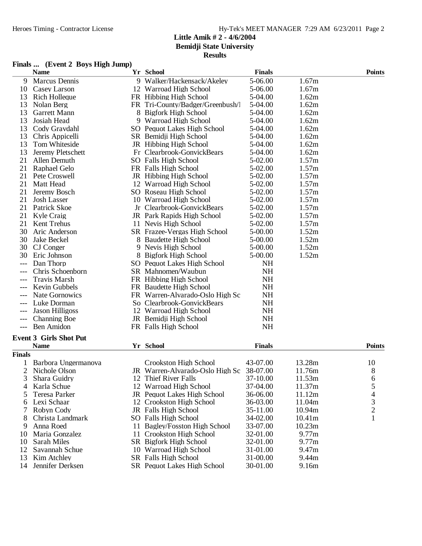**Results**

# **Finals ... (Event 2 Boys High Jump)**

|               | <b>Name</b>                   |    | Yr School                                | <b>Finals</b> |        | <b>Points</b>            |
|---------------|-------------------------------|----|------------------------------------------|---------------|--------|--------------------------|
| 9             | Marcus Dennis                 |    | 9 Walker/Hackensack/Akeley               | 5-06.00       | 1.67m  |                          |
| 10            | Casey Larson                  |    | 12 Warroad High School                   | 5-06.00       | 1.67m  |                          |
| 13            | <b>Rich Holleque</b>          |    | FR Hibbing High School                   | 5-04.00       | 1.62m  |                          |
| 13            | Nolan Berg                    |    | FR Tri-County/Badger/Greenbush/          | 5-04.00       | 1.62m  |                          |
| 13            | Garrett Mann                  |    | 8 Bigfork High School                    | 5-04.00       | 1.62m  |                          |
| 13            | Josiah Head                   |    | 9 Warroad High School                    | 5-04.00       | 1.62m  |                          |
| 13            | Cody Gravdahl                 |    | SO Pequot Lakes High School              | 5-04.00       | 1.62m  |                          |
| 13            | Chris Appicelli               |    | SR Bemidji High School                   | 5-04.00       | 1.62m  |                          |
| 13            | Tom Whiteside                 |    | JR Hibbing High School                   | 5-04.00       | 1.62m  |                          |
| 13            | Jeremy Pletschett             |    | Fr Clearbrook-GonvickBears               | 5-04.00       | 1.62m  |                          |
| 21            | Allen Demuth                  |    | SO Falls High School                     | 5-02.00       | 1.57m  |                          |
| 21            | Raphael Gelo                  |    | FR Falls High School                     | 5-02.00       | 1.57m  |                          |
| 21            | Pete Croswell                 |    | JR Hibbing High School                   | 5-02.00       | 1.57m  |                          |
| 21            | Matt Head                     |    | 12 Warroad High School                   | 5-02.00       | 1.57m  |                          |
| 21            | Jeremy Bosch                  |    | SO Roseau High School                    | 5-02.00       | 1.57m  |                          |
| 21            | <b>Josh Lasser</b>            |    | 10 Warroad High School                   | 5-02.00       | 1.57m  |                          |
| 21            | Patrick Skoe                  |    | Jr Clearbrook-GonvickBears               | 5-02.00       | 1.57m  |                          |
| 21            | Kyle Craig                    |    | JR Park Rapids High School               | 5-02.00       | 1.57m  |                          |
| 21            | Kent Trehus                   |    | 11 Nevis High School                     | 5-02.00       | 1.57m  |                          |
| 30            | Aric Anderson                 |    | SR Frazee-Vergas High School             | 5-00.00       | 1.52m  |                          |
| 30            | Jake Beckel                   |    | 8 Baudette High School                   | $5 - 00.00$   | 1.52m  |                          |
| 30            | CJ Conger                     |    | 9 Nevis High School                      | 5-00.00       | 1.52m  |                          |
| 30            | Eric Johnson                  |    | 8 Bigfork High School                    | 5-00.00       | 1.52m  |                          |
| $---$         | Dan Thorp                     |    | SO Pequot Lakes High School              | NH            |        |                          |
|               | Chris Schoenborn              |    | SR Mahnomen/Waubun                       | <b>NH</b>     |        |                          |
|               | <b>Travis Marsh</b>           |    | FR Hibbing High School                   | <b>NH</b>     |        |                          |
|               | Kevin Gubbels                 |    | FR Baudette High School                  | <b>NH</b>     |        |                          |
|               | <b>Nate Gornowics</b>         |    | FR Warren-Alvarado-Oslo High Sc          | NH            |        |                          |
|               | Luke Dorman                   |    | So Clearbrook-GonvickBears               | NH            |        |                          |
|               | Jason Hilligoss               |    | 12 Warroad High School                   | NH            |        |                          |
|               | <b>Channing Boe</b>           |    | JR Bemidji High School                   | NH            |        |                          |
| $---$         | <b>Ben Amidon</b>             |    | FR Falls High School                     | <b>NH</b>     |        |                          |
|               |                               |    |                                          |               |        |                          |
|               | <b>Event 3 Girls Shot Put</b> |    |                                          |               |        |                          |
|               | <b>Name</b>                   |    | Yr School                                | <b>Finals</b> |        | <b>Points</b>            |
| <b>Finals</b> |                               |    |                                          |               |        |                          |
|               | Barbora Ungermanova           |    | Crookston High School                    | 43-07.00      | 13.28m | 10                       |
| 2             | Nichole Olson                 |    | JR Warren-Alvarado-Oslo High Sc 38-07.00 |               | 11.76m | 8                        |
| C             | Shara Guidry                  |    | 12 Thief River Falls                     | 37-10.00      | 11.53m | 6                        |
| 4             | Karla Schue                   |    | 12 Warroad High School                   | 37-04.00      | 11.37m | 5                        |
| 5             | Teresa Parker                 |    | JR Pequot Lakes High School              | 36-06.00      | 11.12m | $\overline{\mathcal{A}}$ |
| 6             | Lexi Schaar                   |    | 12 Crookston High School                 | 36-03.00      | 11.04m | 3                        |
| 7             | Robyn Cody                    |    | JR Falls High School                     | 35-11.00      | 10.94m | $\overline{c}$           |
| 8             | Christa Landmark              |    | SO Falls High School                     | 34-02.00      | 10.41m | $\mathbf{1}$             |
| 9             | Anna Roed                     |    | 11 Bagley/Fosston High School            | 33-07.00      | 10.23m |                          |
| 10            | Maria Gonzalez                | 11 | Crookston High School                    | 32-01.00      | 9.77m  |                          |
| 10            | Sarah Miles                   |    | SR Bigfork High School                   | 32-01.00      | 9.77m  |                          |
| 12            | Savannah Schue                |    | 10 Warroad High School                   | 31-01.00      | 9.47m  |                          |
| 13            | Kim Atchley                   |    | <b>SR</b> Falls High School              | 31-00.00      | 9.44m  |                          |
| 14            | Jennifer Derksen              |    | SR Pequot Lakes High School              | 30-01.00      | 9.16m  |                          |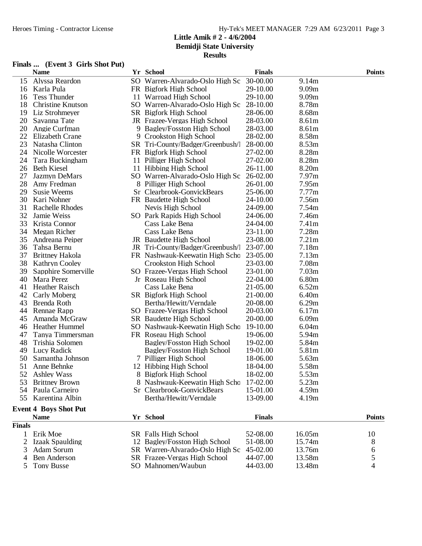|        | <b>Name</b>                  | Yr School                         | <b>Finals</b> |                   | <b>Points</b> |
|--------|------------------------------|-----------------------------------|---------------|-------------------|---------------|
| 15     | Alyssa Reardon               | SO Warren-Alvarado-Oslo High Sc   | 30-00.00      | 9.14m             |               |
| 16     | Karla Pula                   | FR Bigfork High School            | 29-10.00      | 9.09 <sub>m</sub> |               |
| 16     | <b>Tess Thunder</b>          | 11 Warroad High School            | 29-10.00      | 9.09 <sub>m</sub> |               |
| 18     | <b>Christine Knutson</b>     | SO Warren-Alvarado-Oslo High Sc   | 28-10.00      | 8.78m             |               |
| 19     | Liz Strohmeyer               | SR Bigfork High School            | 28-06.00      | 8.68m             |               |
| 20     | Savanna Tate                 | JR Frazee-Vergas High School      | 28-03.00      | 8.61m             |               |
| 20     | Angie Curfman                | 9 Bagley/Fosston High School      | 28-03.00      | 8.61m             |               |
| 22     | <b>Elizabeth Crane</b>       | 9 Crookston High School           | 28-02.00      | 8.58m             |               |
| 23     | Natasha Clinton              | SR Tri-County/Badger/Greenbush/   | 28-00.00      | 8.53m             |               |
| 24     | Nicolle Worcester            | FR Bigfork High School            | 27-02.00      | 8.28m             |               |
| 24     | Tara Buckingham              | 11 Pilliger High School           | 27-02.00      | 8.28m             |               |
| 26     | <b>Beth Kiesel</b>           | 11 Hibbing High School            | 26-11.00      | 8.20m             |               |
| 27     | Jazmyn DeMars                | SO Warren-Alvarado-Oslo High Sc   | 26-02.00      | 7.97 <sub>m</sub> |               |
| 28     | Amy Fredman                  | 8 Pilliger High School            | 26-01.00      | 7.95m             |               |
| 29     | <b>Susie Weems</b>           | Sr Clearbrook-GonvickBears        | 25-06.00      | 7.77m             |               |
| 30     | Kari Nohner                  | FR Baudette High School           | 24-10.00      | 7.56m             |               |
| 31     | <b>Rachelle Rhodes</b>       | Nevis High School                 | 24-09.00      | 7.54m             |               |
| 32     | Jamie Weiss                  | SO Park Rapids High School        | 24-06.00      | 7.46m             |               |
| 33     | Krista Connor                | Cass Lake Bena                    | 24-04.00      | 7.41m             |               |
| 34     | Megan Richer                 | Cass Lake Bena                    | 23-11.00      | 7.28m             |               |
| 35     | Andreana Peiper              | JR Baudette High School           | 23-08.00      | 7.21m             |               |
| 36     | Tahsa Bernu                  | JR Tri-County/Badger/Greenbush/   | 23-07.00      | 7.18m             |               |
| 37     | <b>Brittney Hakola</b>       | FR Nashwauk-Keewatin High Scho    | 23-05.00      | 7.13 <sub>m</sub> |               |
| 38     | <b>Kathryn Cooley</b>        | Crookston High School             | 23-03.00      | 7.08m             |               |
| 39     | Sapphire Somerville          | SO Frazee-Vergas High School      | 23-01.00      | 7.03 <sub>m</sub> |               |
| 40     | Mara Perez                   | Jr Roseau High School             | 22-04.00      | 6.80m             |               |
| 41     | Heather Raisch               | Cass Lake Bena                    | 21-05.00      | 6.52m             |               |
| 42     | Carly Moberg                 | SR Bigfork High School            | 21-00.00      | 6.40m             |               |
| 43     | Brenda Roth                  | Bertha/Hewitt/Verndale            | 20-08.00      | 6.29m             |               |
| 44     | Rennae Rapp                  | SO Frazee-Vergas High School      | 20-03.00      | 6.17m             |               |
| 45     | Amanda McGraw                | SR Baudette High School           | 20-00.00      | 6.09 <sub>m</sub> |               |
| 46     | <b>Heather Hummel</b>        | SO Nashwauk-Keewatin High Schc    | 19-10.00      | 6.04m             |               |
| 47     | Tanya Timmersman             | FR Roseau High School             | 19-06.00      | 5.94m             |               |
| 48     | Trishia Solomen              | Bagley/Fosston High School        | 19-02.00      | 5.84m             |               |
| 49     | Lucy Radick                  | <b>Bagley/Fosston High School</b> | 19-01.00      | 5.81m             |               |
| 50     | Samantha Johnson             | 7 Pilliger High School            | 18-06.00      | 5.63m             |               |
| 51     | Anne Behnke                  | 12 Hibbing High School            | 18-04.00      | 5.58m             |               |
| 52     | <b>Ashley Wass</b>           | 8 Bigfork High School             | 18-02.00      | 5.53m             |               |
| 53     | <b>Brittney Brown</b>        | 8 Nashwauk-Keewatin High Scho     | 17-02.00      | 5.23m             |               |
| 54     | Paula Carneiro               | Sr Clearbrook-GonvickBears        | 15-01.00      | 4.59m             |               |
| 55     | Karentina Albin              | Bertha/Hewitt/Verndale            | 13-09.00      | 4.19m             |               |
|        | <b>Event 4 Boys Shot Put</b> |                                   |               |                   |               |
|        | <b>Name</b>                  | Yr School                         | <b>Finals</b> |                   | <b>Points</b> |
| Finals |                              |                                   |               |                   |               |
| 1      | Erik Moe                     | SR Falls High School              | 52-08.00      | 16.05m            | 10            |
| 2      | <b>Izaak Spaulding</b>       | 12 Bagley/Fosston High School     | 51-08.00      | 15.74m            | 8             |
| 3      | Adam Sorum                   | SR Warren-Alvarado-Oslo High Sc   | 45-02.00      | 13.76m            | 6             |
| 4      | <b>Ben Anderson</b>          | SR Frazee-Vergas High School      | 44-07.00      | 13.58m            | 5             |
| 5      | <b>Tony Busse</b>            | SO Mahnomen/Waubun                | 44-03.00      | 13.48m            | 4             |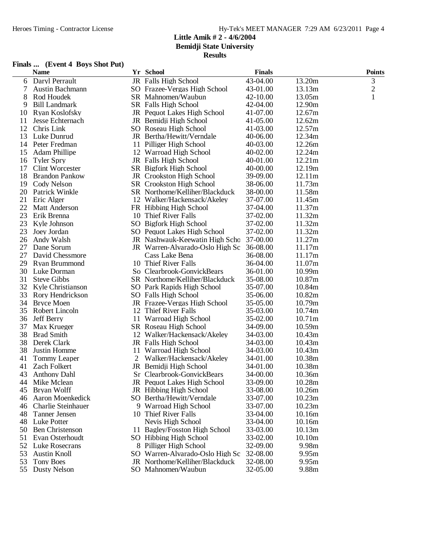# **Finals ... (Event 4 Boys Shot Put)**

|    | <b>Name</b>               |   | Yr School                       | <b>Finals</b> |        | <b>Points</b>  |
|----|---------------------------|---|---------------------------------|---------------|--------|----------------|
| 6  | Daryl Perrault            |   | JR Falls High School            | 43-04.00      | 13.20m | 3              |
| 7  | <b>Austin Bachmann</b>    |   | SO Frazee-Vergas High School    | 43-01.00      | 13.13m | $\overline{c}$ |
| 8  | Rod Houdek                |   | SR Mahnomen/Waubun              | 42-10.00      | 13.05m | $\mathbf{1}$   |
| 9  | <b>Bill Landmark</b>      |   | SR Falls High School            | 42-04.00      | 12.90m |                |
| 10 | Ryan Koslofsky            |   | JR Pequot Lakes High School     | 41-07.00      | 12.67m |                |
| 11 | Jesse Echternach          |   | JR Bemidji High School          | 41-05.00      | 12.62m |                |
| 12 | Chris Link                |   | SO Roseau High School           | 41-03.00      | 12.57m |                |
| 13 | Luke Dunrud               |   | JR Bertha/Hewitt/Verndale       | 40-06.00      | 12.34m |                |
| 14 | Peter Fredman             |   | 11 Pilliger High School         | 40-03.00      | 12.26m |                |
| 15 | <b>Adam Phillipe</b>      |   | 12 Warroad High School          | 40-02.00      | 12.24m |                |
| 16 | <b>Tyler Spry</b>         |   | JR Falls High School            | 40-01.00      | 12.21m |                |
| 17 | <b>Clint Worcester</b>    |   | SR Bigfork High School          | 40-00.00      | 12.19m |                |
| 18 | <b>Brandon Pankow</b>     |   | JR Crookston High School        | 39-09.00      | 12.11m |                |
| 19 | Cody Nelson               |   | SR Crookston High School        | 38-06.00      | 11.73m |                |
| 20 | <b>Patrick Winkle</b>     |   | SR Northome/Kelliher/Blackduck  | 38-00.00      | 11.58m |                |
| 21 | Eric Alger                |   | 12 Walker/Hackensack/Akeley     | 37-07.00      | 11.45m |                |
| 22 | Matt Anderson             |   | FR Hibbing High School          | 37-04.00      | 11.37m |                |
| 23 | Erik Brenna               |   | 10 Thief River Falls            | 37-02.00      | 11.32m |                |
| 23 | Kyle Johnson              |   | SO Bigfork High School          | 37-02.00      | 11.32m |                |
| 23 | Joey Jordan               |   | SO Pequot Lakes High School     | 37-02.00      | 11.32m |                |
| 26 | Andy Walsh                |   | JR Nashwauk-Keewatin High Schc  | 37-00.00      | 11.27m |                |
| 27 | Dane Sorum                |   | JR Warren-Alvarado-Oslo High Sc | 36-08.00      | 11.17m |                |
| 27 | David Chessmore           |   | Cass Lake Bena                  | 36-08.00      | 11.17m |                |
| 29 | Ryan Brummond             |   | 10 Thief River Falls            | 36-04.00      | 11.07m |                |
| 30 | Luke Dorman               |   | So Clearbrook-GonvickBears      | 36-01.00      | 10.99m |                |
| 31 | <b>Steve Gibbs</b>        |   | SR Northome/Kelliher/Blackduck  | 35-08.00      | 10.87m |                |
| 32 | Kyle Christianson         |   | SO Park Rapids High School      | 35-07.00      | 10.84m |                |
| 33 | Rory Hendrickson          |   | SO Falls High School            | 35-06.00      | 10.82m |                |
| 34 | <b>Bryce Moen</b>         |   | JR Frazee-Vergas High School    | 35-05.00      | 10.79m |                |
| 35 | Robert Lincoln            |   | 12 Thief River Falls            | 35-03.00      | 10.74m |                |
| 36 | <b>Jeff Berry</b>         |   | 11 Warroad High School          | 35-02.00      | 10.71m |                |
| 37 | Max Krueger               |   | SR Roseau High School           | 34-09.00      | 10.59m |                |
| 38 | <b>Brad Smith</b>         |   | 12 Walker/Hackensack/Akeley     | 34-03.00      | 10.43m |                |
| 38 | Derek Clark               |   | JR Falls High School            | 34-03.00      | 10.43m |                |
| 38 | Justin Homme              |   | 11 Warroad High School          | 34-03.00      | 10.43m |                |
| 41 | <b>Tommy Leaper</b>       | 2 | Walker/Hackensack/Akeley        | 34-01.00      | 10.38m |                |
| 41 | Zach Folkert              |   | JR Bemidji High School          | 34-01.00      | 10.38m |                |
| 43 | <b>Anthony Dahl</b>       |   | Sr Clearbrook-GonvickBears      | 34-00.00      | 10.36m |                |
| 44 | Mike Mclean               |   | JR Pequot Lakes High School     | 33-09.00      | 10.28m |                |
| 45 | Bryan Wolff               |   | JR Hibbing High School          | 33-08.00      | 10.26m |                |
| 46 | Aaron Moenkedick          |   | SO Bertha/Hewitt/Verndale       | 33-07.00      | 10.23m |                |
| 46 | <b>Charlie Steinhauer</b> |   | 9 Warroad High School           | 33-07.00      | 10.23m |                |
| 48 | Tanner Jensen             |   | 10 Thief River Falls            | 33-04.00      | 10.16m |                |
| 48 | Luke Potter               |   | Nevis High School               | 33-04.00      | 10.16m |                |
| 50 | <b>Ben Christenson</b>    |   | 11 Bagley/Fosston High School   | 33-03.00      | 10.13m |                |
| 51 | Evan Osterhoudt           |   | SO Hibbing High School          | 33-02.00      | 10.10m |                |
| 52 | Luke Rosecrans            |   | 8 Pilliger High School          | 32-09.00      | 9.98m  |                |
| 53 | <b>Austin Knoll</b>       |   | SO Warren-Alvarado-Oslo High Sc | 32-08.00      | 9.95m  |                |
| 53 | <b>Tony Boes</b>          |   | JR Northome/Kelliher/Blackduck  | 32-08.00      | 9.95m  |                |
| 55 | Dusty Nelson              |   | SO Mahnomen/Waubun              | 32-05.00      | 9.88m  |                |
|    |                           |   |                                 |               |        |                |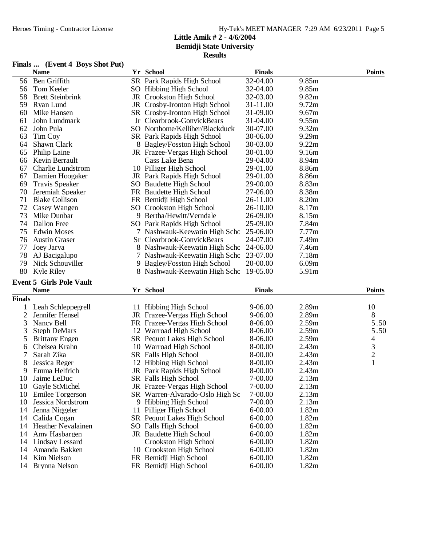# **Finals ... (Event 4 Boys Shot Put)**

|                | <b>Name</b>                     | Yr School                          | <b>Finals</b> |       | <b>Points</b>  |
|----------------|---------------------------------|------------------------------------|---------------|-------|----------------|
| 56             | Ben Griffith                    | SR Park Rapids High School         | 32-04.00      | 9.85m |                |
| 56             | Tom Keeler                      | SO Hibbing High School             | 32-04.00      | 9.85m |                |
| 58             | <b>Brett Steinbrink</b>         | <b>JR</b> Crookston High School    | 32-03.00      | 9.82m |                |
| 59             | Ryan Lund                       | JR Crosby-Ironton High School      | 31-11.00      | 9.72m |                |
| 60             | Mike Hansen                     | SR Crosby-Ironton High School      | 31-09.00      | 9.67m |                |
| 61             | John Lundmark                   | Jr Clearbrook-GonvickBears         | 31-04.00      | 9.55m |                |
| 62             | John Pula                       | SO Northome/Kelliher/Blackduck     | 30-07.00      | 9.32m |                |
| 63             | Tim Coy                         | SR Park Rapids High School         | 30-06.00      | 9.29m |                |
| 64             | Shawn Clark                     | 8 Bagley/Fosston High School       | 30-03.00      | 9.22m |                |
| 65             | Philip Laine                    | JR Frazee-Vergas High School       | 30-01.00      | 9.16m |                |
| 66             | Kevin Berrault                  | Cass Lake Bena                     | 29-04.00      | 8.94m |                |
| 67             | <b>Charlie Lundstrom</b>        | 10 Pilliger High School            | 29-01.00      | 8.86m |                |
| 67             | Damien Hoogaker                 | JR Park Rapids High School         | 29-01.00      | 8.86m |                |
| 69             | <b>Travis Speaker</b>           | SO Baudette High School            | 29-00.00      | 8.83m |                |
| 70             | Jeremiah Speaker                | FR Baudette High School            | 27-06.00      | 8.38m |                |
| 71             | <b>Blake Collison</b>           | FR Bemidji High School             | 26-11.00      | 8.20m |                |
| 72             | Casey Wangen                    | SO Crookston High School           | 26-10.00      | 8.17m |                |
| 73             | Mike Dunbar                     | 9 Bertha/Hewitt/Verndale           | 26-09.00      | 8.15m |                |
| 74             | Dallon Free                     | SO Park Rapids High School         | 25-09.00      | 7.84m |                |
| 75             | <b>Edwin Moses</b>              | 7 Nashwauk-Keewatin High Scho      | 25-06.00      | 7.77m |                |
| 76             | <b>Austin Graser</b>            | Sr Clearbrook-GonvickBears         | 24-07.00      | 7.49m |                |
| 77             | Joey Jarva                      | 8 Nashwauk-Keewatin High Scho      | 24-06.00      | 7.46m |                |
| 78             | AJ Bacigalupo                   | 7 Nashwauk-Keewatin High Schc      | 23-07.00      | 7.18m |                |
| 79             | Nick Schouviller                | 9 Bagley/Fosston High School       | 20-00.00      | 6.09m |                |
| 80             | Kyle Riley                      | 8 Nashwauk-Keewatin High Scho      | 19-05.00      | 5.91m |                |
|                | <b>Event 5 Girls Pole Vault</b> |                                    |               |       |                |
|                | <b>Name</b>                     | Yr School                          | <b>Finals</b> |       | <b>Points</b>  |
| <b>Finals</b>  |                                 |                                    |               |       |                |
|                | Leah Schleppegrell              | 11 Hibbing High School             | 9-06.00       | 2.89m | 10             |
| $\overline{c}$ | Jennifer Hensel                 | JR Frazee-Vergas High School       | 9-06.00       | 2.89m | 8              |
| 3              | Nancy Bell                      | FR Frazee-Vergas High School       | 8-06.00       | 2.59m | 5.50           |
| 3              | <b>Steph DeMars</b>             | 12 Warroad High School             | 8-06.00       | 2.59m | 5.50           |
| 5              | <b>Brittany Engen</b>           | SR Pequot Lakes High School        | 8-06.00       | 2.59m | 4              |
| 6              | Chelsea Krahn                   | 10 Warroad High School             | 8-00.00       | 2.43m | 3              |
| 7              | Sarah Zika                      | <b>SR</b> Falls High School        | 8-00.00       | 2.43m | $\overline{2}$ |
| 8              | Jessica Reger                   | 12 Hibbing High School             | 8-00.00       | 2.43m | 1              |
| 9              | Emma Helfrich                   | JR Park Rapids High School         | 8-00.00       | 2.43m |                |
| 10             | Jaime LeDuc                     | SR Falls High School               | 7-00.00       | 2.13m |                |
| 10             | Gayle StMichel                  | JR Frazee-Vergas High School       | 7-00.00       | 2.13m |                |
| 10             | <b>Emilee Torgerson</b>         | SR Warren-Alvarado-Oslo High Sc    | 7-00.00       | 2.13m |                |
| 10             | Jessica Nordstrom               | 9 Hibbing High School              | 7-00.00       | 2.13m |                |
| 14             | Jenna Niggeler                  | 11 Pilliger High School            | $6 - 00.00$   | 1.82m |                |
| 14             | Calida Cogan                    | <b>SR</b> Pequot Lakes High School | $6 - 00.00$   | 1.82m |                |
| 14             | <b>Heather Nevalainen</b>       | SO Falls High School               | $6 - 00.00$   | 1.82m |                |
| 14             | Amy Hasbargen                   | JR Baudette High School            | $6 - 00.00$   | 1.82m |                |
| 14             | Lindsay Lessard                 | Crookston High School              | $6 - 00.00$   | 1.82m |                |
| 14             | Amanda Bakken                   | 10 Crookston High School           | $6 - 00.00$   | 1.82m |                |
| 14             | Kim Nielson                     | FR Bemidji High School             | $6 - 00.00$   | 1.82m |                |
| 14             | Brynna Nelson                   | FR Bemidji High School             | $6 - 00.00$   | 1.82m |                |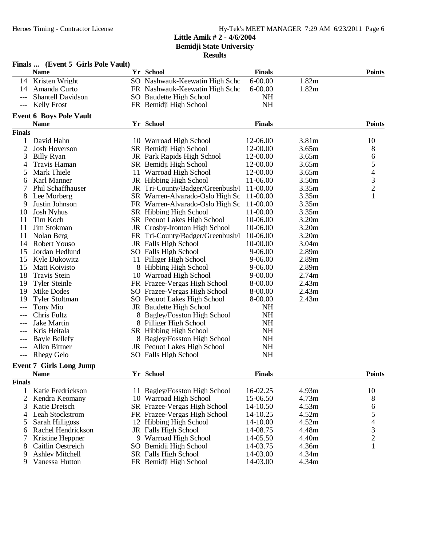|                | Finals  (Event 5 Girls Pole Vault) |                                    |               |       |                |
|----------------|------------------------------------|------------------------------------|---------------|-------|----------------|
|                | <b>Name</b>                        | Yr School                          | <b>Finals</b> |       | <b>Points</b>  |
|                | 14 Kristen Wright                  | SO Nashwauk-Keewatin High Scho     | $6 - 00.00$   | 1.82m |                |
| 14             | Amanda Curto                       | FR Nashwauk-Keewatin High Schc     | $6 - 00.00$   | 1.82m |                |
| $---$          | <b>Shantell Davidson</b>           | SO Baudette High School            | <b>NH</b>     |       |                |
| ---            | <b>Kelly Frost</b>                 | FR Bemidji High School             | <b>NH</b>     |       |                |
|                | <b>Event 6 Boys Pole Vault</b>     |                                    |               |       |                |
|                | <b>Name</b>                        | Yr School                          | <b>Finals</b> |       | <b>Points</b>  |
| <b>Finals</b>  |                                    |                                    |               |       |                |
|                | David Hahn                         | 10 Warroad High School             | 12-06.00      | 3.81m | 10             |
| $\overline{2}$ | <b>Josh Hoverson</b>               | SR Bemidji High School             | 12-00.00      | 3.65m | 8              |
| 3              | <b>Billy Ryan</b>                  | JR Park Rapids High School         | 12-00.00      | 3.65m | 6              |
| 4              | Travis Haman                       | SR Bemidji High School             | 12-00.00      | 3.65m |                |
| 5              | Mark Thiele                        | 11 Warroad High School             | 12-00.00      | 3.65m | 54321          |
| 6              | Karl Manner                        | JR Hibbing High School             | 11-06.00      | 3.50m |                |
|                | <b>Phil Schaffhauser</b>           | JR Tri-County/Badger/Greenbush/    | 11-00.00      | 3.35m |                |
| 8              | Lee Morberg                        | SR Warren-Alvarado-Oslo High Sc    | 11-00.00      | 3.35m |                |
| 9              | Justin Johnson                     | FR Warren-Alvarado-Oslo High Sc    | 11-00.00      | 3.35m |                |
| 10             | <b>Josh Nyhus</b>                  | SR Hibbing High School             | 11-00.00      | 3.35m |                |
| 11             | Tim Koch                           | <b>SR</b> Pequot Lakes High School | 10-06.00      | 3.20m |                |
| 11             | Jim Stokman                        | JR Crosby-Ironton High School      | 10-06.00      | 3.20m |                |
| 11             | Nolan Berg                         | FR Tri-County/Badger/Greenbush/    | 10-06.00      | 3.20m |                |
| 14             | Robert Youso                       | JR Falls High School               | 10-00.00      | 3.04m |                |
| 15             | Jordan Hedlund                     | SO Falls High School               | 9-06.00       | 2.89m |                |
| 15             | Kyle Dukowitz                      | 11 Pilliger High School            | 9-06.00       | 2.89m |                |
| 15             | Matt Koivisto                      | 8 Hibbing High School              | $9 - 06.00$   | 2.89m |                |
| 18             | <b>Travis Stein</b>                | 10 Warroad High School             | $9 - 00.00$   | 2.74m |                |
| 19             | <b>Tyler Steinle</b>               | FR Frazee-Vergas High School       | 8-00.00       | 2.43m |                |
| 19             | Mike Dodes                         | SO Frazee-Vergas High School       | 8-00.00       | 2.43m |                |
| 19             | <b>Tyler Stoltman</b>              | SO Pequot Lakes High School        | 8-00.00       | 2.43m |                |
| ---            | Tony Mio                           | JR Baudette High School            | NH            |       |                |
| ---            | Chris Fultz                        | Bagley/Fosston High School         | <b>NH</b>     |       |                |
| ---            | <b>Jake Martin</b>                 | 8 Pilliger High School             | <b>NH</b>     |       |                |
|                | Kris Heitala                       | SR Hibbing High School             | NH            |       |                |
| $---$          | <b>Bayle Bellefy</b>               | 8 Bagley/Fosston High School       | NH            |       |                |
| ---            | Allen Bittner                      | JR Pequot Lakes High School        | NH            |       |                |
| ---            | <b>Rhegy Gelo</b>                  | SO Falls High School               | <b>NH</b>     |       |                |
|                | <b>Event 7 Girls Long Jump</b>     |                                    |               |       |                |
|                | <b>Name</b>                        | Yr School                          | <b>Finals</b> |       | <b>Points</b>  |
| <b>Finals</b>  |                                    |                                    |               |       |                |
| 1              | Katie Fredrickson                  | 11 Bagley/Fosston High School      | 16-02.25      | 4.93m | 10             |
| 2              | Kendra Keomany                     | 10 Warroad High School             | 15-06.50      | 4.73m | 8              |
| 3              | Katie Dretsch                      | SR Frazee-Vergas High School       | 14-10.50      | 4.53m | 6              |
| 4              | Leah Stockstrom                    | FR Frazee-Vergas High School       | 14-10.25      | 4.52m | $\mathfrak s$  |
| 5              | Sarah Hilligoss                    | 12 Hibbing High School             | 14-10.00      | 4.52m | $\overline{4}$ |
| 6              | Rachel Hendrickson                 | JR Falls High School               | 14-08.75      | 4.48m |                |
| 7              | Kristine Heppner                   | 9 Warroad High School              | 14-05.50      | 4.40m | $\frac{3}{2}$  |
| 8              | Caitlin Oestreich                  | SO Bemidji High School             | 14-03.75      | 4.36m | $\mathbf{1}$   |
| 9              | <b>Ashley Mitchell</b>             | SR Falls High School               | 14-03.00      | 4.34m |                |
| 9              | Vanessa Hutton                     | FR Bemidji High School             | 14-03.00      | 4.34m |                |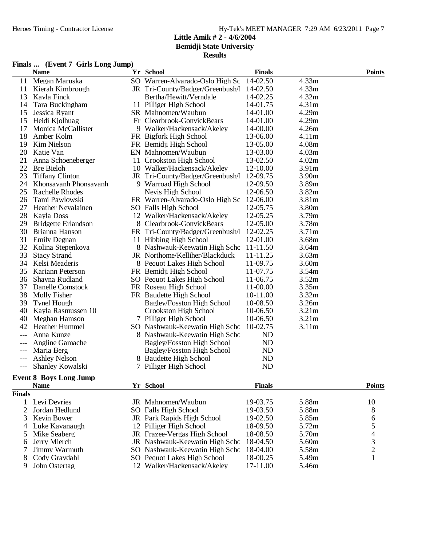### **Results**

### **Finals ... (Event 7 Girls Long Jump)**

|               | <b>Name</b>                   | Yr School                         | <b>Finals</b>  |                   | <b>Points</b> |
|---------------|-------------------------------|-----------------------------------|----------------|-------------------|---------------|
| 11            | Megan Maruska                 | SO Warren-Alvarado-Oslo High Sc   | 14-02.50       | 4.33m             |               |
| 11            | Kierah Kimbrough              | JR Tri-County/Badger/Greenbush/   | 14-02.50       | 4.33m             |               |
| 13            | Kayla Finck                   | Bertha/Hewitt/Verndale            | 14-02.25       | 4.32m             |               |
| 14            | Tara Buckingham               | 11 Pilliger High School           | 14-01.75       | 4.31m             |               |
| 15            | Jessica Ryant                 | SR Mahnomen/Waubun                | 14-01.00       | 4.29m             |               |
| 15            | Heidi Kjolhuag                | Fr Clearbrook-GonvickBears        | 14-01.00       | 4.29m             |               |
| 17            | Monica McCallister            | 9 Walker/Hackensack/Akeley        | 14-00.00       | 4.26m             |               |
| 18            | Amber Kolm                    | FR Bigfork High School            | 13-06.00       | 4.11m             |               |
| 19            | Kim Nielson                   | FR Bemidji High School            | 13-05.00       | 4.08m             |               |
| 20            | Katie Van                     | EN Mahnomen/Waubun                | 13-03.00       | 4.03m             |               |
| 21            | Anna Schoeneberger            | 11 Crookston High School          | 13-02.50       | 4.02m             |               |
| 22            | <b>Bre Bieloh</b>             | 10 Walker/Hackensack/Akeley       | 12-10.00       | 3.91 <sub>m</sub> |               |
| 23            | <b>Tiffany Clinton</b>        | JR Tri-County/Badger/Greenbush/   | 12-09.75       | 3.90 <sub>m</sub> |               |
| 24            | Khonsavanh Phonsavanh         | 9 Warroad High School             | 12-09.50       | 3.89m             |               |
| 25            | <b>Rachelle Rhodes</b>        | Nevis High School                 | 12-06.50       | 3.82m             |               |
| 26            | Tami Pawlowski                | FR Warren-Alvarado-Oslo High Sc   | 12-06.00       | 3.81m             |               |
| 27            | <b>Heather Nevalainen</b>     | SO Falls High School              | 12-05.75       | 3.80m             |               |
| 28            | Kayla Doss                    | 12 Walker/Hackensack/Akeley       | 12-05.25       | 3.79m             |               |
| 29            | <b>Bridgette Erlandson</b>    | 8 Clearbrook-GonvickBears         | 12-05.00       | 3.78m             |               |
| 30            | Brianna Hanson                | FR Tri-County/Badger/Greenbush/   | 12-02.25       | 3.71 <sub>m</sub> |               |
| 31            | <b>Emily Degnan</b>           | 11 Hibbing High School            | 12-01.00       | 3.68m             |               |
| 32            | Kolina Stepenkova             | 8 Nashwauk-Keewatin High Scho     | 11-11.50       | 3.64m             |               |
| 33            | <b>Stacy Strand</b>           | JR Northome/Kelliher/Blackduck    | 11-11.25       | 3.63m             |               |
| 34            | Kelsi Meaderis                | 8 Pequot Lakes High School        | 11-09.75       | 3.60m             |               |
| 35            | Kariann Peterson              | FR Bemidji High School            | 11-07.75       | 3.54m             |               |
| 36            | Shayna Rudland                | SO Pequot Lakes High School       | 11-06.75       | 3.52m             |               |
| 37            | Danelle Comstock              | FR Roseau High School             | 11-00.00       | 3.35m             |               |
| 38            | Molly Fisher                  | FR Baudette High School           | 10-11.00       | 3.32m             |               |
| 39            | <b>Tynel Hough</b>            | <b>Bagley/Fosston High School</b> | 10-08.50       | 3.26m             |               |
| 40            | Kayla Rasmussen 10            | Crookston High School             | 10-06.50       | 3.21m             |               |
| 40            | Meghan Hamson                 | 7 Pilliger High School            | 10-06.50       | 3.21m             |               |
| 42            | Heather Hummel                | SO Nashwauk-Keewatin High Scho    | 10-02.75       | 3.11m             |               |
|               | Anna Kunze                    | 8 Nashwauk-Keewatin High Scho     | ND             |                   |               |
|               | Angline Gamache               | <b>Bagley/Fosston High School</b> | N <sub>D</sub> |                   |               |
|               | Maria Berg                    | <b>Bagley/Fosston High School</b> | <b>ND</b>      |                   |               |
|               | <b>Ashley Nelson</b>          | 8 Baudette High School            | N <sub>D</sub> |                   |               |
|               | Shanley Kowalski              | 7 Pilliger High School            | <b>ND</b>      |                   |               |
|               | <b>Event 8 Boys Long Jump</b> |                                   |                |                   |               |
|               | <b>Name</b>                   | Yr School                         | <b>Finals</b>  |                   | <b>Points</b> |
| <b>Finals</b> |                               |                                   |                |                   |               |
| 1             | Levi Devries                  | JR Mahnomen/Waubun                | 19-03.75       | 5.88m             | 10            |
| 2             | Jordan Hedlund                | SO Falls High School              | 19-03.50       | 5.88m             | 8             |
| 3             | Kevin Bower                   | JR Park Rapids High School        | 19-02.50       | 5.85m             | 6             |
| 4             | Luke Kavanaugh                | 12 Pilliger High School           | 18-09.50       | 5.72m             | 5             |
| 5             | Mike Seaberg                  | JR Frazee-Vergas High School      | 18-08.50       | 5.70m             | 4             |
|               |                               |                                   |                |                   |               |

- 
- 
- 6 Jerry Mierch JR Nashwauk-Keewatin High School 18-04.50 5.60m 3<br>
7 Jimmy Warmuth SO Nashwauk-Keewatin High School 18-04.00 5.58m 2 7 Jimmy Warmuth SO Nashwauk-Keewatin High School 5.58m 2<br>18 Cody Gravdahl SO Pequot Lakes High School 18-00.25 5.49m 1 8 Cody Gravdahl SO Pequot Lakes High School 18-00.25 5.49m<br>
9 John Ostertag 12 Walker/Hackensack/Akeley 17-11.00 5.46m 12 Walker/Hackensack/Akeley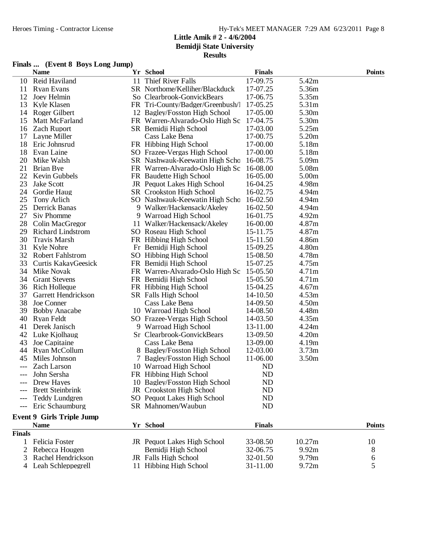# **Results**

# **Finals ... (Event 8 Boys Long Jump)**

|               | <b>Name</b>                      | Yr School                        | <b>Finals</b>  |                   | <b>Points</b> |
|---------------|----------------------------------|----------------------------------|----------------|-------------------|---------------|
| 10            | Reid Haviland                    | 11 Thief River Falls             | 17-09.75       | 5.42m             |               |
| 11            | <b>Ryan Evans</b>                | SR Northome/Kelliher/Blackduck   | 17-07.25       | 5.36m             |               |
| 12            | Joey Helmin                      | So Clearbrook-GonvickBears       | 17-06.75       | 5.35m             |               |
| 13            | Kyle Klasen                      | FR Tri-County/Badger/Greenbush/l | 17-05.25       | 5.31m             |               |
| 14            | Roger Gilbert                    | 12 Bagley/Fosston High School    | 17-05.00       | 5.30m             |               |
| 15            | Matt McFarland                   | FR Warren-Alvarado-Oslo High Sc  | 17-04.75       | 5.30m             |               |
| 16            | <b>Zach Ruport</b>               | SR Bemidji High School           | 17-03.00       | 5.25m             |               |
| 17            | Layne Miller                     | Cass Lake Bena                   | 17-00.75       | 5.20m             |               |
| 18            | Eric Johnsrud                    | FR Hibbing High School           | 17-00.00       | 5.18m             |               |
| 18            | Evan Laine                       | SO Frazee-Vergas High School     | 17-00.00       | 5.18m             |               |
| 20            | Mike Walsh                       | SR Nashwauk-Keewatin High Scho   | 16-08.75       | 5.09m             |               |
| 21            | Brian Bye                        | FR Warren-Alvarado-Oslo High Sc  | 16-08.00       | 5.08m             |               |
| 22            | Kevin Gubbels                    | FR Baudette High School          | 16-05.00       | 5.00m             |               |
| 23            | Jake Scott                       | JR Pequot Lakes High School      | 16-04.25       | 4.98m             |               |
| 24            | Gordie Haug                      | SR Crookston High School         | 16-02.75       | 4.94m             |               |
| 25            | Tony Arlich                      | SO Nashwauk-Keewatin High Scho   | 16-02.50       | 4.94m             |               |
| 25            | Derrick Banas                    | 9 Walker/Hackensack/Akeley       | 16-02.50       | 4.94m             |               |
| 27            | Siv Phomme                       | 9 Warroad High School            | 16-01.75       | 4.92m             |               |
| 28            | Colin MacGregor                  | 11 Walker/Hackensack/Akeley      | 16-00.00       | 4.87m             |               |
| 29            | <b>Richard Lindstrom</b>         | SO Roseau High School            | 15-11.75       | 4.87m             |               |
| 30            | <b>Travis Marsh</b>              | FR Hibbing High School           | 15-11.50       | 4.86m             |               |
| 31            | Kyle Nohre                       | Fr Bemidji High School           | 15-09.25       | 4.80m             |               |
| 32            | <b>Robert Fahlstrom</b>          | SO Hibbing High School           | 15-08.50       | 4.78m             |               |
| 33            | Curtis KakayGeesick              | FR Bemidji High School           | 15-07.25       | 4.75m             |               |
| 34            | Mike Novak                       | FR Warren-Alvarado-Oslo High Sc  | 15-05.50       | 4.71m             |               |
| 34            | <b>Grant Stevens</b>             | FR Bemidji High School           | 15-05.50       | 4.71m             |               |
| 36            | <b>Rich Holleque</b>             | FR Hibbing High School           | 15-04.25       | 4.67m             |               |
| 37            | Garrett Hendrickson              | <b>SR</b> Falls High School      | 14-10.50       | 4.53m             |               |
| 38            | Joe Conner                       | Cass Lake Bena                   | 14-09.50       | 4.50m             |               |
| 39            | <b>Bobby Anacabe</b>             | 10 Warroad High School           | 14-08.50       | 4.48m             |               |
| 40            | Ryan Feldt                       | SO Frazee-Vergas High School     | 14-03.50       | 4.35m             |               |
| 41            | Derek Janisch                    | 9 Warroad High School            | 13-11.00       | 4.24m             |               |
|               | 42 Luke Kjolhaug                 | Sr Clearbrook-GonvickBears       | 13-09.50       | 4.20m             |               |
| 43            | Joe Capitaine                    | Cass Lake Bena                   | 13-09.00       | 4.19m             |               |
| 44            | Ryan McCollum                    | 8 Bagley/Fosston High School     | 12-03.00       | 3.73m             |               |
| 45            | Miles Johnson                    | 7 Bagley/Fosston High School     | 11-06.00       | 3.50 <sub>m</sub> |               |
| $---$         | <b>Zach Larson</b>               | 10 Warroad High School           | ND             |                   |               |
|               | John Sersha                      | FR Hibbing High School           | N <sub>D</sub> |                   |               |
|               | Drew Hayes                       | 10 Bagley/Fosston High School    | <b>ND</b>      |                   |               |
|               | <b>Brett Steinbrink</b>          | JR Crookston High School         | ND             |                   |               |
|               | <b>Teddy Lundgren</b>            | SO Pequot Lakes High School      | ND             |                   |               |
|               | Eric Schaumburg                  | SR Mahnomen/Waubun               | ND             |                   |               |
|               | <b>Event 9 Girls Triple Jump</b> |                                  |                |                   |               |
|               | <b>Name</b>                      | Yr School                        | <b>Finals</b>  |                   | <b>Points</b> |
| <b>Finals</b> |                                  |                                  |                |                   |               |
| 1             | Felicia Foster                   | JR Pequot Lakes High School      | 33-08.50       | 10.27m            | 10            |
| 2             | Rebecca Hougen                   | Bemidji High School              | 32-06.75       | 9.92m             | 8             |
| 3             | Rachel Hendrickson               | JR Falls High School             | 32-01.50       | 9.79m             | 6             |
| 4             | Leah Schleppegrell               | 11 Hibbing High School           | 31-11.00       | 9.72m             | 5             |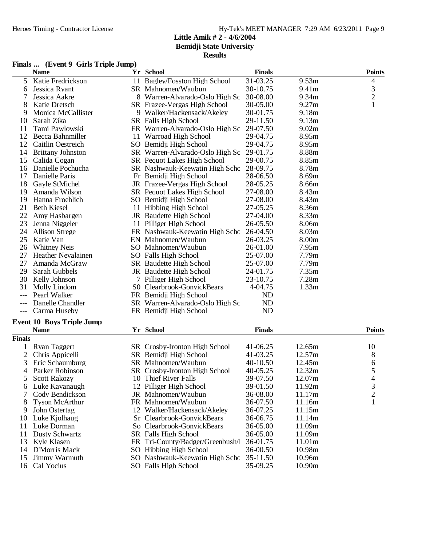# **Finals ... (Event 9 Girls Triple Jump)**

|                | <b>Name</b>                      | Yr School                          | <b>Finals</b> |        | <b>Points</b>  |
|----------------|----------------------------------|------------------------------------|---------------|--------|----------------|
| 5              | Katie Fredrickson                | 11 Bagley/Fosston High School      | 31-03.25      | 9.53m  | 4              |
| 6              | Jessica Ryant                    | SR Mahnomen/Waubun                 | 30-10.75      | 9.41m  | 3              |
| 7              | Jessica Aakre                    | 8 Warren-Alvarado-Oslo High Sc     | 30-08.00      | 9.34m  | $\mathbf{2}$   |
| 8              | Katie Dretsch                    | SR Frazee-Vergas High School       | 30-05.00      | 9.27m  | $\mathbf{1}$   |
| 9              | Monica McCallister               | 9 Walker/Hackensack/Akeley         | 30-01.75      | 9.18m  |                |
| 10             | Sarah Zika                       | SR Falls High School               | 29-11.50      | 9.13m  |                |
| 11             | Tami Pawlowski                   | FR Warren-Alvarado-Oslo High Sc    | 29-07.50      | 9.02m  |                |
| 12             | Becca Bahnmiller                 | 11 Warroad High School             | 29-04.75      | 8.95m  |                |
| 12             | <b>Caitlin Oestreich</b>         | SO Bemidji High School             | 29-04.75      | 8.95m  |                |
| 14             | <b>Brittany Johnston</b>         | SR Warren-Alvarado-Oslo High Sc    | 29-01.75      | 8.88m  |                |
| 15             | Calida Cogan                     | <b>SR</b> Pequot Lakes High School | 29-00.75      | 8.85m  |                |
| 16             | Danielle Pochucha                | SR Nashwauk-Keewatin High Schc     | 28-09.75      | 8.78m  |                |
| 17             | Danielle Paris                   | Fr Bemidji High School             | 28-06.50      | 8.69m  |                |
| 18             | Gayle StMichel                   | JR Frazee-Vergas High School       | 28-05.25      | 8.66m  |                |
| 19             | Amanda Wilson                    | <b>SR</b> Pequot Lakes High School | 27-08.00      | 8.43m  |                |
| 19             | Hanna Froehlich                  | SO Bemidji High School             | 27-08.00      | 8.43m  |                |
| 21             | <b>Beth Kiesel</b>               | 11 Hibbing High School             | 27-05.25      | 8.36m  |                |
| 22             | Amy Hasbargen                    | JR Baudette High School            | 27-04.00      | 8.33m  |                |
| 23             | Jenna Niggeler                   | 11 Pilliger High School            | 26-05.50      | 8.06m  |                |
| 24             | <b>Allison Strege</b>            | FR Nashwauk-Keewatin High Schc     | 26-04.50      | 8.03m  |                |
| 25             | Katie Van                        | EN Mahnomen/Waubun                 | 26-03.25      | 8.00m  |                |
| 26             | <b>Whitney Neis</b>              | SO Mahnomen/Waubun                 | 26-01.00      | 7.95m  |                |
| 27             | <b>Heather Nevalainen</b>        | SO Falls High School               | 25-07.00      | 7.79m  |                |
| 27             | Amanda McGraw                    | SR Baudette High School            | 25-07.00      | 7.79m  |                |
| 29             | Sarah Gubbels                    | JR Baudette High School            | 24-01.75      | 7.35m  |                |
| 30             | Kelly Johnson                    | 7 Pilliger High School             | 23-10.75      | 7.28m  |                |
| 31             | Molly Lindom                     | S0 Clearbrook-GonvickBears         | 4-04.75       | 1.33m  |                |
|                | Pearl Walker                     | FR Bemidji High School             | ND            |        |                |
|                | Danelle Chandler                 | SR Warren-Alvarado-Oslo High Sc    | ND            |        |                |
| $--$           | Carma Huseby                     | FR Bemidji High School             | <b>ND</b>     |        |                |
|                | <b>Event 10 Boys Triple Jump</b> |                                    |               |        |                |
|                | <b>Name</b>                      | Yr School                          | <b>Finals</b> |        | <b>Points</b>  |
| <b>Finals</b>  |                                  |                                    |               |        |                |
| 1              | <b>Ryan Taggert</b>              | SR Crosby-Ironton High School      | 41-06.25      | 12.65m | 10             |
| $\overline{c}$ | Chris Appicelli                  | SR Bemidji High School             | 41-03.25      | 12.57m | 8              |
| 3              | Eric Schaumburg                  | SR Mahnomen/Waubun                 | 40-10.50      | 12.45m | 6              |
| 4              | Parker Robinson                  | SR Crosby-Ironton High School      | 40-05.25      | 12.32m | 5              |
| C              | <b>Scott Rakozy</b>              | 10 Thief River Falls               | 39-07.50      | 12.07m | 4              |
| 6              | Luke Kavanaugh                   | 12 Pilliger High School            | 39-01.50      | 11.92m | 3              |
| 7              | Cody Bendickson                  | JR Mahnomen/Waubun                 | 36-08.00      | 11.17m | $\overline{c}$ |
| 8              | <b>Tyson McArthur</b>            | FR Mahnomen/Waubun                 | 36-07.50      | 11.16m | $\mathbf{1}$   |
| 9              | John Ostertag                    | 12 Walker/Hackensack/Akeley        | 36-07.25      | 11.15m |                |
| 10             | Luke Kjolhaug                    | Sr Clearbrook-GonvickBears         | 36-06.75      | 11.14m |                |
| 11             | Luke Dorman                      | So Clearbrook-GonvickBears         | 36-05.00      | 11.09m |                |
| 11             | Dusty Schwartz                   | SR Falls High School               | 36-05.00      | 11.09m |                |
| 13             | Kyle Klasen                      | FR Tri-County/Badger/Greenbush/    | 36-01.75      | 11.01m |                |
| 14             | <b>D'Morris Mack</b>             | SO Hibbing High School             | 36-00.50      | 10.98m |                |
| 15             | Jimmy Warmuth                    | SO Nashwauk-Keewatin High Schc     | 35-11.50      | 10.96m |                |
| 16             | Cal Yocius                       | SO Falls High School               | 35-09.25      | 10.90m |                |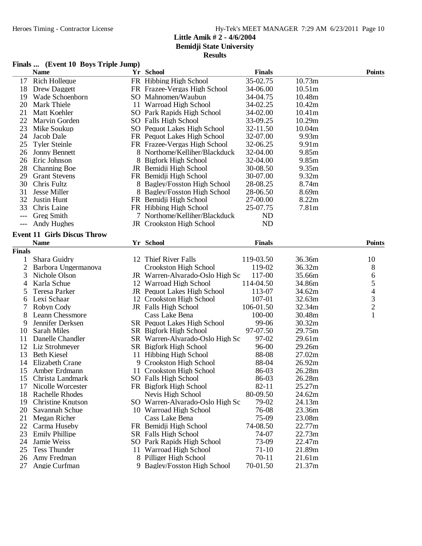# **Results**

# **Finals ... (Event 10 Boys Triple Jump)**

|                     | <b>Name</b>                        | Yr School                       | <b>Finals</b> |        | <b>Points</b>            |
|---------------------|------------------------------------|---------------------------------|---------------|--------|--------------------------|
| 17                  | <b>Rich Holleque</b>               | FR Hibbing High School          | 35-02.75      | 10.73m |                          |
| 18                  | Drew Daggett                       | FR Frazee-Vergas High School    | 34-06.00      | 10.51m |                          |
| 19                  | Wade Schoenborn                    | SO Mahnomen/Waubun              | 34-04.75      | 10.48m |                          |
| 20                  | Mark Thiele                        | 11 Warroad High School          | 34-02.25      | 10.42m |                          |
| 21                  | Matt Koehler                       | SO Park Rapids High School      | 34-02.00      | 10.41m |                          |
| 22                  | Marvin Gorden                      | SO Falls High School            | 33-09.25      | 10.29m |                          |
| 23                  | Mike Soukup                        | SO Pequot Lakes High School     | 32-11.50      | 10.04m |                          |
| 24                  | Jacob Dale                         | FR Pequot Lakes High School     | 32-07.00      | 9.93m  |                          |
| 25                  | <b>Tyler Steinle</b>               | FR Frazee-Vergas High School    | 32-06.25      | 9.91m  |                          |
| 26                  | <b>Jonny Bennett</b>               | 8 Northome/Kelliher/Blackduck   | 32-04.00      | 9.85m  |                          |
| 26                  | Eric Johnson                       | 8 Bigfork High School           | 32-04.00      | 9.85m  |                          |
| 28                  | <b>Channing Boe</b>                | JR Bemidji High School          | 30-08.50      | 9.35m  |                          |
| 29                  | <b>Grant Stevens</b>               | FR Bemidji High School          | 30-07.00      | 9.32m  |                          |
| 30                  | Chris Fultz                        | 8 Bagley/Fosston High School    | 28-08.25      | 8.74m  |                          |
| 31                  | <b>Jesse Miller</b>                | 8 Bagley/Fosston High School    | 28-06.50      | 8.69m  |                          |
| 32                  | Justin Hunt                        | FR Bemidji High School          | 27-00.00      | 8.22m  |                          |
| 33                  | Chris Laine                        | FR Hibbing High School          | 25-07.75      | 7.81m  |                          |
| $---$               | <b>Greg Smith</b>                  | 7 Northome/Kelliher/Blackduck   | <b>ND</b>     |        |                          |
|                     | Andy Hughes                        | JR Crookston High School        | <b>ND</b>     |        |                          |
| $\qquad \qquad - -$ |                                    |                                 |               |        |                          |
|                     | <b>Event 11 Girls Discus Throw</b> |                                 |               |        |                          |
|                     | <b>Name</b>                        | Yr School                       | <b>Finals</b> |        | <b>Points</b>            |
| <b>Finals</b>       |                                    |                                 |               |        |                          |
| 1                   | Shara Guidry                       | 12 Thief River Falls            | 119-03.50     | 36.36m | 10                       |
| $\overline{c}$      | Barbora Ungermanova                | Crookston High School           | 119-02        | 36.32m | 8                        |
| 3                   | Nichole Olson                      | JR Warren-Alvarado-Oslo High Sc | 117-00        | 35.66m | 6                        |
| 4                   | Karla Schue                        | 12 Warroad High School          | 114-04.50     | 34.86m | 5                        |
| 5                   | Teresa Parker                      | JR Pequot Lakes High School     | 113-07        | 34.62m | $\overline{\mathcal{A}}$ |
| 6                   | Lexi Schaar                        | 12 Crookston High School        | 107-01        | 32.63m | 3                        |
| 7                   | Robyn Cody                         | JR Falls High School            | 106-01.50     | 32.34m | $\overline{c}$           |
| 8                   | Leann Chessmore                    | Cass Lake Bena                  | 100-00        | 30.48m | $\mathbf{1}$             |
| 9                   | Jennifer Derksen                   | SR Pequot Lakes High School     | 99-06         | 30.32m |                          |
| 10                  | <b>Sarah Miles</b>                 | SR Bigfork High School          | 97-07.50      | 29.75m |                          |
| 11                  | Danelle Chandler                   | SR Warren-Alvarado-Oslo High Sc | 97-02         | 29.61m |                          |
| 12                  | Liz Strohmeyer                     | SR Bigfork High School          | 96-00         | 29.26m |                          |
| 13                  | <b>Beth Kiesel</b>                 | 11 Hibbing High School          | 88-08         | 27.02m |                          |
| 14                  | <b>Elizabeth Crane</b>             | 9 Crookston High School         | 88-04         | 26.92m |                          |
| 15                  | Amber Erdmann                      | 11 Crookston High School        | 86-03         | 26.28m |                          |
|                     | 15 Christa Landmark                | SO Falls High School            | 86-03         | 26.28m |                          |
| 17                  | Nicolle Worcester                  | FR Bigfork High School          | $82 - 11$     | 25.27m |                          |
| 18                  | <b>Rachelle Rhodes</b>             | Nevis High School               | 80-09.50      | 24.62m |                          |
| 19                  | <b>Christine Knutson</b>           | SO Warren-Alvarado-Oslo High Sc | 79-02         | 24.13m |                          |
| 20                  | Savannah Schue                     | 10 Warroad High School          | 76-08         | 23.36m |                          |
| 21                  | Megan Richer                       | Cass Lake Bena                  | 75-09         | 23.08m |                          |
| 22                  | Carma Huseby                       | FR Bemidji High School          | 74-08.50      | 22.77m |                          |
| 23                  | <b>Emily Phillipe</b>              | SR Falls High School            | 74-07         | 22.73m |                          |
| 24                  | Jamie Weiss                        | SO Park Rapids High School      | 73-09         | 22.47m |                          |
| 25                  | Tess Thunder                       | 11 Warroad High School          | 71-10         | 21.89m |                          |
| 26                  | Amy Fredman                        | 8 Pilliger High School          | $70 - 11$     | 21.61m |                          |
| 27                  | Angie Curfman                      | 9 Bagley/Fosston High School    | 70-01.50      | 21.37m |                          |
|                     |                                    |                                 |               |        |                          |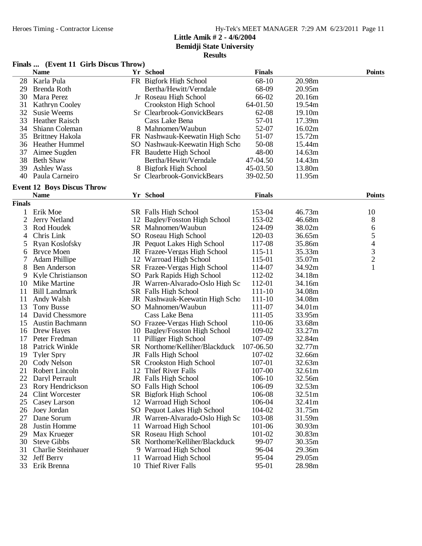**Bemidji State University**

|  |  | Finals  (Event 11 Girls Discus Throw) |  |
|--|--|---------------------------------------|--|
|--|--|---------------------------------------|--|

|              | <b>Name</b>                       | Yr School                       | <b>Finals</b> |        | <b>Points</b>  |
|--------------|-----------------------------------|---------------------------------|---------------|--------|----------------|
| 28           | Karla Pula                        | FR Bigfork High School          | 68-10         | 20.98m |                |
| 29           | Brenda Roth                       | Bertha/Hewitt/Verndale          | 68-09         | 20.95m |                |
| 30           | Mara Perez                        | Jr Roseau High School           | 66-02         | 20.16m |                |
| 31           | <b>Kathryn Cooley</b>             | Crookston High School           | 64-01.50      | 19.54m |                |
| 32           | Susie Weems                       | Sr Clearbrook-GonvickBears      | 62-08         | 19.10m |                |
| 33           | <b>Heather Raisch</b>             | Cass Lake Bena                  | 57-01         | 17.39m |                |
| 34           | Shiann Coleman                    | 8 Mahnomen/Waubun               | 52-07         | 16.02m |                |
| 35           | <b>Brittney Hakola</b>            | FR Nashwauk-Keewatin High Scho  | 51-07         | 15.72m |                |
| 36           | Heather Hummel                    | SO Nashwauk-Keewatin High Scho  | 50-08         | 15.44m |                |
| 37           | Aimee Sugden                      | FR Baudette High School         | 48-00         | 14.63m |                |
| 38           | <b>Beth Shaw</b>                  | Bertha/Hewitt/Verndale          | 47-04.50      | 14.43m |                |
| 39           | <b>Ashley Wass</b>                | 8 Bigfork High School           | 45-03.50      | 13.80m |                |
| 40           | Paula Carneiro                    | Sr Clearbrook-GonvickBears      | 39-02.50      | 11.95m |                |
|              |                                   |                                 |               |        |                |
|              | <b>Event 12 Boys Discus Throw</b> |                                 |               |        |                |
|              | <b>Name</b>                       | Yr School                       | <b>Finals</b> |        | <b>Points</b>  |
| Finals       |                                   |                                 |               |        |                |
| 1            | Erik Moe                          | SR Falls High School            | 153-04        | 46.73m | 10             |
| $\mathbf{2}$ | Jerry Netland                     | 12 Bagley/Fosston High School   | 153-02        | 46.68m | 8              |
| 3            | Rod Houdek                        | SR Mahnomen/Waubun              | 124-09        | 38.02m | 6              |
| 4            | Chris Link                        | SO Roseau High School           | 120-03        | 36.65m | 5              |
| 5            | Ryan Koslofsky                    | JR Pequot Lakes High School     | 117-08        | 35.86m | 4              |
| 6            | <b>Bryce Moen</b>                 | JR Frazee-Vergas High School    | 115-11        | 35.33m | 3              |
| 7            | <b>Adam Phillipe</b>              | 12 Warroad High School          | 115-01        | 35.07m | $\overline{2}$ |
| 8            | <b>Ben Anderson</b>               | SR Frazee-Vergas High School    | 114-07        | 34.92m | 1              |
| 9            | Kyle Christianson                 | SO Park Rapids High School      | 112-02        | 34.18m |                |
| 10           | Mike Martine                      | JR Warren-Alvarado-Oslo High Sc | 112-01        | 34.16m |                |
| 11           | <b>Bill Landmark</b>              | SR Falls High School            | $111 - 10$    | 34.08m |                |
| 11           | Andy Walsh                        | JR Nashwauk-Keewatin High Scho  | $111 - 10$    | 34.08m |                |
| 13           | <b>Tony Busse</b>                 | SO Mahnomen/Waubun              | 111-07        | 34.01m |                |
| 14           | David Chessmore                   | Cass Lake Bena                  | 111-05        | 33.95m |                |
| 15           | <b>Austin Bachmann</b>            | SO Frazee-Vergas High School    | 110-06        | 33.68m |                |
| 16           | Drew Hayes                        | 10 Bagley/Fosston High School   | 109-02        | 33.27m |                |
| 17           | Peter Fredman                     | 11 Pilliger High School         | 107-09        | 32.84m |                |
| 18           | Patrick Winkle                    | SR Northome/Kelliher/Blackduck  | 107-06.50     | 32.77m |                |
| 19           | <b>Tyler Spry</b>                 | JR Falls High School            | 107-02        | 32.66m |                |
| 20           | Cody Nelson                       | <b>SR</b> Crookston High School | 107-01        | 32.63m |                |
| 21           | Robert Lincoln                    | 12 Thief River Falls            | 107-00        | 32.61m |                |
|              | 22 Daryl Perrault                 | JR Falls High School            | $106 - 10$    | 32.56m |                |
| 23           | Rory Hendrickson                  | SO Falls High School            | 106-09        | 32.53m |                |
| 24           | <b>Clint Worcester</b>            | SR Bigfork High School          | 106-08        | 32.51m |                |
| 25           | Casey Larson                      | 12 Warroad High School          | 106-04        | 32.41m |                |
| 26           | Joey Jordan                       | SO Pequot Lakes High School     | 104-02        | 31.75m |                |
| 27           | Dane Sorum                        | JR Warren-Alvarado-Oslo High Sc | 103-08        | 31.59m |                |
| 28           | Justin Homme                      | 11 Warroad High School          | 101-06        | 30.93m |                |
| 29           | Max Krueger                       | <b>SR</b> Roseau High School    | 101-02        | 30.83m |                |
| 30           | <b>Steve Gibbs</b>                | SR Northome/Kelliher/Blackduck  | 99-07         | 30.35m |                |
| 31           | Charlie Steinhauer                | 9 Warroad High School           | 96-04         | 29.36m |                |
| 32           | <b>Jeff Berry</b>                 | 11 Warroad High School          | 95-04         | 29.05m |                |
| 33           | Erik Brenna                       | 10 Thief River Falls            | 95-01         | 28.98m |                |
|              |                                   |                                 |               |        |                |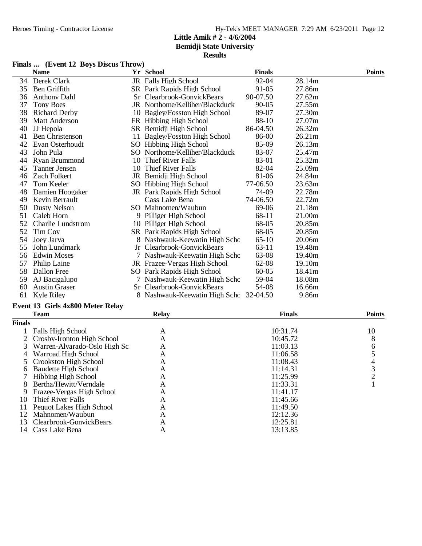**Bemidji State University**

# **Results**

### **Finals ... (Event 12 Boys Discus Throw)**

|    | <b>Name</b>              | Yr School                         | <b>Finals</b> |        | <b>Points</b> |
|----|--------------------------|-----------------------------------|---------------|--------|---------------|
| 34 | Derek Clark              | JR Falls High School              | 92-04         | 28.14m |               |
| 35 | Ben Griffith             | <b>SR</b> Park Rapids High School | 91-05         | 27.86m |               |
| 36 | <b>Anthony Dahl</b>      | Sr Clearbrook-GonvickBears        | 90-07.50      | 27.62m |               |
| 37 | <b>Tony Boes</b>         | JR Northome/Kelliher/Blackduck    | 90-05         | 27.55m |               |
| 38 | Richard Derby            | 10 Bagley/Fosston High School     | 89-07         | 27.30m |               |
| 39 | <b>Matt Anderson</b>     | FR Hibbing High School            | 88-10         | 27.07m |               |
| 40 | JJ Hepola                | SR Bemidji High School            | 86-04.50      | 26.32m |               |
| 41 | <b>Ben Christenson</b>   | 11 Bagley/Fosston High School     | 86-00         | 26.21m |               |
| 42 | Evan Osterhoudt          | SO Hibbing High School            | 85-09         | 26.13m |               |
| 43 | John Pula                | SO Northome/Kelliher/Blackduck    | 83-07         | 25.47m |               |
| 44 | Ryan Brummond            | 10 Thief River Falls              | 83-01         | 25.32m |               |
| 45 | Tanner Jensen            | 10 Thief River Falls              | 82-04         | 25.09m |               |
| 46 | Zach Folkert             | JR Bemidji High School            | 81-06         | 24.84m |               |
| 47 | Tom Keeler               | SO Hibbing High School            | 77-06.50      | 23.63m |               |
| 48 | Damien Hoogaker          | JR Park Rapids High School        | 74-09         | 22.78m |               |
| 49 | Kevin Berrault           | Cass Lake Bena                    | 74-06.50      | 22.72m |               |
| 50 | Dusty Nelson             | SO Mahnomen/Waubun                | 69-06         | 21.18m |               |
| 51 | Caleb Horn               | 9 Pilliger High School            | 68-11         | 21.00m |               |
| 52 | <b>Charlie Lundstrom</b> | 10 Pilliger High School           | 68-05         | 20.85m |               |
| 52 | Tim Coy                  | <b>SR</b> Park Rapids High School | 68-05         | 20.85m |               |
| 54 | Joey Jarva               | 8 Nashwauk-Keewatin High Schc     | $65-10$       | 20.06m |               |
| 55 | John Lundmark            | Jr Clearbrook-GonvickBears        | 63-11         | 19.48m |               |
| 56 | <b>Edwin Moses</b>       | 7 Nashwauk-Keewatin High Schc     | 63-08         | 19.40m |               |
| 57 | Philip Laine             | JR Frazee-Vergas High School      | 62-08         | 19.10m |               |
| 58 | Dallon Free              | SO Park Rapids High School        | $60 - 05$     | 18.41m |               |
| 59 | AJ Bacigalupo            | 7 Nashwauk-Keewatin High Schc     | 59-04         | 18.08m |               |
| 60 | <b>Austin Graser</b>     | Sr Clearbrook-GonvickBears        | 54-08         | 16.66m |               |
| 61 | Kyle Riley               | 8 Nashwauk-Keewatin High Schc     | 32-04.50      | 9.86m  |               |

## **Event 13 Girls 4x800 Meter Relay**

|               | <b>Team</b>                    | <b>Relay</b> | <b>Finals</b> | <b>Points</b> |
|---------------|--------------------------------|--------------|---------------|---------------|
| <b>Finals</b> |                                |              |               |               |
|               | <b>Falls High School</b>       | A            | 10:31.74      | 10            |
|               | 2 Crosby-Ironton High School   | А            | 10:45.72      |               |
|               | 3 Warren-Alvarado-Oslo High Sc | А            | 11:03.13      |               |
|               | 4 Warroad High School          | A            | 11:06.58      |               |
|               | Crookston High School          | А            | 11:08.43      |               |
| h.            | Baudette High School           | А            | 11:14.31      |               |
|               | Hibbing High School            | A            | 11:25.99      |               |
| 8             | Bertha/Hewitt/Verndale         | Α            | 11:33.31      |               |
|               | Frazee-Vergas High School      | A            | 11:41.17      |               |
| 10            | Thief River Falls              | А            | 11:45.66      |               |
|               | Pequot Lakes High School       | Α            | 11:49.50      |               |
| 12            | Mahnomen/Waubun                | А            | 12:12.36      |               |
| 13            | Clearbrook-GonvickBears        | A            | 12:25.81      |               |
| 14            | Cass Lake Bena                 | А            | 13:13.85      |               |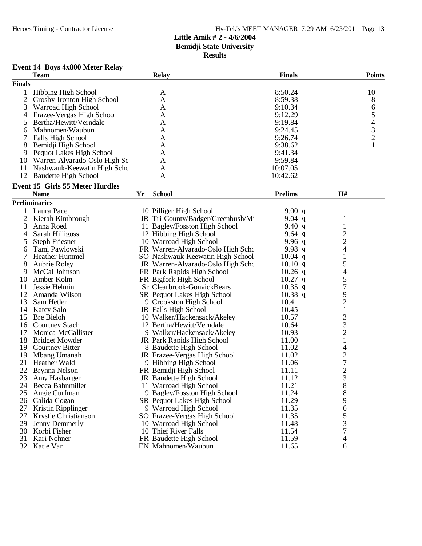# Heroes Timing - Contractor License Hy-Tek's MEET MANAGER 7:29 AM 6/23/2011 Page 13

# **Little Amik # 2 - 4/6/2004 Bemidji State University**

**Results**

# **Event 14 Boys 4x800 Meter Relay**

| <b>Finals</b><br>8:50.24<br><b>Hibbing High School</b><br>10<br>1<br>A<br>$\overline{2}$<br>8:59.38<br>8<br>Crosby-Ironton High School<br>A<br>3<br>6<br>Warroad High School<br>9:10.34<br>A<br>5<br>Frazee-Vergas High School<br>9:12.29<br>4<br>A<br>$\overline{\mathcal{L}}$<br>5<br>Bertha/Hewitt/Verndale<br>9:19.84<br>A<br>$\frac{3}{2}$<br>Mahnomen/Waubun<br>9:24.45<br>A<br>6<br>7<br>Falls High School<br>9:26.74<br>A<br>9:38.62<br>8<br>Bemidji High School<br>A<br>Pequot Lakes High School<br>9:41.34<br>9<br>A<br>Warren-Alvarado-Oslo High Sc<br>9:59.84<br>10<br>A<br>11<br>Nashwauk-Keewatin High Scho<br>10:07.05<br>A<br>12<br><b>Baudette High School</b><br>10:42.62<br>A<br><b>Event 15 Girls 55 Meter Hurdles</b><br><b>Name</b><br><b>School</b><br><b>Prelims</b><br>H#<br>Yr<br><b>Preliminaries</b><br>1<br>Laura Pace<br>10 Pilliger High School<br>9.00 $q$<br>1<br>2<br>Kierah Kimbrough<br>$\mathbf{1}$<br>JR Tri-County/Badger/Greenbush/Mi<br>$9.04$ q<br>3<br>1<br>Anna Roed<br>11 Bagley/Fosston High School<br>9.40 $q$<br>$\overline{c}$<br>Sarah Hilligoss<br>12 Hibbing High School<br>9.64 $q$<br>4<br>$\overline{c}$<br>9.96q<br>5<br><b>Steph Friesner</b><br>10 Warroad High School<br>4<br>9.98 $q$<br>Tami Pawlowski<br>FR Warren-Alvarado-Oslo High Scho<br>6<br>7<br>$\mathbf{1}$<br>Heather Hummel<br>SO Nashwauk-Keewatin High School<br>$10.04$ q<br>5<br>8<br><b>Aubrie Roley</b><br>JR Warren-Alvarado-Oslo High Scho<br>10.10 q<br>$\overline{\mathcal{A}}$<br>9<br>McCal Johnson<br>FR Park Rapids High School<br>$10.26$ q<br>5<br>Amber Kolm<br>$10.27$ q<br>10<br>FR Bigfork High School<br>7<br>$10.35$ q<br>11<br>Jessie Helmin<br>Sr Clearbrook-GonvickBears<br>9<br>$10.38$ q<br>12<br>Amanda Wilson<br>SR Pequot Lakes High School<br>$\overline{c}$<br>13<br>10.41<br>Sam Hetler<br>9 Crookston High School<br>$\mathbf{1}$<br>10.45<br>14<br><b>Katey Salo</b><br>JR Falls High School<br>3<br>15<br><b>Bre Bieloh</b><br>10 Walker/Hackensack/Akeley<br>10.57<br>3<br>16<br><b>Courtney Stach</b><br>12 Bertha/Hewitt/Verndale<br>10.64<br>$\overline{c}$<br>10.93<br>17<br>Monica McCallister<br>9 Walker/Hackensack/Akeley<br>11.00<br>$\mathbf{1}$<br>18<br><b>Bridget Mowder</b><br>JR Park Rapids High School<br>4<br>19<br><b>Courtney Bitter</b><br>8 Baudette High School<br>11.02<br>$\overline{c}$<br>19<br>Mbang Umanah<br>JR Frazee-Vergas High School<br>11.02<br>$\sqrt{ }$<br>21<br>Heather Wald<br>9 Hibbing High School<br>11.06<br>$\overline{c}$<br>22<br>Brynna Nelson<br>FR Bemidji High School<br>11.11<br>3<br>23<br>Amy Hasbargen<br>JR Baudette High School<br>11.12<br>Becca Bahnmiller<br>11 Warroad High School<br>11.21<br>8<br>24<br>8<br>25<br>11.24<br>Angie Curfman<br>9 Bagley/Fosston High School<br>11.29<br>9<br>26<br>Calida Cogan<br><b>SR Pequot Lakes High School</b><br>27<br>11.35<br>6<br>Kristin Ripplinger<br>9 Warroad High School<br>5<br>27<br><b>Krystle Christianson</b><br>SO Frazee-Vergas High School<br>11.35<br>3<br>29<br>11.48<br>Jenny Demmerly<br>10 Warroad High School<br>7<br>30<br>10 Thief River Falls<br>11.54<br>Korbi Fisher<br>31<br>Kari Nohner<br>FR Baudette High School<br>11.59<br>4<br>32 Katie Van<br>EN Mahnomen/Waubun<br>11.65<br>6 | <b>Team</b> | <b>Relay</b> | <b>Finals</b> | <b>Points</b> |
|---------------------------------------------------------------------------------------------------------------------------------------------------------------------------------------------------------------------------------------------------------------------------------------------------------------------------------------------------------------------------------------------------------------------------------------------------------------------------------------------------------------------------------------------------------------------------------------------------------------------------------------------------------------------------------------------------------------------------------------------------------------------------------------------------------------------------------------------------------------------------------------------------------------------------------------------------------------------------------------------------------------------------------------------------------------------------------------------------------------------------------------------------------------------------------------------------------------------------------------------------------------------------------------------------------------------------------------------------------------------------------------------------------------------------------------------------------------------------------------------------------------------------------------------------------------------------------------------------------------------------------------------------------------------------------------------------------------------------------------------------------------------------------------------------------------------------------------------------------------------------------------------------------------------------------------------------------------------------------------------------------------------------------------------------------------------------------------------------------------------------------------------------------------------------------------------------------------------------------------------------------------------------------------------------------------------------------------------------------------------------------------------------------------------------------------------------------------------------------------------------------------------------------------------------------------------------------------------------------------------------------------------------------------------------------------------------------------------------------------------------------------------------------------------------------------------------------------------------------------------------------------------------------------------------------------------------------------------------------------------------------------------------------------------------------------------------------------------------------------------------------------------------------------------------------------------------------------------------------------------------------------------------------------|-------------|--------------|---------------|---------------|
|                                                                                                                                                                                                                                                                                                                                                                                                                                                                                                                                                                                                                                                                                                                                                                                                                                                                                                                                                                                                                                                                                                                                                                                                                                                                                                                                                                                                                                                                                                                                                                                                                                                                                                                                                                                                                                                                                                                                                                                                                                                                                                                                                                                                                                                                                                                                                                                                                                                                                                                                                                                                                                                                                                                                                                                                                                                                                                                                                                                                                                                                                                                                                                                                                                                                                       |             |              |               |               |
|                                                                                                                                                                                                                                                                                                                                                                                                                                                                                                                                                                                                                                                                                                                                                                                                                                                                                                                                                                                                                                                                                                                                                                                                                                                                                                                                                                                                                                                                                                                                                                                                                                                                                                                                                                                                                                                                                                                                                                                                                                                                                                                                                                                                                                                                                                                                                                                                                                                                                                                                                                                                                                                                                                                                                                                                                                                                                                                                                                                                                                                                                                                                                                                                                                                                                       |             |              |               |               |
|                                                                                                                                                                                                                                                                                                                                                                                                                                                                                                                                                                                                                                                                                                                                                                                                                                                                                                                                                                                                                                                                                                                                                                                                                                                                                                                                                                                                                                                                                                                                                                                                                                                                                                                                                                                                                                                                                                                                                                                                                                                                                                                                                                                                                                                                                                                                                                                                                                                                                                                                                                                                                                                                                                                                                                                                                                                                                                                                                                                                                                                                                                                                                                                                                                                                                       |             |              |               |               |
|                                                                                                                                                                                                                                                                                                                                                                                                                                                                                                                                                                                                                                                                                                                                                                                                                                                                                                                                                                                                                                                                                                                                                                                                                                                                                                                                                                                                                                                                                                                                                                                                                                                                                                                                                                                                                                                                                                                                                                                                                                                                                                                                                                                                                                                                                                                                                                                                                                                                                                                                                                                                                                                                                                                                                                                                                                                                                                                                                                                                                                                                                                                                                                                                                                                                                       |             |              |               |               |
|                                                                                                                                                                                                                                                                                                                                                                                                                                                                                                                                                                                                                                                                                                                                                                                                                                                                                                                                                                                                                                                                                                                                                                                                                                                                                                                                                                                                                                                                                                                                                                                                                                                                                                                                                                                                                                                                                                                                                                                                                                                                                                                                                                                                                                                                                                                                                                                                                                                                                                                                                                                                                                                                                                                                                                                                                                                                                                                                                                                                                                                                                                                                                                                                                                                                                       |             |              |               |               |
|                                                                                                                                                                                                                                                                                                                                                                                                                                                                                                                                                                                                                                                                                                                                                                                                                                                                                                                                                                                                                                                                                                                                                                                                                                                                                                                                                                                                                                                                                                                                                                                                                                                                                                                                                                                                                                                                                                                                                                                                                                                                                                                                                                                                                                                                                                                                                                                                                                                                                                                                                                                                                                                                                                                                                                                                                                                                                                                                                                                                                                                                                                                                                                                                                                                                                       |             |              |               |               |
|                                                                                                                                                                                                                                                                                                                                                                                                                                                                                                                                                                                                                                                                                                                                                                                                                                                                                                                                                                                                                                                                                                                                                                                                                                                                                                                                                                                                                                                                                                                                                                                                                                                                                                                                                                                                                                                                                                                                                                                                                                                                                                                                                                                                                                                                                                                                                                                                                                                                                                                                                                                                                                                                                                                                                                                                                                                                                                                                                                                                                                                                                                                                                                                                                                                                                       |             |              |               |               |
|                                                                                                                                                                                                                                                                                                                                                                                                                                                                                                                                                                                                                                                                                                                                                                                                                                                                                                                                                                                                                                                                                                                                                                                                                                                                                                                                                                                                                                                                                                                                                                                                                                                                                                                                                                                                                                                                                                                                                                                                                                                                                                                                                                                                                                                                                                                                                                                                                                                                                                                                                                                                                                                                                                                                                                                                                                                                                                                                                                                                                                                                                                                                                                                                                                                                                       |             |              |               |               |
|                                                                                                                                                                                                                                                                                                                                                                                                                                                                                                                                                                                                                                                                                                                                                                                                                                                                                                                                                                                                                                                                                                                                                                                                                                                                                                                                                                                                                                                                                                                                                                                                                                                                                                                                                                                                                                                                                                                                                                                                                                                                                                                                                                                                                                                                                                                                                                                                                                                                                                                                                                                                                                                                                                                                                                                                                                                                                                                                                                                                                                                                                                                                                                                                                                                                                       |             |              |               |               |
|                                                                                                                                                                                                                                                                                                                                                                                                                                                                                                                                                                                                                                                                                                                                                                                                                                                                                                                                                                                                                                                                                                                                                                                                                                                                                                                                                                                                                                                                                                                                                                                                                                                                                                                                                                                                                                                                                                                                                                                                                                                                                                                                                                                                                                                                                                                                                                                                                                                                                                                                                                                                                                                                                                                                                                                                                                                                                                                                                                                                                                                                                                                                                                                                                                                                                       |             |              |               |               |
|                                                                                                                                                                                                                                                                                                                                                                                                                                                                                                                                                                                                                                                                                                                                                                                                                                                                                                                                                                                                                                                                                                                                                                                                                                                                                                                                                                                                                                                                                                                                                                                                                                                                                                                                                                                                                                                                                                                                                                                                                                                                                                                                                                                                                                                                                                                                                                                                                                                                                                                                                                                                                                                                                                                                                                                                                                                                                                                                                                                                                                                                                                                                                                                                                                                                                       |             |              |               |               |
|                                                                                                                                                                                                                                                                                                                                                                                                                                                                                                                                                                                                                                                                                                                                                                                                                                                                                                                                                                                                                                                                                                                                                                                                                                                                                                                                                                                                                                                                                                                                                                                                                                                                                                                                                                                                                                                                                                                                                                                                                                                                                                                                                                                                                                                                                                                                                                                                                                                                                                                                                                                                                                                                                                                                                                                                                                                                                                                                                                                                                                                                                                                                                                                                                                                                                       |             |              |               |               |
|                                                                                                                                                                                                                                                                                                                                                                                                                                                                                                                                                                                                                                                                                                                                                                                                                                                                                                                                                                                                                                                                                                                                                                                                                                                                                                                                                                                                                                                                                                                                                                                                                                                                                                                                                                                                                                                                                                                                                                                                                                                                                                                                                                                                                                                                                                                                                                                                                                                                                                                                                                                                                                                                                                                                                                                                                                                                                                                                                                                                                                                                                                                                                                                                                                                                                       |             |              |               |               |
|                                                                                                                                                                                                                                                                                                                                                                                                                                                                                                                                                                                                                                                                                                                                                                                                                                                                                                                                                                                                                                                                                                                                                                                                                                                                                                                                                                                                                                                                                                                                                                                                                                                                                                                                                                                                                                                                                                                                                                                                                                                                                                                                                                                                                                                                                                                                                                                                                                                                                                                                                                                                                                                                                                                                                                                                                                                                                                                                                                                                                                                                                                                                                                                                                                                                                       |             |              |               |               |
|                                                                                                                                                                                                                                                                                                                                                                                                                                                                                                                                                                                                                                                                                                                                                                                                                                                                                                                                                                                                                                                                                                                                                                                                                                                                                                                                                                                                                                                                                                                                                                                                                                                                                                                                                                                                                                                                                                                                                                                                                                                                                                                                                                                                                                                                                                                                                                                                                                                                                                                                                                                                                                                                                                                                                                                                                                                                                                                                                                                                                                                                                                                                                                                                                                                                                       |             |              |               |               |
|                                                                                                                                                                                                                                                                                                                                                                                                                                                                                                                                                                                                                                                                                                                                                                                                                                                                                                                                                                                                                                                                                                                                                                                                                                                                                                                                                                                                                                                                                                                                                                                                                                                                                                                                                                                                                                                                                                                                                                                                                                                                                                                                                                                                                                                                                                                                                                                                                                                                                                                                                                                                                                                                                                                                                                                                                                                                                                                                                                                                                                                                                                                                                                                                                                                                                       |             |              |               |               |
|                                                                                                                                                                                                                                                                                                                                                                                                                                                                                                                                                                                                                                                                                                                                                                                                                                                                                                                                                                                                                                                                                                                                                                                                                                                                                                                                                                                                                                                                                                                                                                                                                                                                                                                                                                                                                                                                                                                                                                                                                                                                                                                                                                                                                                                                                                                                                                                                                                                                                                                                                                                                                                                                                                                                                                                                                                                                                                                                                                                                                                                                                                                                                                                                                                                                                       |             |              |               |               |
|                                                                                                                                                                                                                                                                                                                                                                                                                                                                                                                                                                                                                                                                                                                                                                                                                                                                                                                                                                                                                                                                                                                                                                                                                                                                                                                                                                                                                                                                                                                                                                                                                                                                                                                                                                                                                                                                                                                                                                                                                                                                                                                                                                                                                                                                                                                                                                                                                                                                                                                                                                                                                                                                                                                                                                                                                                                                                                                                                                                                                                                                                                                                                                                                                                                                                       |             |              |               |               |
|                                                                                                                                                                                                                                                                                                                                                                                                                                                                                                                                                                                                                                                                                                                                                                                                                                                                                                                                                                                                                                                                                                                                                                                                                                                                                                                                                                                                                                                                                                                                                                                                                                                                                                                                                                                                                                                                                                                                                                                                                                                                                                                                                                                                                                                                                                                                                                                                                                                                                                                                                                                                                                                                                                                                                                                                                                                                                                                                                                                                                                                                                                                                                                                                                                                                                       |             |              |               |               |
|                                                                                                                                                                                                                                                                                                                                                                                                                                                                                                                                                                                                                                                                                                                                                                                                                                                                                                                                                                                                                                                                                                                                                                                                                                                                                                                                                                                                                                                                                                                                                                                                                                                                                                                                                                                                                                                                                                                                                                                                                                                                                                                                                                                                                                                                                                                                                                                                                                                                                                                                                                                                                                                                                                                                                                                                                                                                                                                                                                                                                                                                                                                                                                                                                                                                                       |             |              |               |               |
|                                                                                                                                                                                                                                                                                                                                                                                                                                                                                                                                                                                                                                                                                                                                                                                                                                                                                                                                                                                                                                                                                                                                                                                                                                                                                                                                                                                                                                                                                                                                                                                                                                                                                                                                                                                                                                                                                                                                                                                                                                                                                                                                                                                                                                                                                                                                                                                                                                                                                                                                                                                                                                                                                                                                                                                                                                                                                                                                                                                                                                                                                                                                                                                                                                                                                       |             |              |               |               |
|                                                                                                                                                                                                                                                                                                                                                                                                                                                                                                                                                                                                                                                                                                                                                                                                                                                                                                                                                                                                                                                                                                                                                                                                                                                                                                                                                                                                                                                                                                                                                                                                                                                                                                                                                                                                                                                                                                                                                                                                                                                                                                                                                                                                                                                                                                                                                                                                                                                                                                                                                                                                                                                                                                                                                                                                                                                                                                                                                                                                                                                                                                                                                                                                                                                                                       |             |              |               |               |
|                                                                                                                                                                                                                                                                                                                                                                                                                                                                                                                                                                                                                                                                                                                                                                                                                                                                                                                                                                                                                                                                                                                                                                                                                                                                                                                                                                                                                                                                                                                                                                                                                                                                                                                                                                                                                                                                                                                                                                                                                                                                                                                                                                                                                                                                                                                                                                                                                                                                                                                                                                                                                                                                                                                                                                                                                                                                                                                                                                                                                                                                                                                                                                                                                                                                                       |             |              |               |               |
|                                                                                                                                                                                                                                                                                                                                                                                                                                                                                                                                                                                                                                                                                                                                                                                                                                                                                                                                                                                                                                                                                                                                                                                                                                                                                                                                                                                                                                                                                                                                                                                                                                                                                                                                                                                                                                                                                                                                                                                                                                                                                                                                                                                                                                                                                                                                                                                                                                                                                                                                                                                                                                                                                                                                                                                                                                                                                                                                                                                                                                                                                                                                                                                                                                                                                       |             |              |               |               |
|                                                                                                                                                                                                                                                                                                                                                                                                                                                                                                                                                                                                                                                                                                                                                                                                                                                                                                                                                                                                                                                                                                                                                                                                                                                                                                                                                                                                                                                                                                                                                                                                                                                                                                                                                                                                                                                                                                                                                                                                                                                                                                                                                                                                                                                                                                                                                                                                                                                                                                                                                                                                                                                                                                                                                                                                                                                                                                                                                                                                                                                                                                                                                                                                                                                                                       |             |              |               |               |
|                                                                                                                                                                                                                                                                                                                                                                                                                                                                                                                                                                                                                                                                                                                                                                                                                                                                                                                                                                                                                                                                                                                                                                                                                                                                                                                                                                                                                                                                                                                                                                                                                                                                                                                                                                                                                                                                                                                                                                                                                                                                                                                                                                                                                                                                                                                                                                                                                                                                                                                                                                                                                                                                                                                                                                                                                                                                                                                                                                                                                                                                                                                                                                                                                                                                                       |             |              |               |               |
|                                                                                                                                                                                                                                                                                                                                                                                                                                                                                                                                                                                                                                                                                                                                                                                                                                                                                                                                                                                                                                                                                                                                                                                                                                                                                                                                                                                                                                                                                                                                                                                                                                                                                                                                                                                                                                                                                                                                                                                                                                                                                                                                                                                                                                                                                                                                                                                                                                                                                                                                                                                                                                                                                                                                                                                                                                                                                                                                                                                                                                                                                                                                                                                                                                                                                       |             |              |               |               |
|                                                                                                                                                                                                                                                                                                                                                                                                                                                                                                                                                                                                                                                                                                                                                                                                                                                                                                                                                                                                                                                                                                                                                                                                                                                                                                                                                                                                                                                                                                                                                                                                                                                                                                                                                                                                                                                                                                                                                                                                                                                                                                                                                                                                                                                                                                                                                                                                                                                                                                                                                                                                                                                                                                                                                                                                                                                                                                                                                                                                                                                                                                                                                                                                                                                                                       |             |              |               |               |
|                                                                                                                                                                                                                                                                                                                                                                                                                                                                                                                                                                                                                                                                                                                                                                                                                                                                                                                                                                                                                                                                                                                                                                                                                                                                                                                                                                                                                                                                                                                                                                                                                                                                                                                                                                                                                                                                                                                                                                                                                                                                                                                                                                                                                                                                                                                                                                                                                                                                                                                                                                                                                                                                                                                                                                                                                                                                                                                                                                                                                                                                                                                                                                                                                                                                                       |             |              |               |               |
|                                                                                                                                                                                                                                                                                                                                                                                                                                                                                                                                                                                                                                                                                                                                                                                                                                                                                                                                                                                                                                                                                                                                                                                                                                                                                                                                                                                                                                                                                                                                                                                                                                                                                                                                                                                                                                                                                                                                                                                                                                                                                                                                                                                                                                                                                                                                                                                                                                                                                                                                                                                                                                                                                                                                                                                                                                                                                                                                                                                                                                                                                                                                                                                                                                                                                       |             |              |               |               |
|                                                                                                                                                                                                                                                                                                                                                                                                                                                                                                                                                                                                                                                                                                                                                                                                                                                                                                                                                                                                                                                                                                                                                                                                                                                                                                                                                                                                                                                                                                                                                                                                                                                                                                                                                                                                                                                                                                                                                                                                                                                                                                                                                                                                                                                                                                                                                                                                                                                                                                                                                                                                                                                                                                                                                                                                                                                                                                                                                                                                                                                                                                                                                                                                                                                                                       |             |              |               |               |
|                                                                                                                                                                                                                                                                                                                                                                                                                                                                                                                                                                                                                                                                                                                                                                                                                                                                                                                                                                                                                                                                                                                                                                                                                                                                                                                                                                                                                                                                                                                                                                                                                                                                                                                                                                                                                                                                                                                                                                                                                                                                                                                                                                                                                                                                                                                                                                                                                                                                                                                                                                                                                                                                                                                                                                                                                                                                                                                                                                                                                                                                                                                                                                                                                                                                                       |             |              |               |               |
|                                                                                                                                                                                                                                                                                                                                                                                                                                                                                                                                                                                                                                                                                                                                                                                                                                                                                                                                                                                                                                                                                                                                                                                                                                                                                                                                                                                                                                                                                                                                                                                                                                                                                                                                                                                                                                                                                                                                                                                                                                                                                                                                                                                                                                                                                                                                                                                                                                                                                                                                                                                                                                                                                                                                                                                                                                                                                                                                                                                                                                                                                                                                                                                                                                                                                       |             |              |               |               |
|                                                                                                                                                                                                                                                                                                                                                                                                                                                                                                                                                                                                                                                                                                                                                                                                                                                                                                                                                                                                                                                                                                                                                                                                                                                                                                                                                                                                                                                                                                                                                                                                                                                                                                                                                                                                                                                                                                                                                                                                                                                                                                                                                                                                                                                                                                                                                                                                                                                                                                                                                                                                                                                                                                                                                                                                                                                                                                                                                                                                                                                                                                                                                                                                                                                                                       |             |              |               |               |
|                                                                                                                                                                                                                                                                                                                                                                                                                                                                                                                                                                                                                                                                                                                                                                                                                                                                                                                                                                                                                                                                                                                                                                                                                                                                                                                                                                                                                                                                                                                                                                                                                                                                                                                                                                                                                                                                                                                                                                                                                                                                                                                                                                                                                                                                                                                                                                                                                                                                                                                                                                                                                                                                                                                                                                                                                                                                                                                                                                                                                                                                                                                                                                                                                                                                                       |             |              |               |               |
|                                                                                                                                                                                                                                                                                                                                                                                                                                                                                                                                                                                                                                                                                                                                                                                                                                                                                                                                                                                                                                                                                                                                                                                                                                                                                                                                                                                                                                                                                                                                                                                                                                                                                                                                                                                                                                                                                                                                                                                                                                                                                                                                                                                                                                                                                                                                                                                                                                                                                                                                                                                                                                                                                                                                                                                                                                                                                                                                                                                                                                                                                                                                                                                                                                                                                       |             |              |               |               |
|                                                                                                                                                                                                                                                                                                                                                                                                                                                                                                                                                                                                                                                                                                                                                                                                                                                                                                                                                                                                                                                                                                                                                                                                                                                                                                                                                                                                                                                                                                                                                                                                                                                                                                                                                                                                                                                                                                                                                                                                                                                                                                                                                                                                                                                                                                                                                                                                                                                                                                                                                                                                                                                                                                                                                                                                                                                                                                                                                                                                                                                                                                                                                                                                                                                                                       |             |              |               |               |
|                                                                                                                                                                                                                                                                                                                                                                                                                                                                                                                                                                                                                                                                                                                                                                                                                                                                                                                                                                                                                                                                                                                                                                                                                                                                                                                                                                                                                                                                                                                                                                                                                                                                                                                                                                                                                                                                                                                                                                                                                                                                                                                                                                                                                                                                                                                                                                                                                                                                                                                                                                                                                                                                                                                                                                                                                                                                                                                                                                                                                                                                                                                                                                                                                                                                                       |             |              |               |               |
|                                                                                                                                                                                                                                                                                                                                                                                                                                                                                                                                                                                                                                                                                                                                                                                                                                                                                                                                                                                                                                                                                                                                                                                                                                                                                                                                                                                                                                                                                                                                                                                                                                                                                                                                                                                                                                                                                                                                                                                                                                                                                                                                                                                                                                                                                                                                                                                                                                                                                                                                                                                                                                                                                                                                                                                                                                                                                                                                                                                                                                                                                                                                                                                                                                                                                       |             |              |               |               |
|                                                                                                                                                                                                                                                                                                                                                                                                                                                                                                                                                                                                                                                                                                                                                                                                                                                                                                                                                                                                                                                                                                                                                                                                                                                                                                                                                                                                                                                                                                                                                                                                                                                                                                                                                                                                                                                                                                                                                                                                                                                                                                                                                                                                                                                                                                                                                                                                                                                                                                                                                                                                                                                                                                                                                                                                                                                                                                                                                                                                                                                                                                                                                                                                                                                                                       |             |              |               |               |
|                                                                                                                                                                                                                                                                                                                                                                                                                                                                                                                                                                                                                                                                                                                                                                                                                                                                                                                                                                                                                                                                                                                                                                                                                                                                                                                                                                                                                                                                                                                                                                                                                                                                                                                                                                                                                                                                                                                                                                                                                                                                                                                                                                                                                                                                                                                                                                                                                                                                                                                                                                                                                                                                                                                                                                                                                                                                                                                                                                                                                                                                                                                                                                                                                                                                                       |             |              |               |               |
|                                                                                                                                                                                                                                                                                                                                                                                                                                                                                                                                                                                                                                                                                                                                                                                                                                                                                                                                                                                                                                                                                                                                                                                                                                                                                                                                                                                                                                                                                                                                                                                                                                                                                                                                                                                                                                                                                                                                                                                                                                                                                                                                                                                                                                                                                                                                                                                                                                                                                                                                                                                                                                                                                                                                                                                                                                                                                                                                                                                                                                                                                                                                                                                                                                                                                       |             |              |               |               |
|                                                                                                                                                                                                                                                                                                                                                                                                                                                                                                                                                                                                                                                                                                                                                                                                                                                                                                                                                                                                                                                                                                                                                                                                                                                                                                                                                                                                                                                                                                                                                                                                                                                                                                                                                                                                                                                                                                                                                                                                                                                                                                                                                                                                                                                                                                                                                                                                                                                                                                                                                                                                                                                                                                                                                                                                                                                                                                                                                                                                                                                                                                                                                                                                                                                                                       |             |              |               |               |
|                                                                                                                                                                                                                                                                                                                                                                                                                                                                                                                                                                                                                                                                                                                                                                                                                                                                                                                                                                                                                                                                                                                                                                                                                                                                                                                                                                                                                                                                                                                                                                                                                                                                                                                                                                                                                                                                                                                                                                                                                                                                                                                                                                                                                                                                                                                                                                                                                                                                                                                                                                                                                                                                                                                                                                                                                                                                                                                                                                                                                                                                                                                                                                                                                                                                                       |             |              |               |               |
|                                                                                                                                                                                                                                                                                                                                                                                                                                                                                                                                                                                                                                                                                                                                                                                                                                                                                                                                                                                                                                                                                                                                                                                                                                                                                                                                                                                                                                                                                                                                                                                                                                                                                                                                                                                                                                                                                                                                                                                                                                                                                                                                                                                                                                                                                                                                                                                                                                                                                                                                                                                                                                                                                                                                                                                                                                                                                                                                                                                                                                                                                                                                                                                                                                                                                       |             |              |               |               |
|                                                                                                                                                                                                                                                                                                                                                                                                                                                                                                                                                                                                                                                                                                                                                                                                                                                                                                                                                                                                                                                                                                                                                                                                                                                                                                                                                                                                                                                                                                                                                                                                                                                                                                                                                                                                                                                                                                                                                                                                                                                                                                                                                                                                                                                                                                                                                                                                                                                                                                                                                                                                                                                                                                                                                                                                                                                                                                                                                                                                                                                                                                                                                                                                                                                                                       |             |              |               |               |
|                                                                                                                                                                                                                                                                                                                                                                                                                                                                                                                                                                                                                                                                                                                                                                                                                                                                                                                                                                                                                                                                                                                                                                                                                                                                                                                                                                                                                                                                                                                                                                                                                                                                                                                                                                                                                                                                                                                                                                                                                                                                                                                                                                                                                                                                                                                                                                                                                                                                                                                                                                                                                                                                                                                                                                                                                                                                                                                                                                                                                                                                                                                                                                                                                                                                                       |             |              |               |               |
|                                                                                                                                                                                                                                                                                                                                                                                                                                                                                                                                                                                                                                                                                                                                                                                                                                                                                                                                                                                                                                                                                                                                                                                                                                                                                                                                                                                                                                                                                                                                                                                                                                                                                                                                                                                                                                                                                                                                                                                                                                                                                                                                                                                                                                                                                                                                                                                                                                                                                                                                                                                                                                                                                                                                                                                                                                                                                                                                                                                                                                                                                                                                                                                                                                                                                       |             |              |               |               |
|                                                                                                                                                                                                                                                                                                                                                                                                                                                                                                                                                                                                                                                                                                                                                                                                                                                                                                                                                                                                                                                                                                                                                                                                                                                                                                                                                                                                                                                                                                                                                                                                                                                                                                                                                                                                                                                                                                                                                                                                                                                                                                                                                                                                                                                                                                                                                                                                                                                                                                                                                                                                                                                                                                                                                                                                                                                                                                                                                                                                                                                                                                                                                                                                                                                                                       |             |              |               |               |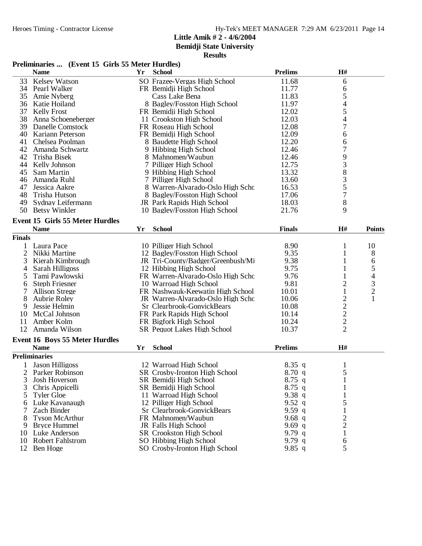**Bemidji State University**

# **Results**

### **Preliminaries ... (Event 15 Girls 55 Meter Hurdles)**

|                | <b>Name</b>                            | Yr | <b>School</b>                     | <b>Prelims</b> | H#                       |                |
|----------------|----------------------------------------|----|-----------------------------------|----------------|--------------------------|----------------|
| 33             | <b>Kelsey Watson</b>                   |    | SO Frazee-Vergas High School      | 11.68          | 6                        |                |
| 34             | Pearl Walker                           |    | FR Bemidji High School            | 11.77          | 6                        |                |
| 35             | Amie Nyberg                            |    | Cass Lake Bena                    | 11.83          | 5                        |                |
| 36             | Katie Hoiland                          |    | 8 Bagley/Fosston High School      | 11.97          | $\overline{\mathcal{L}}$ |                |
| 37             | <b>Kelly Frost</b>                     |    | FR Bemidji High School            | 12.02          | 5                        |                |
| 38             | Anna Schoeneberger                     |    | 11 Crookston High School          | 12.03          | 4                        |                |
| 39             | Danelle Comstock                       |    | FR Roseau High School             | 12.08          | 7                        |                |
| 40             | Kariann Peterson                       |    | FR Bemidji High School            | 12.09          | 6                        |                |
| 41             | Chelsea Poolman                        |    | 8 Baudette High School            | 12.20          | 6                        |                |
| 42             | Amanda Schwartz                        |    | 9 Hibbing High School             | 12.46          | $\overline{7}$           |                |
| 42             | Trisha Bisek                           |    | 8 Mahnomen/Waubun                 | 12.46          | 9                        |                |
| 44             | Kelly Johnson                          |    | 7 Pilliger High School            | 12.75          | 3                        |                |
| 45             | Sam Martin                             |    | 9 Hibbing High School             | 13.32          |                          |                |
| 46             | Amanda Ruhl                            |    | 7 Pilliger High School            | 13.60          | $\frac{8}{3}$            |                |
| 47             | Jessica Aakre                          |    | 8 Warren-Alvarado-Oslo High Scho  | 16.53          | 5                        |                |
| 48             | Trisha Hutson                          |    | 8 Bagley/Fosston High School      | 17.06          | $\overline{7}$           |                |
| 49             | Sydnay Leifermann                      |    | JR Park Rapids High School        | 18.03          | 8                        |                |
|                | 50 Betsy Winkler                       |    | 10 Bagley/Fosston High School     | 21.76          | 9                        |                |
|                |                                        |    |                                   |                |                          |                |
|                | <b>Event 15 Girls 55 Meter Hurdles</b> |    |                                   |                |                          |                |
|                | <b>Name</b>                            | Yr | <b>School</b>                     | <b>Finals</b>  | H#                       | <b>Points</b>  |
| <b>Finals</b>  |                                        |    |                                   |                |                          |                |
|                | Laura Pace                             |    | 10 Pilliger High School           | 8.90           | 1                        | 10             |
| 2              | Nikki Martine                          |    | 12 Bagley/Fosston High School     | 9.35           | 1                        | $8\phantom{1}$ |
| 3              | Kierah Kimbrough                       |    | JR Tri-County/Badger/Greenbush/Mi | 9.38           | 1                        | 6              |
| 4              | Sarah Hilligoss                        |    | 12 Hibbing High School            | 9.75           | $\mathbf{1}$             | 5              |
| 5              | Tami Pawlowski                         |    | FR Warren-Alvarado-Oslo High Scho | 9.76           |                          | $\overline{4}$ |
| 6              | <b>Steph Friesner</b>                  |    | 10 Warroad High School            | 9.81           | $\mathbf{2}$             | 3              |
| 7              | <b>Allison Strege</b>                  |    | FR Nashwauk-Keewatin High School  | 10.01          | $\mathbf{1}$             | $\overline{c}$ |
| 8              | <b>Aubrie Roley</b>                    |    | JR Warren-Alvarado-Oslo High Scho | 10.06          | $\overline{c}$           | 1              |
| 9              | Jessie Helmin                          |    | Sr Clearbrook-GonvickBears        | 10.08          |                          |                |
| 10             | McCal Johnson                          |    | FR Park Rapids High School        | 10.14          | $\frac{2}{2}$            |                |
| 11             | Amber Kolm                             |    | FR Bigfork High School            | 10.24          | $\overline{c}$           |                |
| 12             | Amanda Wilson                          |    | SR Pequot Lakes High School       | 10.37          | $\overline{2}$           |                |
|                | <b>Event 16 Boys 55 Meter Hurdles</b>  |    |                                   |                |                          |                |
|                | <b>Name</b>                            | Yr | <b>School</b>                     | <b>Prelims</b> | H#                       |                |
|                | <b>Preliminaries</b>                   |    |                                   |                |                          |                |
|                | <b>Jason Hilligoss</b>                 |    | 12 Warroad High School            | $8.35$ q       |                          |                |
|                |                                        |    |                                   |                | 1<br>5                   |                |
| $\overline{2}$ | Parker Robinson                        |    | SR Crosby-Ironton High School     | 8.70q          |                          |                |
| 3              | Josh Hoverson                          |    | SR Bemidji High School            | $8.75$ q       | $\mathbf 1$              |                |
| 3              | Chris Appicelli                        |    | SR Bemidji High School            | $8.75$ q       |                          |                |
| 5              | <b>Tyler Gloe</b>                      |    | 11 Warroad High School            | 9.38q          |                          |                |
| 6              | Luke Kavanaugh                         |    | 12 Pilliger High School           | 9.52 $q$       | 5                        |                |
| 7              | Zach Binder                            |    | Sr Clearbrook-GonvickBears        | 9.59 $q$       |                          |                |
| 8              | <b>Tyson McArthur</b>                  |    | FR Mahnomen/Waubun                | 9.68 $q$       | $\overline{c}$           |                |
| 9              | <b>Bryce Hummel</b>                    |    | JR Falls High School              | 9.69 $q$       | $\overline{c}$           |                |
| 10             | Luke Anderson                          |    | <b>SR</b> Crookston High School   | 9.79 $q$       | 1                        |                |
| 10             | <b>Robert Fahlstrom</b>                |    | SO Hibbing High School            | 9.79 $q$       | 6                        |                |
| 12             | Ben Hoge                               |    | SO Crosby-Ironton High School     | 9.85 q         | 5                        |                |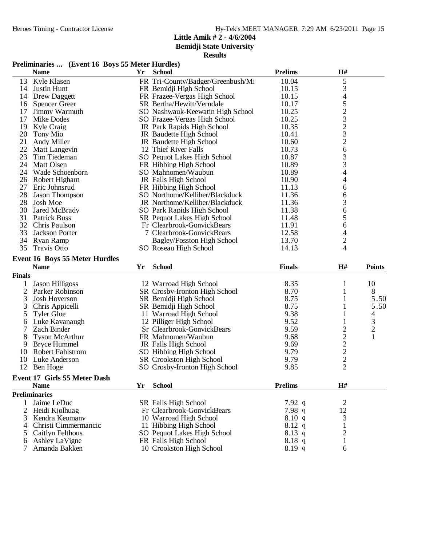**Bemidji State University**

|               | Preliminaries  (Event 16 Boys 55 Meter Hurdles) |    |                                                     |                    |                                                 |                |
|---------------|-------------------------------------------------|----|-----------------------------------------------------|--------------------|-------------------------------------------------|----------------|
|               | <b>Name</b>                                     | Yr | <b>School</b>                                       | <b>Prelims</b>     | H#                                              |                |
| 13            | Kyle Klasen                                     |    | FR Tri-County/Badger/Greenbush/Mi                   | 10.04              | 5                                               |                |
| 14            | Justin Hunt                                     |    | FR Bemidji High School                              | 10.15              | 3                                               |                |
|               | 14 Drew Daggett                                 |    | FR Frazee-Vergas High School                        | 10.15              | 4                                               |                |
|               | 16 Spencer Green                                |    | SR Bertha/Hewitt/Verndale                           | 10.17              | 5                                               |                |
| 17            | Jimmy Warmuth                                   |    | SO Nashwauk-Keewatin High School                    | 10.25              |                                                 |                |
| 17            | Mike Dodes                                      |    | SO Frazee-Vergas High School                        | 10.25              |                                                 |                |
| 19            | Kyle Craig                                      |    | JR Park Rapids High School                          | 10.35              | $\frac{2}{3}$<br>$\frac{2}{3}$<br>$\frac{3}{2}$ |                |
| 20            | Tony Mio                                        |    | JR Baudette High School                             | 10.41              |                                                 |                |
| 21            | Andy Miller                                     |    | JR Baudette High School                             | 10.60              |                                                 |                |
|               | 22 Matt Langevin                                |    | 12 Thief River Falls                                | 10.73              | 6                                               |                |
| 23            | Tim Tiedeman                                    |    | SO Pequot Lakes High School                         | 10.87              |                                                 |                |
| 24            | <b>Matt Olsen</b>                               |    | FR Hibbing High School                              | 10.89              | $\frac{3}{3}$                                   |                |
| 24            | Wade Schoenborn                                 |    | SO Mahnomen/Waubun                                  | 10.89              | 4                                               |                |
|               | 26 Robert Higham                                |    | JR Falls High School                                | 10.90              | 4                                               |                |
|               | 27 Eric Johnsrud                                |    | FR Hibbing High School                              | 11.13              | 6                                               |                |
| 28            | <b>Jason Thompson</b>                           |    | SO Northome/Kelliher/Blackduck                      | 11.36              | 6                                               |                |
| 28            | Josh Moe                                        |    | JR Northome/Kelliher/Blackduck                      | 11.36              | 3                                               |                |
| 30            | Jared McBrady                                   |    | SO Park Rapids High School                          | 11.38              | 6                                               |                |
| 31            | <b>Patrick Buss</b>                             |    | <b>SR Pequot Lakes High School</b>                  | 11.48              | 5                                               |                |
| 32            | Chris Paulson                                   |    | Fr Clearbrook-GonvickBears                          | 11.91              | 6                                               |                |
| 33            | Jackson Porter                                  |    | 7 Clearbrook-GonvickBears                           | 12.58              | 4                                               |                |
|               | 34 Ryan Ramp                                    |    | Bagley/Fosston High School                          | 13.70              | $\overline{c}$                                  |                |
| 35            | <b>Travis Otto</b>                              |    | SO Roseau High School                               | 14.13              | 4                                               |                |
|               | <b>Event 16 Boys 55 Meter Hurdles</b>           |    |                                                     |                    |                                                 |                |
|               | <b>Name</b>                                     | Yr | <b>School</b>                                       | <b>Finals</b>      | H#                                              | <b>Points</b>  |
| <b>Finals</b> |                                                 |    |                                                     |                    |                                                 |                |
| 1             | <b>Jason Hilligoss</b>                          |    | 12 Warroad High School                              | 8.35               | 1                                               | 10             |
| 2             | Parker Robinson                                 |    | SR Crosby-Ironton High School                       | 8.70               | 1                                               | 8              |
| 3             | Josh Hoverson                                   |    | SR Bemidji High School                              | 8.75               | 1                                               | 5.50           |
| 3             | Chris Appicelli                                 |    | SR Bemidji High School                              | 8.75               | 1                                               | 5.50           |
| 5             | <b>Tyler Gloe</b>                               |    | 11 Warroad High School                              | 9.38               | 1                                               | 4              |
| 6             | Luke Kavanaugh                                  |    | 12 Pilliger High School                             | 9.52               |                                                 | 3              |
| 7             | Zach Binder                                     |    | Sr Clearbrook-GonvickBears                          | 9.59               |                                                 | $\overline{c}$ |
| 8             | <b>Tyson McArthur</b>                           |    | FR Mahnomen/Waubun                                  | 9.68               |                                                 | 1              |
| 9             | <b>Bryce Hummel</b>                             |    | JR Falls High School                                | 9.69               |                                                 |                |
|               | 10 Robert Fahlstrom                             |    | SO Hibbing High School                              | 9.79               |                                                 |                |
|               |                                                 |    |                                                     |                    |                                                 |                |
|               |                                                 |    |                                                     |                    |                                                 |                |
|               | 10 Luke Anderson                                |    | SR Crookston High School                            | 9.79               | 222222                                          |                |
|               | 12 Ben Hoge                                     |    | SO Crosby-Ironton High School                       | 9.85               |                                                 |                |
|               | <b>Event 17 Girls 55 Meter Dash</b>             |    |                                                     |                    |                                                 |                |
|               | <b>Name</b>                                     | Yr | <b>School</b>                                       | <b>Prelims</b>     | $\mathbf{H}^{\#}$                               |                |
|               | <b>Preliminaries</b>                            |    |                                                     |                    |                                                 |                |
| 1             | Jaime LeDuc                                     |    | SR Falls High School                                | 7.92 q             | $\overline{c}$                                  |                |
|               | 2 Heidi Kjolhuag                                |    | Fr Clearbrook-GonvickBears                          | 7.98 q             | 12                                              |                |
| 3             | Kendra Keomany                                  |    | 10 Warroad High School                              | 8.10 q             | 3                                               |                |
| 4             | Christi Cimmermancic                            |    | 11 Hibbing High School                              | $8.12\ q$          |                                                 |                |
| 5<br>6        | Caitlyn Felthous<br><b>Ashley LaVigne</b>       |    | SO Pequot Lakes High School<br>FR Falls High School | $8.13$ q<br>8.18 q | $\overline{c}$<br>1                             |                |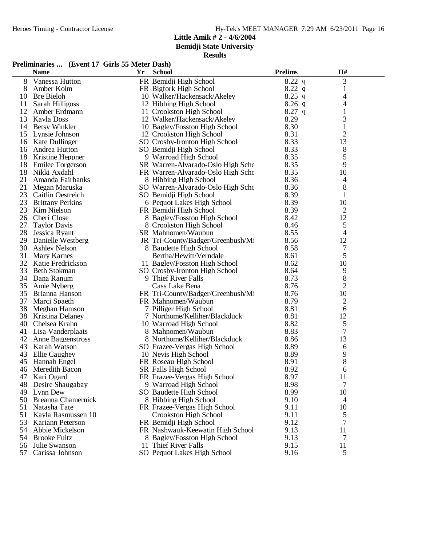**Bemidji State University**

|          | <b>Name</b>              | Yr | <b>School</b>                     | <b>Prelims</b> | H#             |  |
|----------|--------------------------|----|-----------------------------------|----------------|----------------|--|
| 8        | Vanessa Hutton           |    | FR Bemidji High School            | $8.22$ q       | 3              |  |
| 8        | Amber Kolm               |    | FR Bigfork High School            | $8.22\ q$      | 1              |  |
| 10       | <b>Bre Bieloh</b>        |    | 10 Walker/Hackensack/Akeley       | $8.25$ q       | 4              |  |
| 11       | Sarah Hilligoss          |    | 12 Hibbing High School            | $8.26$ q       | 4              |  |
| 12       | Amber Erdmann            |    | 11 Crookston High School          | $8.27$ q       | $\mathbf{1}$   |  |
| 13       | Kayla Doss               |    | 12 Walker/Hackensack/Akeley       | 8.29           | 3              |  |
| 14       | Betsy Winkler            |    | 10 Bagley/Fosston High School     | 8.30           | 1              |  |
| 15       | Lynsie Johnson           |    | 12 Crookston High School          | 8.31           | 2              |  |
|          | 16 Kate Dullinger        |    | SO Crosby-Ironton High School     | 8.33           | 13             |  |
| 16       | Andrea Hutton            |    | SO Bemidji High School            | 8.33           | 8              |  |
|          | 18 Kristine Heppner      |    | 9 Warroad High School             | 8.35           | 5              |  |
| 18       | <b>Emilee Torgerson</b>  |    | SR Warren-Alvarado-Oslo High Scho | 8.35           | 9              |  |
| 18       | Nikki Axdahl             |    | FR Warren-Alvarado-Oslo High Scho | 8.35           | 10             |  |
| 21       | Amanda Fairbanks         |    | 8 Hibbing High School             | 8.36           | 4              |  |
| 21       | Megan Maruska            |    | SO Warren-Alvarado-Oslo High Scho | 8.36           | 8              |  |
| 23       | <b>Caitlin Oestreich</b> |    | SO Bemidji High School            | 8.39           | 1              |  |
| 23       | <b>Brittany Perkins</b>  |    | 6 Pequot Lakes High School        | 8.39           | 10             |  |
| 23       | Kim Nielson              |    | FR Bemidji High School            | 8.39           | $\mathfrak{2}$ |  |
| 26       | Cheri Close              |    | 8 Bagley/Fosston High School      | 8.42           | 12             |  |
| 27       | <b>Taylor Davis</b>      |    | 8 Crookston High School           | 8.46           | 5              |  |
| 28       | Jessica Ryant            |    | SR Mahnomen/Waubun                | 8.55           | 4              |  |
| 29       | Danielle Westberg        |    | JR Tri-County/Badger/Greenbush/Mi | 8.56           | 12             |  |
| 30       | <b>Ashley Nelson</b>     |    | 8 Baudette High School            | 8.58           | $\overline{7}$ |  |
| 31       | <b>Mary Karnes</b>       |    | Bertha/Hewitt/Verndale            | 8.61           | 5              |  |
| 32       | Katie Fredrickson        |    | 11 Bagley/Fosston High School     | 8.62           | 10             |  |
| 33       | Beth Stokman             |    | SO Crosby-Ironton High School     | 8.64           | 9              |  |
| 34       | Dana Ranum               |    | 9 Thief River Falls               | 8.73           | 8              |  |
| 35       | Amie Nyberg              |    | Cass Lake Bena                    | 8.76           | $\overline{2}$ |  |
|          | 35 Brianna Hanson        |    | FR Tri-County/Badger/Greenbush/Mi | 8.76           | 10             |  |
| 37       | Marci Spaeth             |    | FR Mahnomen/Waubun                | 8.79           | 2              |  |
| 38       | Meghan Hamson            |    | 7 Pilliger High School            | 8.81           | 6              |  |
| 38       | Kristina Delaney         |    | 7 Northome/Kelliher/Blackduck     | 8.81           | 12             |  |
| 40       | Chelsea Krahn            |    | 10 Warroad High School            | 8.82           | 5              |  |
| 41       | Lisa Vanderplaats        |    | 8 Mahnomen/Waubun                 | 8.83           | 7              |  |
| 42       | Anne Baggenstross        |    | 8 Northome/Kelliher/Blackduck     | 8.86           | 13             |  |
|          | 43 Karah Watson          |    | SO Frazee-Vergas High School      | 8.89           | 6              |  |
| 43       | Ellie Caughey            |    | 10 Nevis High School              | 8.89           | 9              |  |
| 45       | Hannah Engel             |    | FR Roseau High School             | 8.91           | 8              |  |
| 46       | Meredith Bacon           |    | SR Falls High School              | 8.92           | 6              |  |
|          | 47 Kari Ogard            |    | FR Frazee-Vergas High School      | 8.97           | 11             |  |
| 48       | Desire Shaugabay         |    | 9 Warroad High School             | 8.98           | 7              |  |
| 49       | Lynn Dew                 |    | SO Baudette High School           | 8.99           | 10             |  |
| 50       | Breanna Chamernick       |    | 8 Hibbing High School             | 9.10           |                |  |
| 51       | Natasha Tate             |    | FR Frazee-Vergas High School      | 9.11           | 4<br>10        |  |
| 51       | Kayla Rasmussen 10       |    | Crookston High School             | 9.11           | 5              |  |
|          | Kariann Peterson         |    | FR Bemidji High School            | 9.12           |                |  |
| 53<br>54 | Abbie Mickelson          |    | FR Nashwauk-Keewatin High School  | 9.13           | 7<br>11        |  |
| 54       | <b>Brooke Fultz</b>      |    | 8 Bagley/Fosston High School      | 9.13           | 7              |  |
|          |                          |    | 11 Thief River Falls              | 9.15           |                |  |
| 56       | Julie Swanson            |    |                                   |                | 11             |  |
| 57       | Carissa Johnson          |    | SO Pequot Lakes High School       | 9.16           | 5              |  |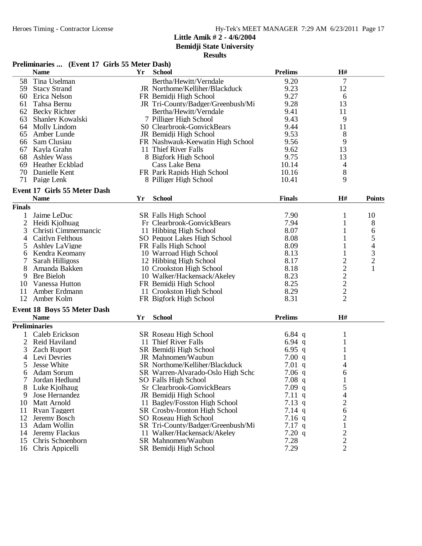**Bemidji State University**

|                | Preliminaries  (Event 17 Girls 55 Meter Dash) |    |                                   |                |                                           |                                            |
|----------------|-----------------------------------------------|----|-----------------------------------|----------------|-------------------------------------------|--------------------------------------------|
|                | <b>Name</b>                                   | Yr | <b>School</b>                     | <b>Prelims</b> | H#                                        |                                            |
| 58             | Tina Uselman                                  |    | Bertha/Hewitt/Verndale            | 9.20           | $\overline{7}$                            |                                            |
| 59             | <b>Stacy Strand</b>                           |    | JR Northome/Kelliher/Blackduck    | 9.23           | 12                                        |                                            |
|                | 60 Erica Nelson                               |    | FR Bemidji High School            | 9.27           | 6                                         |                                            |
| 61             | Tahsa Bernu                                   |    | JR Tri-County/Badger/Greenbush/Mi | 9.28           | 13                                        |                                            |
| 62             | <b>Becky Richter</b>                          |    | Bertha/Hewitt/Verndale            | 9.41           | 11                                        |                                            |
| 63             | Shanley Kowalski                              |    | 7 Pilliger High School            | 9.43           | 9                                         |                                            |
| 64             | Molly Lindom                                  |    | S0 Clearbrook-GonvickBears        | 9.44           | 11                                        |                                            |
| 65             | Amber Lunde                                   |    | JR Bemidji High School            | 9.53           | 8                                         |                                            |
| 66             | Sam Clusiau                                   |    | FR Nashwauk-Keewatin High School  | 9.56           | 9                                         |                                            |
|                | 67 Kayla Grahn                                |    | 11 Thief River Falls              | 9.62           | 13                                        |                                            |
| 68             | <b>Ashley Wass</b>                            |    | 8 Bigfork High School             | 9.75           | 13                                        |                                            |
| 69             | Heather Eckblad                               |    | Cass Lake Bena                    | 10.14          | 4                                         |                                            |
| 70             | Danielle Kent                                 |    | FR Park Rapids High School        | 10.16          | 8                                         |                                            |
| 71             | Paige Lenk                                    |    | 8 Pilliger High School            | 10.41          | 9                                         |                                            |
|                | Event 17 Girls 55 Meter Dash                  |    |                                   |                |                                           |                                            |
|                | <b>Name</b>                                   | Yr | <b>School</b>                     | <b>Finals</b>  | H#                                        | <b>Points</b>                              |
| <b>Finals</b>  |                                               |    |                                   |                |                                           |                                            |
| 1              | Jaime LeDuc                                   |    | SR Falls High School              | 7.90           | 1                                         | 10                                         |
| $\overline{c}$ | Heidi Kjolhuag                                |    | Fr Clearbrook-GonvickBears        | 7.94           | 1                                         | 8                                          |
| 3              | Christi Cimmermancic                          |    | 11 Hibbing High School            | 8.07           | 1                                         | 6                                          |
| 4              | Caitlyn Felthous                              |    | SO Pequot Lakes High School       | 8.08           | 1                                         | 5                                          |
| 5              | <b>Ashley LaVigne</b>                         |    | FR Falls High School              | 8.09           | 1                                         |                                            |
| 6              | Kendra Keomany                                |    | 10 Warroad High School            | 8.13           | 1                                         | $\begin{array}{c} 4 \\ 3 \\ 2 \end{array}$ |
|                | Sarah Hilligoss                               |    | 12 Hibbing High School            | 8.17           |                                           |                                            |
| 8              | Amanda Bakken                                 |    | 10 Crookston High School          | 8.18           |                                           | $\mathbf{1}$                               |
| 9              | <b>Bre Bieloh</b>                             |    | 10 Walker/Hackensack/Akeley       | 8.23           |                                           |                                            |
| 10             | Vanessa Hutton                                |    | FR Bemidji High School            | 8.25           |                                           |                                            |
| 11             | Amber Erdmann                                 |    | 11 Crookston High School          | 8.29           | $\frac{2}{2}$ $\frac{2}{2}$ $\frac{2}{2}$ |                                            |
| 12             | Amber Kolm                                    |    | FR Bigfork High School            | 8.31           |                                           |                                            |
|                | <b>Event 18 Boys 55 Meter Dash</b>            |    |                                   |                |                                           |                                            |
|                | <b>Name</b>                                   | Yr | <b>School</b>                     | <b>Prelims</b> | H#                                        |                                            |
|                | <b>Preliminaries</b>                          |    |                                   |                |                                           |                                            |
|                | Caleb Erickson                                |    | SR Roseau High School             | 6.84 $q$       | 1                                         |                                            |
| $\overline{c}$ | Reid Haviland                                 |    | 11 Thief River Falls              | 6.94 $q$       | 1                                         |                                            |
| 3              | <b>Zach Ruport</b>                            |    | SR Bemidji High School            | 6.95 $q$       | 1                                         |                                            |
| 4              | Levi Devries                                  |    | JR Mahnomen/Waubun                | 7.00 q         | 1                                         |                                            |
| 5              | Jesse White                                   |    | SR Northome/Kelliher/Blackduck    | $7.01$ q       | 4                                         |                                            |
| 6              | <b>Adam Sorum</b>                             |    | SR Warren-Alvarado-Oslo High Scho | $7.06$ q       | 6                                         |                                            |
| 7              | Jordan Hedlund                                |    | SO Falls High School              | $7.08$ q       | 1                                         |                                            |
| 8              | Luke Kjolhaug                                 |    | Sr Clearbrook-GonvickBears        | $7.09$ q       | 5                                         |                                            |
| 9              | Jose Hernandez                                |    | JR Bemidji High School            | 7.11 q         | 4                                         |                                            |
| 10             | Matt Arnold                                   |    | 11 Bagley/Fosston High School     | $7.13$ q       | $\overline{c}$                            |                                            |
| 11             | <b>Ryan Taggert</b>                           |    | SR Crosby-Ironton High School     | $7.14$ q       | 6                                         |                                            |
| 12             | Jeremy Bosch                                  |    | SO Roseau High School             | $7.16$ q       | $\overline{\mathbf{c}}$                   |                                            |
| 13             | Adam Wollin                                   |    | SR Tri-County/Badger/Greenbush/Mi | $7.17$ q       | 1                                         |                                            |
| 14             | Jeremy Flackus                                |    | 11 Walker/Hackensack/Akeley       | 7.20 q         |                                           |                                            |
| 15             | Chris Schoenborn                              |    | SR Mahnomen/Waubun                | 7.28           | $\frac{2}{2}$                             |                                            |
| 16             | Chris Appicelli                               |    | SR Bemidji High School            | 7.29           | $\overline{2}$                            |                                            |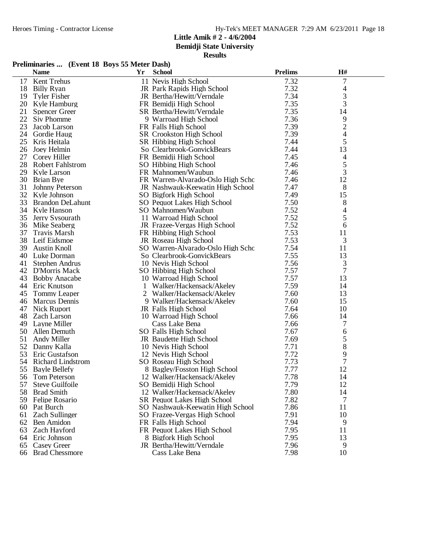**Bemidji State University**

| Preliminaries  (Event 18 Boys 55 Meter Dash) |  |  |  |  |
|----------------------------------------------|--|--|--|--|
|----------------------------------------------|--|--|--|--|

|    | <b>Name</b>              | Yr | <b>School</b>                      | <b>Prelims</b> | H#                       |  |
|----|--------------------------|----|------------------------------------|----------------|--------------------------|--|
| 17 | Kent Trehus              |    | 11 Nevis High School               | 7.32           | 7                        |  |
| 18 | <b>Billy Ryan</b>        |    | JR Park Rapids High School         | 7.32           | 4                        |  |
| 19 | <b>Tyler Fisher</b>      |    | JR Bertha/Hewitt/Verndale          | 7.34           | 3                        |  |
| 20 | Kyle Hamburg             |    | FR Bemidji High School             | 7.35           | 3                        |  |
| 21 | <b>Spencer Greer</b>     |    | SR Bertha/Hewitt/Verndale          | 7.35           | 14                       |  |
| 22 | Siv Phomme               |    | 9 Warroad High School              | 7.36           | 9                        |  |
| 23 | Jacob Larson             |    | FR Falls High School               | 7.39           | $\overline{c}$           |  |
| 24 | Gordie Haug              |    | SR Crookston High School           | 7.39           | $\overline{\mathcal{A}}$ |  |
| 25 | Kris Heitala             |    | SR Hibbing High School             | 7.44           | 5                        |  |
| 26 | Joey Helmin              |    | So Clearbrook-GonvickBears         | 7.44           | 13                       |  |
| 27 | Corey Hiller             |    | FR Bemidji High School             | 7.45           | 4                        |  |
| 28 | <b>Robert Fahlstrom</b>  |    | SO Hibbing High School             | 7.46           | 5                        |  |
| 29 | Kyle Larson              |    | FR Mahnomen/Waubun                 | 7.46           | 3                        |  |
| 30 | Brian Bye                |    | FR Warren-Alvarado-Oslo High Scho  | 7.46           | 12                       |  |
| 31 | Johnny Peterson          |    | JR Nashwauk-Keewatin High School   | 7.47           | 8                        |  |
| 32 | Kyle Johnson             |    | SO Bigfork High School             | 7.49           | 15                       |  |
| 33 | Brandon DeLahunt         |    | SO Pequot Lakes High School        | 7.50           | 8                        |  |
| 34 | Kyle Hanson              |    | SO Mahnomen/Waubun                 | 7.52           | 4                        |  |
| 35 | Jerry Sysourath          |    | 11 Warroad High School             | 7.52           | 5                        |  |
| 36 | Mike Seaberg             |    | JR Frazee-Vergas High School       | 7.52           | 6                        |  |
| 37 | <b>Travis Marsh</b>      |    | FR Hibbing High School             | 7.53           | 11                       |  |
| 38 | Leif Eidsmoe             |    | JR Roseau High School              | 7.53           | 3                        |  |
| 39 | <b>Austin Knoll</b>      |    | SO Warren-Alvarado-Oslo High Scho  | 7.54           | 11                       |  |
| 40 | Luke Dorman              |    | So Clearbrook-GonvickBears         | 7.55           | 13                       |  |
| 41 | Stephen Andrus           |    | 10 Nevis High School               | 7.56           | 3                        |  |
| 42 | <b>D'Morris Mack</b>     |    | SO Hibbing High School             | 7.57           | 7                        |  |
| 43 | <b>Bobby Anacabe</b>     |    | 10 Warroad High School             | 7.57           | 13                       |  |
| 44 | Eric Knutson             | 1  | Walker/Hackensack/Akeley           | 7.59           | 14                       |  |
| 45 | Tommy Leaper             |    | 2 Walker/Hackensack/Akeley         | 7.60           | 13                       |  |
| 46 | Marcus Dennis            |    | 9 Walker/Hackensack/Akeley         | 7.60           | 15                       |  |
| 47 | <b>Nick Ruport</b>       |    | JR Falls High School               | 7.64           | 10                       |  |
| 48 | <b>Zach Larson</b>       |    | 10 Warroad High School             | 7.66           | 14                       |  |
| 49 | Layne Miller             |    | Cass Lake Bena                     | 7.66           | 7                        |  |
| 50 | Allen Demuth             |    | SO Falls High School               | 7.67           | 6                        |  |
| 51 | Andy Miller              |    | JR Baudette High School            | 7.69           | 5                        |  |
| 52 | Danny Kalla              |    | 10 Nevis High School               | 7.71           | 8                        |  |
| 53 | Eric Gustafson           |    | 12 Nevis High School               | 7.72           | 9                        |  |
| 54 | <b>Richard Lindstrom</b> |    | SO Roseau High School              | 7.73           | 7                        |  |
| 55 | <b>Bayle Bellefy</b>     |    | 8 Bagley/Fosston High School       | 7.77           | 12                       |  |
|    | 56 Tom Peterson          |    | 12 Walker/Hackensack/Akeley        | 7.78           | 14                       |  |
| 57 | Steve Guilfoile          |    | SO Bemidji High School             | 7.79           | 12                       |  |
| 58 | <b>Brad Smith</b>        |    | 12 Walker/Hackensack/Akeley        | 7.80           | 14                       |  |
| 59 | Felipe Rosario           |    | <b>SR</b> Pequot Lakes High School | 7.82           | 7                        |  |
| 60 | Pat Burch                |    | SO Nashwauk-Keewatin High School   | 7.86           | 11                       |  |
| 61 | <b>Zach Sullinger</b>    |    | SO Frazee-Vergas High School       | 7.91           | 10                       |  |
| 62 | Ben Amidon               |    | FR Falls High School               | 7.94           | 9                        |  |
| 63 | Zach Hayford             |    | FR Pequot Lakes High School        | 7.95           | 11                       |  |
| 64 | Eric Johnson             |    | 8 Bigfork High School              | 7.95           | 13                       |  |
| 65 | <b>Casey Greer</b>       |    | JR Bertha/Hewitt/Verndale          | 7.96           | 9                        |  |
| 66 | <b>Brad Chessmore</b>    |    | Cass Lake Bena                     | 7.98           | 10                       |  |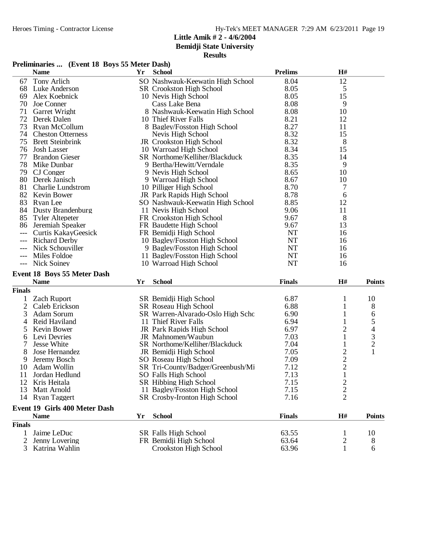**Bemidji State University**

# **Results**

### **Preliminaries ... (Event 18 Boys 55 Meter Dash)**

|               | <b>Name</b>                   | Yr | <b>School</b>                     | <b>Prelims</b> | H#             |                |
|---------------|-------------------------------|----|-----------------------------------|----------------|----------------|----------------|
| 67            | Tony Arlich                   |    | SO Nashwauk-Keewatin High School  | 8.04           | 12             |                |
| 68            | Luke Anderson                 |    | <b>SR</b> Crookston High School   | 8.05           | 5              |                |
| 69            | Alex Koebnick                 |    | 10 Nevis High School              | 8.05           | 15             |                |
| 70            | Joe Conner                    |    | Cass Lake Bena                    | 8.08           | 9              |                |
| 71            | Garret Wright                 |    | 8 Nashwauk-Keewatin High School   | 8.08           | 10             |                |
| 72            | Derek Dalen                   |    | 10 Thief River Falls              | 8.21           | 12             |                |
| 73            | Ryan McCollum                 |    | 8 Bagley/Fosston High School      | 8.27           | 11             |                |
| 74            | <b>Cheston Otterness</b>      |    | Nevis High School                 | 8.32           | 15             |                |
| 75            | <b>Brett Steinbrink</b>       |    | JR Crookston High School          | 8.32           | 8              |                |
| 76            | <b>Josh Lasser</b>            |    | 10 Warroad High School            | 8.34           | 15             |                |
| 77            | <b>Brandon Gieser</b>         |    | SR Northome/Kelliher/Blackduck    | 8.35           | 14             |                |
| 78            | Mike Dunbar                   |    | 9 Bertha/Hewitt/Verndale          | 8.35           | 9              |                |
| 79            | CJ Conger                     |    | 9 Nevis High School               | 8.65           | 10             |                |
| 80            | Derek Janisch                 |    | 9 Warroad High School             | 8.67           | 10             |                |
| 81            | <b>Charlie Lundstrom</b>      |    | 10 Pilliger High School           | 8.70           | 7              |                |
|               | 82 Kevin Bower                |    | JR Park Rapids High School        | 8.78           | 6              |                |
| 83            | Ryan Lee                      |    | SO Nashwauk-Keewatin High School  | 8.85           | 12             |                |
|               | 84 Dusty Brandenburg          |    | 11 Nevis High School              | 9.06           | 11             |                |
|               | 85 Tyler Altepeter            |    | FR Crookston High School          | 9.67           | 8              |                |
| 86            | Jeremiah Speaker              |    | FR Baudette High School           | 9.67           | 13             |                |
| $---$         | <b>Curtis KakayGeesick</b>    |    | FR Bemidji High School            | <b>NT</b>      | 16             |                |
|               | <b>Richard Derby</b>          |    | 10 Bagley/Fosston High School     | <b>NT</b>      | 16             |                |
|               | Nick Schouviller              |    | 9 Bagley/Fosston High School      | <b>NT</b>      | 16             |                |
|               | Miles Foldoe                  |    |                                   | <b>NT</b>      | 16             |                |
| ---           |                               |    | 11 Bagley/Fosston High School     | <b>NT</b>      |                |                |
|               | --- Nick Soiney               |    | 10 Warroad High School            |                | 16             |                |
|               | Event 18 Boys 55 Meter Dash   |    |                                   | <b>Finals</b>  | $\mathbf{H}$ # | <b>Points</b>  |
|               | <b>Name</b>                   | Yr | <b>School</b>                     |                |                |                |
| <b>Finals</b> |                               |    |                                   |                |                |                |
|               | <b>Zach Ruport</b>            |    | SR Bemidji High School            | 6.87           | 1              | 10             |
| 2             | Caleb Erickson                |    | SR Roseau High School             | 6.88           | $\mathbf{1}$   | 8              |
| 3             | Adam Sorum                    |    | SR Warren-Alvarado-Oslo High Scho | 6.90           | 1              | 6              |
| 4             | Reid Haviland                 |    | 11 Thief River Falls              | 6.94           | 1              | 5              |
| 5             | Kevin Bower                   |    | JR Park Rapids High School        | 6.97           | 2              | 4              |
| 6             | Levi Devries                  |    | JR Mahnomen/Waubun                | 7.03           | 1              | $\mathfrak{Z}$ |
| 7             | Jesse White                   |    | SR Northome/Kelliher/Blackduck    | 7.04           | 1              | $\overline{2}$ |
| 8             | Jose Hernandez                |    | JR Bemidji High School            | 7.05           | $\frac{2}{2}$  | $\mathbf{1}$   |
| 9             | Jeremy Bosch                  |    | SO Roseau High School             | 7.09           |                |                |
| 10            | Adam Wollin                   |    | SR Tri-County/Badger/Greenbush/Mi | 7.12           |                |                |
|               | 11 Jordan Hedlund             |    | SO Falls High School              | 7.13           | $\mathbf{1}$   |                |
|               | 12 Kris Heitala               |    | <b>SR Hibbing High School</b>     | 7.15           | $\overline{c}$ |                |
| 13            | <b>Matt Arnold</b>            |    | 11 Bagley/Fosston High School     | 7.15           | $\overline{c}$ |                |
|               | 14 Ryan Taggert               |    | SR Crosby-Ironton High School     | 7.16           | $\overline{2}$ |                |
|               | Event 19 Girls 400 Meter Dash |    |                                   |                |                |                |
|               | <b>Name</b>                   | Yr | <b>School</b>                     | <b>Finals</b>  | H#             | <b>Points</b>  |
| <b>Finals</b> |                               |    |                                   |                |                |                |
|               | Jaime LeDuc                   |    | SR Falls High School              | 63.55          | 1              | 10             |
| 2             | Jenny Lovering                |    | FR Bemidji High School            | 63.64          | $\overline{c}$ | 8              |
| 3             | Katrina Wahlin                |    | <b>Crookston High School</b>      | 63.96          | 1              | 6              |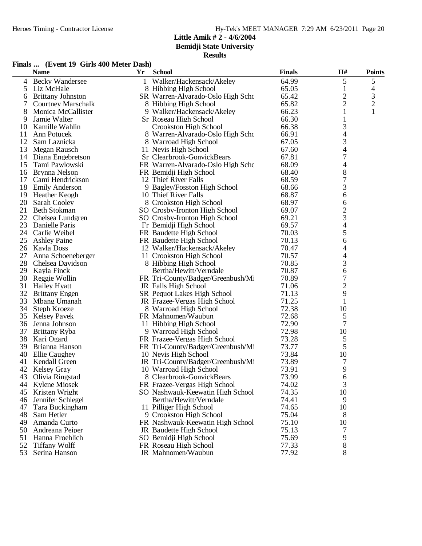**Bemidji State University**

| Finals  (Event 19 Girls 400 Meter Dash) |  |
|-----------------------------------------|--|
|-----------------------------------------|--|

|          | <b>Name</b>                 | Yr | <b>School</b>                     | <b>Finals</b>  | H#                       | <b>Points</b>  |
|----------|-----------------------------|----|-----------------------------------|----------------|--------------------------|----------------|
| 4        | <b>Becky Wandersee</b>      |    | 1 Walker/Hackensack/Akeley        | 64.99          | 5                        | 5              |
| 5        | Liz McHale                  |    | 8 Hibbing High School             | 65.05          | 1                        | 4              |
| 6        | <b>Brittany Johnston</b>    |    | SR Warren-Alvarado-Oslo High Scho | 65.42          | $\overline{c}$           | $\mathfrak{Z}$ |
| 7        | <b>Courtney Marschalk</b>   |    | 8 Hibbing High School             | 65.82          | $\overline{c}$           | $\overline{c}$ |
| 8        | Monica McCallister          |    | 9 Walker/Hackensack/Akeley        | 66.23          | 1                        | 1              |
| 9        | Jamie Walter                |    | Sr Roseau High School             | 66.30          | 1                        |                |
| 10       | Kamille Wahlin              |    | Crookston High School             | 66.38          | 3                        |                |
| 11       | Ann Potucek                 |    | 8 Warren-Alvarado-Oslo High Scho  | 66.91          | 4                        |                |
| 12       | Sam Laznicka                |    | 8 Warroad High School             | 67.05          | 3                        |                |
| 13       | Megan Rausch                |    | 11 Nevis High School              | 67.60          | 4                        |                |
| 14       | Diana Engebretson           |    | Sr Clearbrook-GonvickBears        | 67.81          | 7                        |                |
| 15       | Tami Pawlowski              |    | FR Warren-Alvarado-Oslo High Scho | 68.09          | 4                        |                |
| 16       | Brynna Nelson               |    | FR Bemidji High School            | 68.40          | 8                        |                |
| 17       | Cami Hendrickson            |    | 12 Thief River Falls              | 68.59          | 7                        |                |
| 18       | <b>Emily Anderson</b>       |    | 9 Bagley/Fosston High School      | 68.66          | 3                        |                |
| 19       | Heather Keogh               |    | 10 Thief River Falls              | 68.87          | 6                        |                |
| 20       | Sarah Cooley                |    | 8 Crookston High School           | 68.97          | 6                        |                |
| 21       | Beth Stokman                |    | SO Crosby-Ironton High School     | 69.07          | $\overline{c}$           |                |
| 22       | Chelsea Lundgren            |    | SO Crosby-Ironton High School     | 69.21          | 3                        |                |
| 23       | Danielle Paris              |    | Fr Bemidji High School            | 69.57          | $\overline{\mathcal{L}}$ |                |
|          | 24 Carlie Weibel            |    | FR Baudette High School           | 70.03          | 5                        |                |
| 25       | <b>Ashley Paine</b>         |    | FR Baudette High School           | 70.13          | 6                        |                |
|          | 26 Kayla Doss               |    | 12 Walker/Hackensack/Akeley       | 70.47          | 4                        |                |
| 27       | Anna Schoeneberger          |    | 11 Crookston High School          | 70.57          | 4                        |                |
| 28       | Chelsea Davidson            |    | 8 Hibbing High School             | 70.85          | 3                        |                |
| 29       | Kayla Finck                 |    | Bertha/Hewitt/Verndale            | 70.87          | 6                        |                |
| 30       | Reggie Wollin               |    | FR Tri-County/Badger/Greenbush/Mi | 70.89          | 7                        |                |
| 31       | <b>Hailey Hyatt</b>         |    | JR Falls High School              | 71.06          | $\overline{c}$           |                |
|          | 32 Brittany Engen           |    | SR Pequot Lakes High School       | 71.13          | 9                        |                |
| 33       | Mbang Umanah                |    | JR Frazee-Vergas High School      | 71.25          | 1                        |                |
| 34       | Steph Kroeze                |    | 8 Warroad High School             | 72.38          | 10                       |                |
| 35       | <b>Kelsey Pavek</b>         |    | FR Mahnomen/Waubun                | 72.68          | 5                        |                |
| 36       | Jenna Johnson               |    | 11 Hibbing High School            | 72.90          | 7                        |                |
|          |                             |    |                                   | 72.98          |                          |                |
| 37<br>38 | Brittany Ryba<br>Kari Ogard |    | 9 Warroad High School             | 73.28          | 10                       |                |
| 39       | Brianna Hanson              |    | FR Frazee-Vergas High School      | 73.77          | 5<br>5                   |                |
| 40       | <b>Ellie Caughey</b>        |    | FR Tri-County/Badger/Greenbush/Mi | 73.84          |                          |                |
|          | <b>Kendall Green</b>        |    | 10 Nevis High School              |                | 10                       |                |
| 41       | 42 Kelsey Gray              |    | JR Tri-County/Badger/Greenbush/Mi | 73.89<br>73.91 | 7<br>9                   |                |
|          |                             |    | 10 Warroad High School            |                |                          |                |
|          | 43 Olivia Ringstad          |    | 8 Clearbrook-GonvickBears         | 73.99          | $\sqrt{6}$               |                |
| 44       | Kylene Miosek               |    | FR Frazee-Vergas High School      | 74.02          | 3                        |                |
| 45       | Kristen Wright              |    | SO Nashwauk-Keewatin High School  | 74.35          | 10                       |                |
| 46       | Jennifer Schlegel           |    | Bertha/Hewitt/Verndale            | 74.41          | 9                        |                |
| 47       | Tara Buckingham             |    | 11 Pilliger High School           | 74.65          | 10                       |                |
| 48       | Sam Hetler                  |    | 9 Crookston High School           | 75.04          | 8                        |                |
| 49       | Amanda Curto                |    | FR Nashwauk-Keewatin High School  | 75.10          | 10                       |                |
| 50       | Andreana Peiper             |    | JR Baudette High School           | 75.13          | 7                        |                |
| 51       | Hanna Froehlich             |    | SO Bemidji High School            | 75.69          | 9                        |                |
| 52       | <b>Tiffany Wolff</b>        |    | FR Roseau High School             | 77.33          | 8                        |                |
| 53       | Serina Hanson               |    | JR Mahnomen/Waubun                | 77.92          | 8                        |                |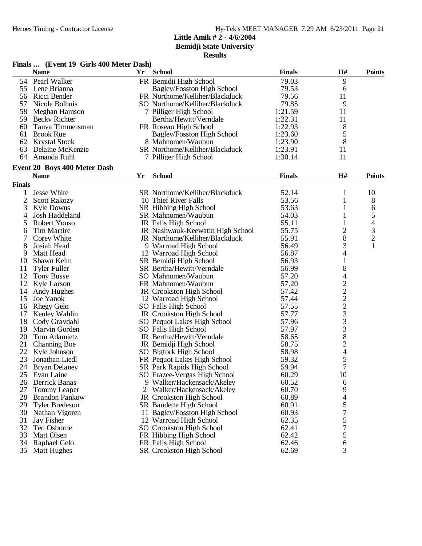**Bemidji State University**

|                | Finals  (Event 19 Girls 400 Meter Dash) |    |                                  |               |                                                 |                          |
|----------------|-----------------------------------------|----|----------------------------------|---------------|-------------------------------------------------|--------------------------|
|                | <b>Name</b>                             | Yr | <b>School</b>                    | <b>Finals</b> | H#                                              | <b>Points</b>            |
| 54             | Pearl Walker                            |    | FR Bemidji High School           | 79.03         | 9                                               |                          |
| 55             | Lene Brianna                            |    | Bagley/Fosston High School       | 79.53         | 6                                               |                          |
| 56             | Ricci Bender                            |    | FR Northome/Kelliher/Blackduck   | 79.56         | 11                                              |                          |
| 57             | Nicole Bolhuis                          |    | SO Northome/Kelliher/Blackduck   | 79.85         | 9                                               |                          |
| 58             | Meghan Hamson                           |    | 7 Pilliger High School           | 1:21.59       | 11                                              |                          |
|                | 59 Becky Richter                        |    | Bertha/Hewitt/Verndale           | 1:22.31       | 11                                              |                          |
| 60             | Tanya Timmersman                        |    | FR Roseau High School            | 1:22.93       | 8                                               |                          |
| 61             | <b>Brook Rue</b>                        |    | Bagley/Fosston High School       | 1:23.60       | 5                                               |                          |
| 62             | <b>Krystal Stock</b>                    |    | 8 Mahnomen/Waubun                | 1:23.90       | 8                                               |                          |
| 63             | Delaine McKenzie                        |    | SR Northome/Kelliher/Blackduck   | 1:23.91       | 11                                              |                          |
|                | 64 Amanda Ruhl                          |    | 7 Pilliger High School           | 1:30.14       | 11                                              |                          |
|                | Event 20 Boys 400 Meter Dash            |    |                                  |               |                                                 |                          |
|                | <b>Name</b>                             | Yr | <b>School</b>                    | <b>Finals</b> | H#                                              | <b>Points</b>            |
| <b>Finals</b>  |                                         |    |                                  |               |                                                 |                          |
| 1              | Jesse White                             |    | SR Northome/Kelliher/Blackduck   | 52.14         | 1                                               | 10                       |
| $\overline{2}$ | <b>Scott Rakozy</b>                     |    | 10 Thief River Falls             | 53.56         | $\mathbf{1}$                                    | 8                        |
| 3              | <b>Kyle Downs</b>                       |    | SR Hibbing High School           | 53.63         | $\mathbf{1}$                                    | 6                        |
| 4              | Josh Haddeland                          |    | SR Mahnomen/Waubun               | 54.03         | $\mathbf{1}$                                    | 5                        |
| 5              | Robert Youso                            |    | JR Falls High School             | 55.11         |                                                 | $\overline{\mathcal{L}}$ |
| 6              | <b>Tim Martire</b>                      |    | JR Nashwauk-Keewatin High School | 55.75         | $\overline{c}$                                  |                          |
| 7              | Corey White                             |    | JR Northome/Kelliher/Blackduck   | 55.91         | 8                                               | $\frac{3}{2}$            |
| 8              | Josiah Head                             |    | 9 Warroad High School            | 56.49         | 3                                               | $\mathbf{1}$             |
| 9              | Matt Head                               |    | 12 Warroad High School           | 56.87         | 4                                               |                          |
| 10             | Shawn Kelm                              |    | SR Bemidji High School           | 56.93         | $\mathbf{1}$                                    |                          |
| 11             | <b>Tyler Fuller</b>                     |    | SR Bertha/Hewitt/Verndale        | 56.99         | 8                                               |                          |
| 12             | <b>Tony Busse</b>                       |    | SO Mahnomen/Waubun               | 57.20         | 4                                               |                          |
| 12             | Kyle Larson                             |    | FR Mahnomen/Waubun               | 57.20         | $\overline{c}$                                  |                          |
| 14             | Andy Hughes                             |    | JR Crookston High School         | 57.42         | $\overline{c}$                                  |                          |
| 15             | Joe Yanok                               |    | 12 Warroad High School           | 57.44         |                                                 |                          |
| 16             |                                         |    | SO Falls High School             | 57.55         |                                                 |                          |
| 17             | <b>Rhegy Gelo</b>                       |    |                                  | 57.77         | $\begin{array}{c} 2 \\ 2 \\ 3 \\ 3 \end{array}$ |                          |
|                | Kenley Wahlin                           |    | JR Crookston High School         | 57.96         |                                                 |                          |
| 18             | Cody Gravdahl                           |    | SO Pequot Lakes High School      |               | 3                                               |                          |
| 19             | Marvin Gorden                           |    | SO Falls High School             | 57.97         |                                                 |                          |
| 20             | Tom Adamietz                            |    | JR Bertha/Hewitt/Verndale        | 58.65         | 8                                               |                          |
| 21             | <b>Channing Boe</b>                     |    | JR Bemidji High School           | 58.75         | $\overline{c}$                                  |                          |
| 22             | Kyle Johnson                            |    | SO Bigfork High School           | 58.98         | $\overline{\mathcal{L}}$                        |                          |
| 23             | Jonathan Liedl                          |    | FR Pequot Lakes High School      | 59.32         | 5                                               |                          |
|                | 24 Bryan Delaney                        |    | SR Park Rapids High School       | 59.94         | $\overline{7}$                                  |                          |
| 25             | Evan Laine                              |    | SO Frazee-Vergas High School     | 60.29         | 10                                              |                          |
| 26             | Derrick Banas                           |    | 9 Walker/Hackensack/Akeley       | 60.52         | 6                                               |                          |
| 27             | <b>Tommy Leaper</b>                     | 2  | Walker/Hackensack/Akeley         | 60.70         | 9                                               |                          |
| 28             | <b>Brandon Pankow</b>                   |    | <b>JR</b> Crookston High School  | 60.89         | 4                                               |                          |
| 29             | <b>Tyler Bredeson</b>                   |    | SR Baudette High School          | 60.91         | 5                                               |                          |
| 30             | Nathan Vigoren                          |    | 11 Bagley/Fosston High School    | 60.93         | 7                                               |                          |
| 31             | Jay Fisher                              |    | 12 Warroad High School           | 62.35         | 5                                               |                          |
| 32             | Ted Osborne                             |    | SO Crookston High School         | 62.41         | 7                                               |                          |
| 33             | Matt Olsen                              |    | FR Hibbing High School           | 62.42         | 5                                               |                          |
| 34             | Raphael Gelo                            |    | FR Falls High School             | 62.46         | 6                                               |                          |
| 35             | <b>Matt Hughes</b>                      |    | <b>SR</b> Crookston High School  | 62.69         | 3                                               |                          |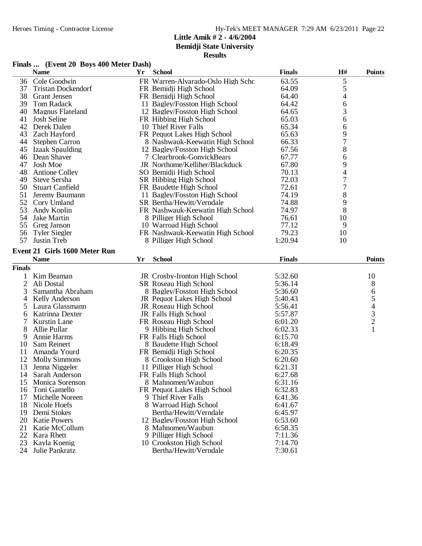**Bemidji State University**

| Finals  (Event 20 Boys 400 Meter Dash) |  |  |
|----------------------------------------|--|--|
|                                        |  |  |

|               | <b>Name</b>                   | Yr | <b>School</b>                     | <b>Finals</b> | H# | <b>Points</b>            |
|---------------|-------------------------------|----|-----------------------------------|---------------|----|--------------------------|
|               | 36 Cole Goodwin               |    | FR Warren-Alvarado-Oslo High Scho | 63.55         | 5  |                          |
| 37            | <b>Tristan Dockendorf</b>     |    | FR Bemidji High School            | 64.09         | 5  |                          |
| 38            | <b>Grant Jensen</b>           |    | FR Bemidji High School            | 64.40         | 4  |                          |
| 39            | Tom Radack                    |    | 11 Bagley/Fosston High School     | 64.42         | 6  |                          |
| 40            | <b>Magnus Flateland</b>       |    | 12 Bagley/Fosston High School     | 64.65         | 3  |                          |
| 41            | Josh Seline                   |    | FR Hibbing High School            | 65.03         | 6  |                          |
| 42            | Derek Dalen                   |    | 10 Thief River Falls              | 65.34         | 6  |                          |
| 43            | Zach Hayford                  |    | FR Pequot Lakes High School       | 65.63         | 9  |                          |
| 44            | <b>Stephen Carron</b>         |    | 8 Nashwauk-Keewatin High School   | 66.33         | 7  |                          |
| 45            | <b>Izaak Spaulding</b>        |    | 12 Bagley/Fosston High School     | 67.56         | 8  |                          |
| 46            | Dean Shaver                   |    | 7 Clearbrook-GonvickBears         | 67.77         | 6  |                          |
| 47            | <b>Josh Moe</b>               |    | JR Northome/Kelliher/Blackduck    | 67.80         | 9  |                          |
| 48            | <b>Antione Colley</b>         |    | SO Bemidji High School            | 70.13         | 4  |                          |
| 49            | Steve Sersha                  |    | SR Hibbing High School            | 72.03         | 7  |                          |
| 50            | <b>Stuart Canfield</b>        |    | FR Baudette High School           | 72.61         | 7  |                          |
| 51            | Jeremy Baumann                |    | 11 Bagley/Fosston High School     | 74.19         | 8  |                          |
|               | 52 Cory Umland                |    | SR Bertha/Hewitt/Verndale         | 74.88         | 9  |                          |
| 53            | Andy Koplin                   |    | FR Nashwauk-Keewatin High School  | 74.97         | 8  |                          |
| 54            | Jake Martin                   |    | 8 Pilliger High School            | 76.61         | 10 |                          |
| 55            | Greg Janson                   |    | 10 Warroad High School            | 77.12         | 9  |                          |
| 56            | <b>Tyler Siegler</b>          |    | FR Nashwauk-Keewatin High School  | 79.23         | 10 |                          |
| 57            | Justin Treb                   |    | 8 Pilliger High School            | 1:20.94       | 10 |                          |
|               |                               |    |                                   |               |    |                          |
|               | Event 21 Girls 1600 Meter Run |    | <b>School</b>                     |               |    |                          |
|               | <b>Name</b>                   | Yr |                                   | <b>Finals</b> |    | <b>Points</b>            |
| <b>Finals</b> |                               |    |                                   |               |    |                          |
| 1             | Kim Beaman                    |    | JR Crosby-Ironton High School     | 5:32.60       |    | 10                       |
| $\mathbf{2}$  | Ali Dostal                    |    | SR Roseau High School             | 5:36.14       |    | 8                        |
| 3             | Samantha Abraham              |    | 8 Bagley/Fosston High School      | 5:36.60       |    | 6                        |
| 4             | Kelly Anderson                |    | JR Pequot Lakes High School       | 5:40.43       |    | 5                        |
| 5             | Laura Glassmann               |    | JR Roseau High School             | 5:56.41       |    | $\overline{\mathcal{A}}$ |
| 6             | Katrinna Dexter               |    | JR Falls High School              | 5:57.87       |    | $\frac{3}{2}$            |
| 7             | <b>Kurstin Lane</b>           |    | FR Roseau High School             | 6:01.20       |    |                          |
| 8             | Allie Pullar                  |    | 9 Hibbing High School             | 6:02.33       |    | 1                        |
| 9             | <b>Annie Harms</b>            |    | FR Falls High School              | 6:15.70       |    |                          |
| 10            | Sam Reinert                   |    | 8 Baudette High School            | 6:18.49       |    |                          |
| 11            | Amanda Yourd                  |    | FR Bemidji High School            | 6:20.35       |    |                          |
| 12            | <b>Molly Simmons</b>          |    | 8 Crookston High School           | 6:20.60       |    |                          |
| 13            | Jenna Niggeler                |    | 11 Pilliger High School           | 6:21.31       |    |                          |
|               | 14 Sarah Anderson             |    | FR Falls High School              | 6:27.68       |    |                          |
| 15            | Monica Sorenson               |    | 8 Mahnomen/Waubun                 | 6:31.16       |    |                          |
| 16            | Toni Gamello                  |    | FR Pequot Lakes High School       | 6:32.83       |    |                          |
| 17            | Michelle Noreen               |    | 9 Thief River Falls               | 6:41.36       |    |                          |
| 18            | Nicole Hoefs                  |    | 8 Warroad High School             | 6:41.67       |    |                          |
| 19            | Demi Stokes                   |    | Bertha/Hewitt/Verndale            | 6:45.97       |    |                          |
| 20            | <b>Katie Powers</b>           |    | 12 Bagley/Fosston High School     | 6:53.60       |    |                          |
| 21            | Katie McCollum                |    | 8 Mahnomen/Waubun                 | 6:58.35       |    |                          |
| 22            | Kara Rhett                    |    | 9 Pilliger High School            | 7:11.36       |    |                          |
| 23            | Kayla Koenig                  |    | 10 Crookston High School          | 7:14.70       |    |                          |
| 24            | Julie Pankratz                |    | Bertha/Hewitt/Verndale            | 7:30.61       |    |                          |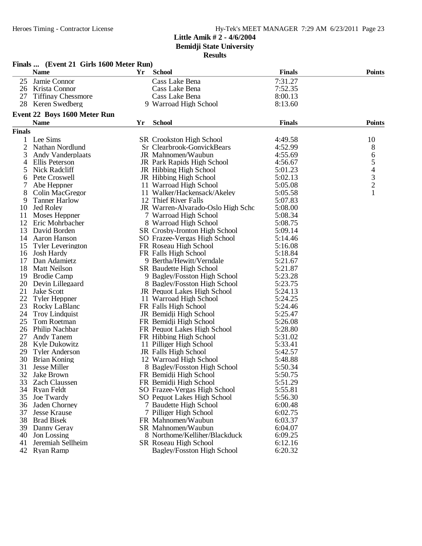|               | Finals  (Event 21 Girls 1600 Meter Run) |    |                                   |               |                                       |
|---------------|-----------------------------------------|----|-----------------------------------|---------------|---------------------------------------|
|               | <b>Name</b>                             | Yr | <b>School</b>                     | <b>Finals</b> | <b>Points</b>                         |
| 25            | Jamie Connor                            |    | Cass Lake Bena                    | 7:31.27       |                                       |
|               | 26 Krista Connor                        |    | Cass Lake Bena                    | 7:52.35       |                                       |
| 27            | <b>Tiffinay Chessmore</b>               |    | Cass Lake Bena                    | 8:00.13       |                                       |
| 28            | Keren Swedberg                          |    | 9 Warroad High School             | 8:13.60       |                                       |
|               | Event 22 Boys 1600 Meter Run            |    |                                   |               |                                       |
|               | <b>Name</b>                             | Yr | <b>School</b>                     | <b>Finals</b> | <b>Points</b>                         |
| <b>Finals</b> |                                         |    |                                   |               |                                       |
|               | Lee Sims                                |    | SR Crookston High School          | 4:49.58       | 10                                    |
| 2             | Nathan Nordlund                         |    | Sr Clearbrook-GonvickBears        | 4:52.99       | 8                                     |
| 3             | <b>Andy Vanderplaats</b>                |    | JR Mahnomen/Waubun                | 4:55.69       | $\begin{array}{c} 6 \\ 5 \end{array}$ |
| 4             | Ellis Peterson                          |    | JR Park Rapids High School        | 4:56.67       |                                       |
| 5             | Nick Radcliff                           |    | JR Hibbing High School            | 5:01.23       | $\overline{4}$                        |
| 6             | Pete Croswell                           |    | JR Hibbing High School            | 5:02.13       | $\frac{3}{2}$                         |
|               | Abe Heppner                             |    | 11 Warroad High School            | 5:05.08       |                                       |
| 8             | Colin MacGregor                         |    | 11 Walker/Hackensack/Akeley       | 5:05.58       | 1                                     |
| 9             | <b>Tanner Harlow</b>                    |    | 12 Thief River Falls              | 5:07.83       |                                       |
| 10            | <b>Jed Roley</b>                        |    | JR Warren-Alvarado-Oslo High Scho | 5:08.00       |                                       |
| 11            | Moses Heppner                           |    | 7 Warroad High School             | 5:08.34       |                                       |
| 12            | Eric Mohrbacher                         |    | 8 Warroad High School             | 5:08.75       |                                       |
| 13            | David Borden                            |    | SR Crosby-Ironton High School     | 5:09.14       |                                       |
| 14            | Aaron Hanson                            |    | SO Frazee-Vergas High School      | 5:14.46       |                                       |
| 15            | <b>Tyler Leverington</b>                |    | FR Roseau High School             | 5:16.08       |                                       |
| 16            | Josh Hardy                              |    | FR Falls High School              | 5:18.84       |                                       |
| 17            | Dan Adamietz                            |    | 9 Bertha/Hewitt/Verndale          | 5:21.67       |                                       |
| 18            | <b>Matt Neilson</b>                     |    | <b>SR</b> Baudette High School    | 5:21.87       |                                       |
| 19            | <b>Brodie Camp</b>                      |    | 9 Bagley/Fosston High School      | 5:23.28       |                                       |
| 20            | Devin Lillegaard                        |    | 8 Bagley/Fosston High School      | 5:23.75       |                                       |
| 21            | <b>Jake Scott</b>                       |    | JR Pequot Lakes High School       | 5:24.13       |                                       |
| 22            | <b>Tyler Heppner</b>                    |    | 11 Warroad High School            | 5:24.25       |                                       |
| 23            | Rocky LaBlanc                           |    | FR Falls High School              | 5:24.46       |                                       |
| 24            | <b>Troy Lindquist</b>                   |    | JR Bemidji High School            | 5:25.47       |                                       |
| 25            | Tom Roetman                             |    | FR Bemidji High School            | 5:26.08       |                                       |
|               | 26 Philip Nachbar                       |    | FR Pequot Lakes High School       | 5:28.80       |                                       |
| 27            | Andy Tanem                              |    | FR Hibbing High School            | 5:31.02       |                                       |
| 28            | Kyle Dukowitz                           |    | 11 Pilliger High School           | 5:33.41       |                                       |
| 29            | <b>Tyler Anderson</b>                   |    | JR Falls High School              | 5:42.57       |                                       |
| 30            | <b>Brian Koning</b>                     |    | 12 Warroad High School            | 5:48.88       |                                       |
|               | 31 Jesse Miller                         |    | 8 Bagley/Fosston High School      | 5:50.34       |                                       |
| 32            | Jake Brown                              |    | FR Bemidji High School            | 5:50.75       |                                       |
| 33            | <b>Zach Claussen</b>                    |    | FR Bemidji High School            | 5:51.29       |                                       |
| 34            | Ryan Feldt                              |    | SO Frazee-Vergas High School      | 5:55.81       |                                       |
| 35            | Joe Twardy                              |    | SO Pequot Lakes High School       | 5:56.30       |                                       |
| 36            | Jaden Chorney                           |    | 7 Baudette High School            | 6:00.48       |                                       |
| 37            | <b>Jesse Krause</b>                     |    | 7 Pilliger High School            | 6:02.75       |                                       |
| 38            | <b>Brad Bisek</b>                       |    | FR Mahnomen/Waubun                | 6:03.37       |                                       |
| 39            | Danny Geray                             |    | SR Mahnomen/Waubun                | 6:04.07       |                                       |
| 40            | Jon Lossing                             |    | 8 Northome/Kelliher/Blackduck     | 6:09.25       |                                       |
| 41            | Jeremiah Sellheim                       |    | SR Roseau High School             | 6:12.16       |                                       |
| 42            | Ryan Ramp                               |    | Bagley/Fosston High School        | 6:20.32       |                                       |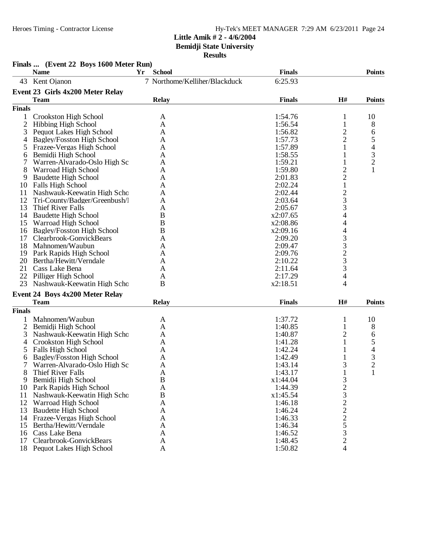# Heroes Timing - Contractor License Hy-Tek's MEET MANAGER 7:29 AM 6/23/2011 Page 24

### **Little Amik # 2 - 4/6/2004 Bemidji State University Results**

|                | Finals  (Event 22 Boys 1600 Meter Run)<br><b>Name</b> | <b>School</b><br>Yr           | <b>Finals</b> |                                           | <b>Points</b>  |
|----------------|-------------------------------------------------------|-------------------------------|---------------|-------------------------------------------|----------------|
| 43             | Kent Ojanon                                           | 7 Northome/Kelliher/Blackduck | 6:25.93       |                                           |                |
|                |                                                       |                               |               |                                           |                |
|                | Event 23 Girls 4x200 Meter Relay                      |                               |               |                                           |                |
|                | <b>Team</b>                                           | <b>Relay</b>                  | <b>Finals</b> | H#                                        | <b>Points</b>  |
| <b>Finals</b>  |                                                       |                               |               |                                           |                |
| 1              | Crookston High School                                 | A                             | 1:54.76       | 1                                         | 10             |
| $\overline{2}$ | <b>Hibbing High School</b>                            | A                             | 1:56.54       | $\mathbf{1}$                              | 8              |
| 3              | Pequot Lakes High School                              | A                             | 1:56.82       | $\overline{c}$                            | 6              |
| 4              | Bagley/Fosston High School                            | A                             | 1:57.73       | $\overline{c}$                            | 5              |
| 5              | Frazee-Vergas High School                             | A                             | 1:57.89       | 1                                         | 4              |
| 6              | Bemidji High School                                   | A                             | 1:58.55       | 1                                         | $\frac{3}{2}$  |
|                | Warren-Alvarado-Oslo High Sc                          | A                             | 1:59.21       | $\mathbf{1}$                              |                |
| 8              | Warroad High School                                   | A                             | 1:59.80       | $\overline{c}$                            | $\mathbf{1}$   |
| 9              | <b>Baudette High School</b>                           | A                             | 2:01.83       | $\overline{c}$                            |                |
| 10             | Falls High School                                     | A                             | 2:02.24       | $\,1$                                     |                |
| 11             | Nashwauk-Keewatin High Scho                           | A                             | 2:02.44       | $\frac{2}{3}$                             |                |
| 12             | Tri-County/Badger/Greenbush/l                         | A                             | 2:03.64       |                                           |                |
| 13             | Thief River Falls                                     | A                             | 2:05.67       | 3                                         |                |
| 14             | <b>Baudette High School</b>                           | B                             | x2:07.65      | 4                                         |                |
| 15             | Warroad High School                                   | B                             | x2:08.86      | 4                                         |                |
| 16             | <b>Bagley/Fosston High School</b>                     | B                             | x2:09.16      | $\overline{4}$                            |                |
| 17             | Clearbrook-GonvickBears                               | A                             | 2:09.20       | 3                                         |                |
| 18             | Mahnomen/Waubun                                       | A                             | 2:09.47       | $\frac{3}{2}$                             |                |
| 19             | Park Rapids High School                               | A                             | 2:09.76       |                                           |                |
| 20             | Bertha/Hewitt/Verndale                                | A                             | 2:10.22       |                                           |                |
|                | 21 Cass Lake Bena                                     | A                             | 2:11.64       | 3                                         |                |
|                | 22 Pilliger High School                               | A                             | 2:17.29       | 4                                         |                |
| 23             | Nashwauk-Keewatin High Scho                           | B                             | x2:18.51      | 4                                         |                |
|                | Event 24 Boys 4x200 Meter Relay                       |                               |               |                                           |                |
|                | <b>Team</b>                                           | <b>Relay</b>                  | <b>Finals</b> | H#                                        | <b>Points</b>  |
| <b>Finals</b>  |                                                       |                               |               |                                           |                |
|                | Mahnomen/Waubun                                       | A                             | 1:37.72       | 1                                         | 10             |
| $\overline{c}$ | Bemidji High School                                   | A                             | 1:40.85       | $\mathbf{1}$                              | 8              |
| 3              | Nashwauk-Keewatin High Scho                           | A                             | 1:40.87       | 2                                         | 6              |
| 4              | Crookston High School                                 | A                             | 1:41.28       | 1                                         | 5              |
| 5              | Falls High School                                     | A                             | 1:42.24       | 1                                         | 4              |
| 6              | Bagley/Fosston High School                            | A                             | 1:42.49       | 1                                         | 3              |
| 7              | Warren-Alvarado-Oslo High Sc                          | A                             | 1:43.14       | 3                                         | $\overline{2}$ |
| 8              | Thief River Falls                                     | A                             | 1:43.17       | $\mathbf{1}$                              | 1              |
| 9              | Bemidji High School                                   | $\bf{B}$                      | x1:44.04      | 3                                         |                |
| 10             | Park Rapids High School                               | A                             | 1:44.39       | $\overline{c}$                            |                |
| 11             | Nashwauk-Keewatin High Scho                           | $\boldsymbol{B}$              | x1:45.54      | 3                                         |                |
| 12             | Warroad High School                                   | A                             | 1:46.18       |                                           |                |
| 13             | <b>Baudette High School</b>                           | A                             | 1:46.24       | $\frac{2}{2}$ $\frac{2}{5}$ $\frac{5}{3}$ |                |
| 14             | Frazee-Vergas High School                             | A                             | 1:46.33       |                                           |                |
| 15             | Bertha/Hewitt/Verndale                                | A                             | 1:46.34       |                                           |                |
| 16             | Cass Lake Bena                                        | A                             | 1:46.52       |                                           |                |
| 17             | Clearbrook-GonvickBears                               | A                             | 1:48.45       | $\overline{2}$                            |                |
|                | 18 Pequot Lakes High School                           | A                             | 1:50.82       | 4                                         |                |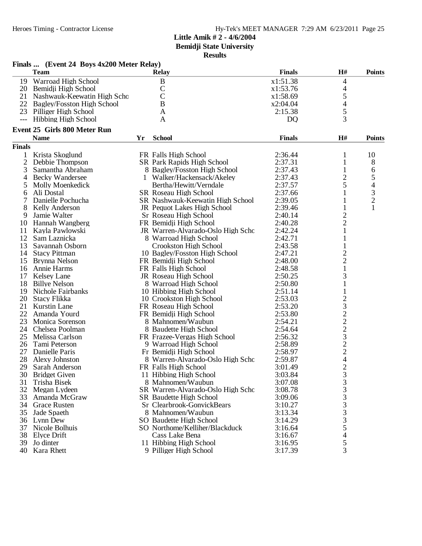**Bemidji State University**

|               | Finals  (Event 24 Boys 4x200 Meter Relay) |    |                                              |                    |                          |                          |
|---------------|-------------------------------------------|----|----------------------------------------------|--------------------|--------------------------|--------------------------|
|               | <b>Team</b>                               |    | <b>Relay</b>                                 | <b>Finals</b>      | H#                       | <b>Points</b>            |
| 19            | Warroad High School                       |    | $\, {\bf B}$                                 | x1:51.38           | 4                        |                          |
| 20            | Bemidji High School                       |    | $\mathcal{C}$                                | x1:53.76           | 4                        |                          |
| 21            | Nashwauk-Keewatin High Scho               |    | $\overline{C}$                               | x1:58.69           | 5                        |                          |
| 22            | <b>Bagley/Fosston High School</b>         |    | $\overline{B}$                               | x2:04.04           | $\overline{4}$           |                          |
|               | 23 Pilliger High School                   |    | A                                            | 2:15.38            | 5                        |                          |
|               | --- Hibbing High School                   |    | A                                            | D <sub>Q</sub>     | 3                        |                          |
|               | <b>Event 25 Girls 800 Meter Run</b>       |    |                                              |                    |                          |                          |
|               | <b>Name</b>                               | Yr | <b>School</b>                                | <b>Finals</b>      | H#                       | <b>Points</b>            |
| <b>Finals</b> |                                           |    |                                              |                    |                          |                          |
| 1             | Krista Skoglund                           |    | FR Falls High School                         | 2:36.44            | 1                        | 10                       |
| 2             | Debbie Thompson                           |    | SR Park Rapids High School                   | 2:37.31            | 1                        | 8                        |
| 3             | Samantha Abraham                          |    | 8 Bagley/Fosston High School                 | 2:37.43            | $\mathbf{1}$             | 6                        |
| 4             | <b>Becky Wandersee</b>                    |    | 1 Walker/Hackensack/Akeley                   | 2:37.43            | $\overline{c}$           | 5                        |
| 5             | Molly Moenkedick                          |    | Bertha/Hewitt/Verndale                       | 2:37.57            | 5                        | $\overline{\mathcal{L}}$ |
| 6             | Ali Dostal                                |    | SR Roseau High School                        | 2:37.66            |                          | $\frac{3}{2}$            |
| 7             | Danielle Pochucha                         |    | SR Nashwauk-Keewatin High School             | 2:39.05            |                          |                          |
| 8             | <b>Kelly Anderson</b>                     |    | JR Pequot Lakes High School                  | 2:39.46            | 1                        | 1                        |
| 9             | Jamie Walter                              |    | Sr Roseau High School                        | 2:40.14            | $\overline{\mathbf{c}}$  |                          |
| 10            | Hannah Wangberg                           |    | FR Bemidji High School                       | 2:40.28            | $\overline{c}$           |                          |
| 11            | Kayla Pawlowski                           |    | JR Warren-Alvarado-Oslo High Scho            | 2:42.24            |                          |                          |
| 12            | Sam Laznicka                              |    | 8 Warroad High School                        | 2:42.71            |                          |                          |
| 13            | Savannah Osborn                           |    | Crookston High School                        | 2:43.58            |                          |                          |
| 14            | <b>Stacy Pittman</b>                      |    | 10 Bagley/Fosston High School                | 2:47.21            | $\overline{\mathbf{c}}$  |                          |
| 15            | Brynna Nelson                             |    | FR Bemidji High School                       | 2:48.00            | $\overline{c}$           |                          |
| 16            | Annie Harms                               |    | FR Falls High School                         | 2:48.58            | $\mathbf 1$              |                          |
| 17            | Kelsey Lane                               |    | JR Roseau High School                        | 2:50.25            | 3                        |                          |
| 18            | <b>Billye Nelson</b>                      |    | 8 Warroad High School                        | 2:50.80            |                          |                          |
| 19            | Nichole Fairbanks                         |    | 10 Hibbing High School                       | 2:51.14            |                          |                          |
| 20            | Stacy Flikka                              |    | 10 Crookston High School                     | 2:53.03            | $\overline{c}$           |                          |
| 21            | Kurstin Lane                              |    | FR Roseau High School                        | 2:53.20            |                          |                          |
| 22            | Amanda Yourd                              |    | FR Bemidji High School                       | 2:53.80            |                          |                          |
| 23            | Monica Sorenson                           |    | 8 Mahnomen/Waubun                            | 2:54.21            |                          |                          |
| 24            | Chelsea Poolman                           |    | 8 Baudette High School                       | 2:54.64            |                          |                          |
| 25            | Melissa Carlson                           |    | FR Frazee-Vergas High School                 | 2:56.32            |                          |                          |
| 26            | Tami Peterson                             |    | 9 Warroad High School                        | 2:58.89            |                          |                          |
| 27            | Danielle Paris                            |    | Fr Bemidji High School                       | 2:58.97            | 3222322                  |                          |
| 28            | Alexy Johnston                            |    | 8 Warren-Alvarado-Oslo High Scho             | 2:59.87            | $\overline{\mathcal{L}}$ |                          |
|               | 29 Sarah Anderson                         |    | FR Falls High School                         | 3:01.49            | $\overline{c}$           |                          |
| 30            | <b>Bridget Given</b>                      |    | 11 Hibbing High School                       | 3:03.84            | 3                        |                          |
| 31            | Trisha Bisek                              |    | 8 Mahnomen/Waubun                            | 3:07.08            | 3                        |                          |
| 32            | Megan Lydeen                              |    | SR Warren-Alvarado-Oslo High Scho            | 3:08.78            | 3                        |                          |
| 33            | Amanda McGraw                             |    | <b>SR</b> Baudette High School               | 3:09.06            | 3                        |                          |
| 34            | <b>Grace Rusten</b>                       |    | Sr Clearbrook-GonvickBears                   | 3:10.27            | 3                        |                          |
|               |                                           |    |                                              |                    |                          |                          |
| 35<br>36      | Jade Spaeth                               |    | 8 Mahnomen/Waubun<br>SO Baudette High School | 3:13.34<br>3:14.29 | 3                        |                          |
|               | Lynn Dew                                  |    |                                              |                    | 3                        |                          |
| 37            | Nicole Bolhuis                            |    | SO Northome/Kelliher/Blackduck               | 3:16.64            | 5                        |                          |
| 38            | Elyce Drift                               |    | Cass Lake Bena                               | 3:16.67            | 4                        |                          |
| 39            | Jo dinter                                 |    | 11 Hibbing High School                       | 3:16.95            | 5                        |                          |
|               | 40 Kara Rhett                             |    | 9 Pilliger High School                       | 3:17.39            | 3                        |                          |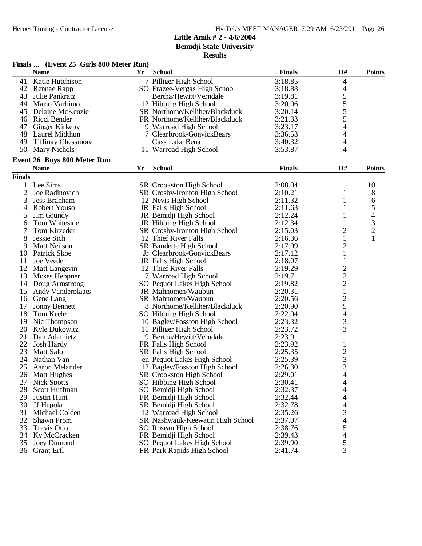**Bemidji State University**

| <b>School</b><br><b>Finals</b><br>H#<br><b>Name</b><br><b>Points</b><br>Yr<br>3:18.85<br>Katie Hutchison<br>7 Pilliger High School<br>41<br>4<br>$\overline{\mathcal{L}}$<br>42 Rennae Rapp<br>SO Frazee-Vergas High School<br>3:18.88<br>$\frac{5}{5}$<br>$\frac{5}{5}$<br>3:19.81<br>43<br>Julie Pankratz<br>Bertha/Hewitt/Verndale<br>3:20.06<br>44<br>Marjo Varhimo<br>12 Hibbing High School<br>3:20.14<br>Delaine McKenzie<br>SR Northome/Kelliher/Blackduck<br>45<br>3:21.33<br>46<br>Ricci Bender<br>FR Northome/Kelliher/Blackduck<br>4<br>Ginger Kirkeby<br>3:23.17<br>47<br>9 Warroad High School<br>4<br>48<br>Laurel Midthun<br>7 Clearbrook-GonvickBears<br>3:36.53<br>4<br>49<br><b>Tiffinay Chessmore</b><br>Cass Lake Bena<br>3:40.32<br>4<br>50 Mary Nichols<br>11 Warroad High School<br>3:53.87<br><b>Event 26 Boys 800 Meter Run</b><br><b>School</b><br><b>Finals</b><br>H#<br><b>Name</b><br>Yr<br><b>Points</b><br><b>Finals</b><br>Lee Sims<br>1<br>SR Crookston High School<br>2:08.04<br>10<br>1<br>$\overline{2}$<br>Joe Radinovich<br>8<br>SR Crosby-Ironton High School<br>2:10.21<br>1<br>3<br>2:11.32<br>Jess Branham<br>12 Nevis High School<br>1<br>6<br>5<br>$\overline{4}$<br>Robert Youso<br>JR Falls High School<br>2:11.63<br>1<br>4<br>5<br>2:12.24<br>Jim Grundy<br>JR Bemidji High School<br>1<br>3<br>2:12.34<br>Tom Whiteside<br>JR Hibbing High School<br>6<br>$\overline{c}$<br>$\overline{2}$<br>7<br>Tom Kirzeder<br>2:15.03<br>SR Crosby-Ironton High School<br>$\mathbf{1}$<br>8<br>Jessie Sich<br>12 Thief River Falls<br>1<br>2:16.36<br>$\overline{c}$<br>Matt Neilson<br>SR Baudette High School<br>2:17.09<br>9<br>2:17.12<br>$\mathbf{1}$<br>10<br>Patrick Skoe<br>Jr Clearbrook-GonvickBears<br>11<br>Joe Veeder<br>JR Falls High School<br>2:18.07<br>$\mathbf{1}$<br>$\frac{2}{2}$<br>12<br>12 Thief River Falls<br>Matt Langevin<br>2:19.29<br>2:19.71<br>13<br>Moses Heppner<br>7 Warroad High School<br>14<br>Doug Armstrong<br>SO Pequot Lakes High School<br>2:19.82<br>$\mathbf{1}$<br>15<br>JR Mahnomen/Waubun<br>2:20.31<br><b>Andy Vanderplaats</b><br>$\begin{array}{c} 2 \\ 5 \\ 4 \end{array}$<br>2:20.56<br>SR Mahnomen/Waubun<br>16<br>Gene Lang<br>17<br>8 Northome/Kelliher/Blackduck<br>2:20.90<br><b>Jonny Bennett</b><br>18<br>2:22.04<br>Tom Keeler<br>SO Hibbing High School<br>3<br>19<br>2:23.32<br>Nic Thompson<br>10 Bagley/Fosston High School<br>3<br>20<br>2:23.72<br>Kyle Dukowitz<br>11 Pilliger High School<br>2:23.91<br>$\mathbf{1}$<br>21<br>Dan Adamietz<br>9 Bertha/Hewitt/Verndale<br>22<br>2:23.92<br>$\mathbf{1}$<br>Josh Hardy<br>FR Falls High School<br>23<br>2:25.35<br>$\frac{2}{3}$<br><b>Matt Salo</b><br>SR Falls High School<br>24 Nathan Van<br>2:25.39<br>en Pequot Lakes High School<br>$\overline{3}$<br>25 Aaron Melander<br>12 Bagley/Fosston High School<br>2:26.30<br>26<br><b>SR</b> Crookston High School<br>2:29.01<br>4<br><b>Matt Hughes</b><br>27<br>SO Hibbing High School<br>2:30.41<br><b>Nick Spotts</b><br>4<br>28<br>SO Bemidji High School<br>2:32.37<br>4<br>Scott Huffman<br>29<br>2:32.44<br>Justin Hunt<br>FR Bemidji High School<br>4<br>30<br>JJ Hepola<br>SR Bemidji High School<br>2:32.78<br>4<br>3<br>31<br>Michael Colden<br>12 Warroad High School<br>2:35.26<br>32<br>4<br>Shawn Prom<br>SR Nashwauk-Keewatin High School<br>2:37.07<br>33<br>5<br>2:38.76<br><b>Travis Otto</b><br>SO Roseau High School<br>$\overline{\mathcal{L}}$<br>34<br>FR Bemidji High School<br>2:39.43<br>Ky McCracken<br>5<br>35<br>Joey Dumond<br>SO Pequot Lakes High School<br>2:39.90<br>3<br>36 Grant Ertl<br>FR Park Rapids High School<br>2:41.74 | Finals  (Event 25 Girls 800 Meter Run) |  |  |  |
|----------------------------------------------------------------------------------------------------------------------------------------------------------------------------------------------------------------------------------------------------------------------------------------------------------------------------------------------------------------------------------------------------------------------------------------------------------------------------------------------------------------------------------------------------------------------------------------------------------------------------------------------------------------------------------------------------------------------------------------------------------------------------------------------------------------------------------------------------------------------------------------------------------------------------------------------------------------------------------------------------------------------------------------------------------------------------------------------------------------------------------------------------------------------------------------------------------------------------------------------------------------------------------------------------------------------------------------------------------------------------------------------------------------------------------------------------------------------------------------------------------------------------------------------------------------------------------------------------------------------------------------------------------------------------------------------------------------------------------------------------------------------------------------------------------------------------------------------------------------------------------------------------------------------------------------------------------------------------------------------------------------------------------------------------------------------------------------------------------------------------------------------------------------------------------------------------------------------------------------------------------------------------------------------------------------------------------------------------------------------------------------------------------------------------------------------------------------------------------------------------------------------------------------------------------------------------------------------------------------------------------------------------------------------------------------------------------------------------------------------------------------------------------------------------------------------------------------------------------------------------------------------------------------------------------------------------------------------------------------------------------------------------------------------------------------------------------------------------------------------------------------------------------------------------------------------------------------------------------------------------------------------------------------------------------------------------------------------------------------------------------------------------------------------------------------------------------------------------------------------------------------------------------------------------------------------------------------------------------------------------------------------------------------------------------|----------------------------------------|--|--|--|
|                                                                                                                                                                                                                                                                                                                                                                                                                                                                                                                                                                                                                                                                                                                                                                                                                                                                                                                                                                                                                                                                                                                                                                                                                                                                                                                                                                                                                                                                                                                                                                                                                                                                                                                                                                                                                                                                                                                                                                                                                                                                                                                                                                                                                                                                                                                                                                                                                                                                                                                                                                                                                                                                                                                                                                                                                                                                                                                                                                                                                                                                                                                                                                                                                                                                                                                                                                                                                                                                                                                                                                                                                                                                                  |                                        |  |  |  |
|                                                                                                                                                                                                                                                                                                                                                                                                                                                                                                                                                                                                                                                                                                                                                                                                                                                                                                                                                                                                                                                                                                                                                                                                                                                                                                                                                                                                                                                                                                                                                                                                                                                                                                                                                                                                                                                                                                                                                                                                                                                                                                                                                                                                                                                                                                                                                                                                                                                                                                                                                                                                                                                                                                                                                                                                                                                                                                                                                                                                                                                                                                                                                                                                                                                                                                                                                                                                                                                                                                                                                                                                                                                                                  |                                        |  |  |  |
|                                                                                                                                                                                                                                                                                                                                                                                                                                                                                                                                                                                                                                                                                                                                                                                                                                                                                                                                                                                                                                                                                                                                                                                                                                                                                                                                                                                                                                                                                                                                                                                                                                                                                                                                                                                                                                                                                                                                                                                                                                                                                                                                                                                                                                                                                                                                                                                                                                                                                                                                                                                                                                                                                                                                                                                                                                                                                                                                                                                                                                                                                                                                                                                                                                                                                                                                                                                                                                                                                                                                                                                                                                                                                  |                                        |  |  |  |
|                                                                                                                                                                                                                                                                                                                                                                                                                                                                                                                                                                                                                                                                                                                                                                                                                                                                                                                                                                                                                                                                                                                                                                                                                                                                                                                                                                                                                                                                                                                                                                                                                                                                                                                                                                                                                                                                                                                                                                                                                                                                                                                                                                                                                                                                                                                                                                                                                                                                                                                                                                                                                                                                                                                                                                                                                                                                                                                                                                                                                                                                                                                                                                                                                                                                                                                                                                                                                                                                                                                                                                                                                                                                                  |                                        |  |  |  |
|                                                                                                                                                                                                                                                                                                                                                                                                                                                                                                                                                                                                                                                                                                                                                                                                                                                                                                                                                                                                                                                                                                                                                                                                                                                                                                                                                                                                                                                                                                                                                                                                                                                                                                                                                                                                                                                                                                                                                                                                                                                                                                                                                                                                                                                                                                                                                                                                                                                                                                                                                                                                                                                                                                                                                                                                                                                                                                                                                                                                                                                                                                                                                                                                                                                                                                                                                                                                                                                                                                                                                                                                                                                                                  |                                        |  |  |  |
|                                                                                                                                                                                                                                                                                                                                                                                                                                                                                                                                                                                                                                                                                                                                                                                                                                                                                                                                                                                                                                                                                                                                                                                                                                                                                                                                                                                                                                                                                                                                                                                                                                                                                                                                                                                                                                                                                                                                                                                                                                                                                                                                                                                                                                                                                                                                                                                                                                                                                                                                                                                                                                                                                                                                                                                                                                                                                                                                                                                                                                                                                                                                                                                                                                                                                                                                                                                                                                                                                                                                                                                                                                                                                  |                                        |  |  |  |
|                                                                                                                                                                                                                                                                                                                                                                                                                                                                                                                                                                                                                                                                                                                                                                                                                                                                                                                                                                                                                                                                                                                                                                                                                                                                                                                                                                                                                                                                                                                                                                                                                                                                                                                                                                                                                                                                                                                                                                                                                                                                                                                                                                                                                                                                                                                                                                                                                                                                                                                                                                                                                                                                                                                                                                                                                                                                                                                                                                                                                                                                                                                                                                                                                                                                                                                                                                                                                                                                                                                                                                                                                                                                                  |                                        |  |  |  |
|                                                                                                                                                                                                                                                                                                                                                                                                                                                                                                                                                                                                                                                                                                                                                                                                                                                                                                                                                                                                                                                                                                                                                                                                                                                                                                                                                                                                                                                                                                                                                                                                                                                                                                                                                                                                                                                                                                                                                                                                                                                                                                                                                                                                                                                                                                                                                                                                                                                                                                                                                                                                                                                                                                                                                                                                                                                                                                                                                                                                                                                                                                                                                                                                                                                                                                                                                                                                                                                                                                                                                                                                                                                                                  |                                        |  |  |  |
|                                                                                                                                                                                                                                                                                                                                                                                                                                                                                                                                                                                                                                                                                                                                                                                                                                                                                                                                                                                                                                                                                                                                                                                                                                                                                                                                                                                                                                                                                                                                                                                                                                                                                                                                                                                                                                                                                                                                                                                                                                                                                                                                                                                                                                                                                                                                                                                                                                                                                                                                                                                                                                                                                                                                                                                                                                                                                                                                                                                                                                                                                                                                                                                                                                                                                                                                                                                                                                                                                                                                                                                                                                                                                  |                                        |  |  |  |
|                                                                                                                                                                                                                                                                                                                                                                                                                                                                                                                                                                                                                                                                                                                                                                                                                                                                                                                                                                                                                                                                                                                                                                                                                                                                                                                                                                                                                                                                                                                                                                                                                                                                                                                                                                                                                                                                                                                                                                                                                                                                                                                                                                                                                                                                                                                                                                                                                                                                                                                                                                                                                                                                                                                                                                                                                                                                                                                                                                                                                                                                                                                                                                                                                                                                                                                                                                                                                                                                                                                                                                                                                                                                                  |                                        |  |  |  |
|                                                                                                                                                                                                                                                                                                                                                                                                                                                                                                                                                                                                                                                                                                                                                                                                                                                                                                                                                                                                                                                                                                                                                                                                                                                                                                                                                                                                                                                                                                                                                                                                                                                                                                                                                                                                                                                                                                                                                                                                                                                                                                                                                                                                                                                                                                                                                                                                                                                                                                                                                                                                                                                                                                                                                                                                                                                                                                                                                                                                                                                                                                                                                                                                                                                                                                                                                                                                                                                                                                                                                                                                                                                                                  |                                        |  |  |  |
|                                                                                                                                                                                                                                                                                                                                                                                                                                                                                                                                                                                                                                                                                                                                                                                                                                                                                                                                                                                                                                                                                                                                                                                                                                                                                                                                                                                                                                                                                                                                                                                                                                                                                                                                                                                                                                                                                                                                                                                                                                                                                                                                                                                                                                                                                                                                                                                                                                                                                                                                                                                                                                                                                                                                                                                                                                                                                                                                                                                                                                                                                                                                                                                                                                                                                                                                                                                                                                                                                                                                                                                                                                                                                  |                                        |  |  |  |
|                                                                                                                                                                                                                                                                                                                                                                                                                                                                                                                                                                                                                                                                                                                                                                                                                                                                                                                                                                                                                                                                                                                                                                                                                                                                                                                                                                                                                                                                                                                                                                                                                                                                                                                                                                                                                                                                                                                                                                                                                                                                                                                                                                                                                                                                                                                                                                                                                                                                                                                                                                                                                                                                                                                                                                                                                                                                                                                                                                                                                                                                                                                                                                                                                                                                                                                                                                                                                                                                                                                                                                                                                                                                                  |                                        |  |  |  |
|                                                                                                                                                                                                                                                                                                                                                                                                                                                                                                                                                                                                                                                                                                                                                                                                                                                                                                                                                                                                                                                                                                                                                                                                                                                                                                                                                                                                                                                                                                                                                                                                                                                                                                                                                                                                                                                                                                                                                                                                                                                                                                                                                                                                                                                                                                                                                                                                                                                                                                                                                                                                                                                                                                                                                                                                                                                                                                                                                                                                                                                                                                                                                                                                                                                                                                                                                                                                                                                                                                                                                                                                                                                                                  |                                        |  |  |  |
|                                                                                                                                                                                                                                                                                                                                                                                                                                                                                                                                                                                                                                                                                                                                                                                                                                                                                                                                                                                                                                                                                                                                                                                                                                                                                                                                                                                                                                                                                                                                                                                                                                                                                                                                                                                                                                                                                                                                                                                                                                                                                                                                                                                                                                                                                                                                                                                                                                                                                                                                                                                                                                                                                                                                                                                                                                                                                                                                                                                                                                                                                                                                                                                                                                                                                                                                                                                                                                                                                                                                                                                                                                                                                  |                                        |  |  |  |
|                                                                                                                                                                                                                                                                                                                                                                                                                                                                                                                                                                                                                                                                                                                                                                                                                                                                                                                                                                                                                                                                                                                                                                                                                                                                                                                                                                                                                                                                                                                                                                                                                                                                                                                                                                                                                                                                                                                                                                                                                                                                                                                                                                                                                                                                                                                                                                                                                                                                                                                                                                                                                                                                                                                                                                                                                                                                                                                                                                                                                                                                                                                                                                                                                                                                                                                                                                                                                                                                                                                                                                                                                                                                                  |                                        |  |  |  |
|                                                                                                                                                                                                                                                                                                                                                                                                                                                                                                                                                                                                                                                                                                                                                                                                                                                                                                                                                                                                                                                                                                                                                                                                                                                                                                                                                                                                                                                                                                                                                                                                                                                                                                                                                                                                                                                                                                                                                                                                                                                                                                                                                                                                                                                                                                                                                                                                                                                                                                                                                                                                                                                                                                                                                                                                                                                                                                                                                                                                                                                                                                                                                                                                                                                                                                                                                                                                                                                                                                                                                                                                                                                                                  |                                        |  |  |  |
|                                                                                                                                                                                                                                                                                                                                                                                                                                                                                                                                                                                                                                                                                                                                                                                                                                                                                                                                                                                                                                                                                                                                                                                                                                                                                                                                                                                                                                                                                                                                                                                                                                                                                                                                                                                                                                                                                                                                                                                                                                                                                                                                                                                                                                                                                                                                                                                                                                                                                                                                                                                                                                                                                                                                                                                                                                                                                                                                                                                                                                                                                                                                                                                                                                                                                                                                                                                                                                                                                                                                                                                                                                                                                  |                                        |  |  |  |
|                                                                                                                                                                                                                                                                                                                                                                                                                                                                                                                                                                                                                                                                                                                                                                                                                                                                                                                                                                                                                                                                                                                                                                                                                                                                                                                                                                                                                                                                                                                                                                                                                                                                                                                                                                                                                                                                                                                                                                                                                                                                                                                                                                                                                                                                                                                                                                                                                                                                                                                                                                                                                                                                                                                                                                                                                                                                                                                                                                                                                                                                                                                                                                                                                                                                                                                                                                                                                                                                                                                                                                                                                                                                                  |                                        |  |  |  |
|                                                                                                                                                                                                                                                                                                                                                                                                                                                                                                                                                                                                                                                                                                                                                                                                                                                                                                                                                                                                                                                                                                                                                                                                                                                                                                                                                                                                                                                                                                                                                                                                                                                                                                                                                                                                                                                                                                                                                                                                                                                                                                                                                                                                                                                                                                                                                                                                                                                                                                                                                                                                                                                                                                                                                                                                                                                                                                                                                                                                                                                                                                                                                                                                                                                                                                                                                                                                                                                                                                                                                                                                                                                                                  |                                        |  |  |  |
|                                                                                                                                                                                                                                                                                                                                                                                                                                                                                                                                                                                                                                                                                                                                                                                                                                                                                                                                                                                                                                                                                                                                                                                                                                                                                                                                                                                                                                                                                                                                                                                                                                                                                                                                                                                                                                                                                                                                                                                                                                                                                                                                                                                                                                                                                                                                                                                                                                                                                                                                                                                                                                                                                                                                                                                                                                                                                                                                                                                                                                                                                                                                                                                                                                                                                                                                                                                                                                                                                                                                                                                                                                                                                  |                                        |  |  |  |
|                                                                                                                                                                                                                                                                                                                                                                                                                                                                                                                                                                                                                                                                                                                                                                                                                                                                                                                                                                                                                                                                                                                                                                                                                                                                                                                                                                                                                                                                                                                                                                                                                                                                                                                                                                                                                                                                                                                                                                                                                                                                                                                                                                                                                                                                                                                                                                                                                                                                                                                                                                                                                                                                                                                                                                                                                                                                                                                                                                                                                                                                                                                                                                                                                                                                                                                                                                                                                                                                                                                                                                                                                                                                                  |                                        |  |  |  |
|                                                                                                                                                                                                                                                                                                                                                                                                                                                                                                                                                                                                                                                                                                                                                                                                                                                                                                                                                                                                                                                                                                                                                                                                                                                                                                                                                                                                                                                                                                                                                                                                                                                                                                                                                                                                                                                                                                                                                                                                                                                                                                                                                                                                                                                                                                                                                                                                                                                                                                                                                                                                                                                                                                                                                                                                                                                                                                                                                                                                                                                                                                                                                                                                                                                                                                                                                                                                                                                                                                                                                                                                                                                                                  |                                        |  |  |  |
|                                                                                                                                                                                                                                                                                                                                                                                                                                                                                                                                                                                                                                                                                                                                                                                                                                                                                                                                                                                                                                                                                                                                                                                                                                                                                                                                                                                                                                                                                                                                                                                                                                                                                                                                                                                                                                                                                                                                                                                                                                                                                                                                                                                                                                                                                                                                                                                                                                                                                                                                                                                                                                                                                                                                                                                                                                                                                                                                                                                                                                                                                                                                                                                                                                                                                                                                                                                                                                                                                                                                                                                                                                                                                  |                                        |  |  |  |
|                                                                                                                                                                                                                                                                                                                                                                                                                                                                                                                                                                                                                                                                                                                                                                                                                                                                                                                                                                                                                                                                                                                                                                                                                                                                                                                                                                                                                                                                                                                                                                                                                                                                                                                                                                                                                                                                                                                                                                                                                                                                                                                                                                                                                                                                                                                                                                                                                                                                                                                                                                                                                                                                                                                                                                                                                                                                                                                                                                                                                                                                                                                                                                                                                                                                                                                                                                                                                                                                                                                                                                                                                                                                                  |                                        |  |  |  |
|                                                                                                                                                                                                                                                                                                                                                                                                                                                                                                                                                                                                                                                                                                                                                                                                                                                                                                                                                                                                                                                                                                                                                                                                                                                                                                                                                                                                                                                                                                                                                                                                                                                                                                                                                                                                                                                                                                                                                                                                                                                                                                                                                                                                                                                                                                                                                                                                                                                                                                                                                                                                                                                                                                                                                                                                                                                                                                                                                                                                                                                                                                                                                                                                                                                                                                                                                                                                                                                                                                                                                                                                                                                                                  |                                        |  |  |  |
|                                                                                                                                                                                                                                                                                                                                                                                                                                                                                                                                                                                                                                                                                                                                                                                                                                                                                                                                                                                                                                                                                                                                                                                                                                                                                                                                                                                                                                                                                                                                                                                                                                                                                                                                                                                                                                                                                                                                                                                                                                                                                                                                                                                                                                                                                                                                                                                                                                                                                                                                                                                                                                                                                                                                                                                                                                                                                                                                                                                                                                                                                                                                                                                                                                                                                                                                                                                                                                                                                                                                                                                                                                                                                  |                                        |  |  |  |
|                                                                                                                                                                                                                                                                                                                                                                                                                                                                                                                                                                                                                                                                                                                                                                                                                                                                                                                                                                                                                                                                                                                                                                                                                                                                                                                                                                                                                                                                                                                                                                                                                                                                                                                                                                                                                                                                                                                                                                                                                                                                                                                                                                                                                                                                                                                                                                                                                                                                                                                                                                                                                                                                                                                                                                                                                                                                                                                                                                                                                                                                                                                                                                                                                                                                                                                                                                                                                                                                                                                                                                                                                                                                                  |                                        |  |  |  |
|                                                                                                                                                                                                                                                                                                                                                                                                                                                                                                                                                                                                                                                                                                                                                                                                                                                                                                                                                                                                                                                                                                                                                                                                                                                                                                                                                                                                                                                                                                                                                                                                                                                                                                                                                                                                                                                                                                                                                                                                                                                                                                                                                                                                                                                                                                                                                                                                                                                                                                                                                                                                                                                                                                                                                                                                                                                                                                                                                                                                                                                                                                                                                                                                                                                                                                                                                                                                                                                                                                                                                                                                                                                                                  |                                        |  |  |  |
|                                                                                                                                                                                                                                                                                                                                                                                                                                                                                                                                                                                                                                                                                                                                                                                                                                                                                                                                                                                                                                                                                                                                                                                                                                                                                                                                                                                                                                                                                                                                                                                                                                                                                                                                                                                                                                                                                                                                                                                                                                                                                                                                                                                                                                                                                                                                                                                                                                                                                                                                                                                                                                                                                                                                                                                                                                                                                                                                                                                                                                                                                                                                                                                                                                                                                                                                                                                                                                                                                                                                                                                                                                                                                  |                                        |  |  |  |
|                                                                                                                                                                                                                                                                                                                                                                                                                                                                                                                                                                                                                                                                                                                                                                                                                                                                                                                                                                                                                                                                                                                                                                                                                                                                                                                                                                                                                                                                                                                                                                                                                                                                                                                                                                                                                                                                                                                                                                                                                                                                                                                                                                                                                                                                                                                                                                                                                                                                                                                                                                                                                                                                                                                                                                                                                                                                                                                                                                                                                                                                                                                                                                                                                                                                                                                                                                                                                                                                                                                                                                                                                                                                                  |                                        |  |  |  |
|                                                                                                                                                                                                                                                                                                                                                                                                                                                                                                                                                                                                                                                                                                                                                                                                                                                                                                                                                                                                                                                                                                                                                                                                                                                                                                                                                                                                                                                                                                                                                                                                                                                                                                                                                                                                                                                                                                                                                                                                                                                                                                                                                                                                                                                                                                                                                                                                                                                                                                                                                                                                                                                                                                                                                                                                                                                                                                                                                                                                                                                                                                                                                                                                                                                                                                                                                                                                                                                                                                                                                                                                                                                                                  |                                        |  |  |  |
|                                                                                                                                                                                                                                                                                                                                                                                                                                                                                                                                                                                                                                                                                                                                                                                                                                                                                                                                                                                                                                                                                                                                                                                                                                                                                                                                                                                                                                                                                                                                                                                                                                                                                                                                                                                                                                                                                                                                                                                                                                                                                                                                                                                                                                                                                                                                                                                                                                                                                                                                                                                                                                                                                                                                                                                                                                                                                                                                                                                                                                                                                                                                                                                                                                                                                                                                                                                                                                                                                                                                                                                                                                                                                  |                                        |  |  |  |
|                                                                                                                                                                                                                                                                                                                                                                                                                                                                                                                                                                                                                                                                                                                                                                                                                                                                                                                                                                                                                                                                                                                                                                                                                                                                                                                                                                                                                                                                                                                                                                                                                                                                                                                                                                                                                                                                                                                                                                                                                                                                                                                                                                                                                                                                                                                                                                                                                                                                                                                                                                                                                                                                                                                                                                                                                                                                                                                                                                                                                                                                                                                                                                                                                                                                                                                                                                                                                                                                                                                                                                                                                                                                                  |                                        |  |  |  |
|                                                                                                                                                                                                                                                                                                                                                                                                                                                                                                                                                                                                                                                                                                                                                                                                                                                                                                                                                                                                                                                                                                                                                                                                                                                                                                                                                                                                                                                                                                                                                                                                                                                                                                                                                                                                                                                                                                                                                                                                                                                                                                                                                                                                                                                                                                                                                                                                                                                                                                                                                                                                                                                                                                                                                                                                                                                                                                                                                                                                                                                                                                                                                                                                                                                                                                                                                                                                                                                                                                                                                                                                                                                                                  |                                        |  |  |  |
|                                                                                                                                                                                                                                                                                                                                                                                                                                                                                                                                                                                                                                                                                                                                                                                                                                                                                                                                                                                                                                                                                                                                                                                                                                                                                                                                                                                                                                                                                                                                                                                                                                                                                                                                                                                                                                                                                                                                                                                                                                                                                                                                                                                                                                                                                                                                                                                                                                                                                                                                                                                                                                                                                                                                                                                                                                                                                                                                                                                                                                                                                                                                                                                                                                                                                                                                                                                                                                                                                                                                                                                                                                                                                  |                                        |  |  |  |
|                                                                                                                                                                                                                                                                                                                                                                                                                                                                                                                                                                                                                                                                                                                                                                                                                                                                                                                                                                                                                                                                                                                                                                                                                                                                                                                                                                                                                                                                                                                                                                                                                                                                                                                                                                                                                                                                                                                                                                                                                                                                                                                                                                                                                                                                                                                                                                                                                                                                                                                                                                                                                                                                                                                                                                                                                                                                                                                                                                                                                                                                                                                                                                                                                                                                                                                                                                                                                                                                                                                                                                                                                                                                                  |                                        |  |  |  |
|                                                                                                                                                                                                                                                                                                                                                                                                                                                                                                                                                                                                                                                                                                                                                                                                                                                                                                                                                                                                                                                                                                                                                                                                                                                                                                                                                                                                                                                                                                                                                                                                                                                                                                                                                                                                                                                                                                                                                                                                                                                                                                                                                                                                                                                                                                                                                                                                                                                                                                                                                                                                                                                                                                                                                                                                                                                                                                                                                                                                                                                                                                                                                                                                                                                                                                                                                                                                                                                                                                                                                                                                                                                                                  |                                        |  |  |  |
|                                                                                                                                                                                                                                                                                                                                                                                                                                                                                                                                                                                                                                                                                                                                                                                                                                                                                                                                                                                                                                                                                                                                                                                                                                                                                                                                                                                                                                                                                                                                                                                                                                                                                                                                                                                                                                                                                                                                                                                                                                                                                                                                                                                                                                                                                                                                                                                                                                                                                                                                                                                                                                                                                                                                                                                                                                                                                                                                                                                                                                                                                                                                                                                                                                                                                                                                                                                                                                                                                                                                                                                                                                                                                  |                                        |  |  |  |
|                                                                                                                                                                                                                                                                                                                                                                                                                                                                                                                                                                                                                                                                                                                                                                                                                                                                                                                                                                                                                                                                                                                                                                                                                                                                                                                                                                                                                                                                                                                                                                                                                                                                                                                                                                                                                                                                                                                                                                                                                                                                                                                                                                                                                                                                                                                                                                                                                                                                                                                                                                                                                                                                                                                                                                                                                                                                                                                                                                                                                                                                                                                                                                                                                                                                                                                                                                                                                                                                                                                                                                                                                                                                                  |                                        |  |  |  |
|                                                                                                                                                                                                                                                                                                                                                                                                                                                                                                                                                                                                                                                                                                                                                                                                                                                                                                                                                                                                                                                                                                                                                                                                                                                                                                                                                                                                                                                                                                                                                                                                                                                                                                                                                                                                                                                                                                                                                                                                                                                                                                                                                                                                                                                                                                                                                                                                                                                                                                                                                                                                                                                                                                                                                                                                                                                                                                                                                                                                                                                                                                                                                                                                                                                                                                                                                                                                                                                                                                                                                                                                                                                                                  |                                        |  |  |  |
|                                                                                                                                                                                                                                                                                                                                                                                                                                                                                                                                                                                                                                                                                                                                                                                                                                                                                                                                                                                                                                                                                                                                                                                                                                                                                                                                                                                                                                                                                                                                                                                                                                                                                                                                                                                                                                                                                                                                                                                                                                                                                                                                                                                                                                                                                                                                                                                                                                                                                                                                                                                                                                                                                                                                                                                                                                                                                                                                                                                                                                                                                                                                                                                                                                                                                                                                                                                                                                                                                                                                                                                                                                                                                  |                                        |  |  |  |
|                                                                                                                                                                                                                                                                                                                                                                                                                                                                                                                                                                                                                                                                                                                                                                                                                                                                                                                                                                                                                                                                                                                                                                                                                                                                                                                                                                                                                                                                                                                                                                                                                                                                                                                                                                                                                                                                                                                                                                                                                                                                                                                                                                                                                                                                                                                                                                                                                                                                                                                                                                                                                                                                                                                                                                                                                                                                                                                                                                                                                                                                                                                                                                                                                                                                                                                                                                                                                                                                                                                                                                                                                                                                                  |                                        |  |  |  |
|                                                                                                                                                                                                                                                                                                                                                                                                                                                                                                                                                                                                                                                                                                                                                                                                                                                                                                                                                                                                                                                                                                                                                                                                                                                                                                                                                                                                                                                                                                                                                                                                                                                                                                                                                                                                                                                                                                                                                                                                                                                                                                                                                                                                                                                                                                                                                                                                                                                                                                                                                                                                                                                                                                                                                                                                                                                                                                                                                                                                                                                                                                                                                                                                                                                                                                                                                                                                                                                                                                                                                                                                                                                                                  |                                        |  |  |  |
|                                                                                                                                                                                                                                                                                                                                                                                                                                                                                                                                                                                                                                                                                                                                                                                                                                                                                                                                                                                                                                                                                                                                                                                                                                                                                                                                                                                                                                                                                                                                                                                                                                                                                                                                                                                                                                                                                                                                                                                                                                                                                                                                                                                                                                                                                                                                                                                                                                                                                                                                                                                                                                                                                                                                                                                                                                                                                                                                                                                                                                                                                                                                                                                                                                                                                                                                                                                                                                                                                                                                                                                                                                                                                  |                                        |  |  |  |
|                                                                                                                                                                                                                                                                                                                                                                                                                                                                                                                                                                                                                                                                                                                                                                                                                                                                                                                                                                                                                                                                                                                                                                                                                                                                                                                                                                                                                                                                                                                                                                                                                                                                                                                                                                                                                                                                                                                                                                                                                                                                                                                                                                                                                                                                                                                                                                                                                                                                                                                                                                                                                                                                                                                                                                                                                                                                                                                                                                                                                                                                                                                                                                                                                                                                                                                                                                                                                                                                                                                                                                                                                                                                                  |                                        |  |  |  |
|                                                                                                                                                                                                                                                                                                                                                                                                                                                                                                                                                                                                                                                                                                                                                                                                                                                                                                                                                                                                                                                                                                                                                                                                                                                                                                                                                                                                                                                                                                                                                                                                                                                                                                                                                                                                                                                                                                                                                                                                                                                                                                                                                                                                                                                                                                                                                                                                                                                                                                                                                                                                                                                                                                                                                                                                                                                                                                                                                                                                                                                                                                                                                                                                                                                                                                                                                                                                                                                                                                                                                                                                                                                                                  |                                        |  |  |  |
|                                                                                                                                                                                                                                                                                                                                                                                                                                                                                                                                                                                                                                                                                                                                                                                                                                                                                                                                                                                                                                                                                                                                                                                                                                                                                                                                                                                                                                                                                                                                                                                                                                                                                                                                                                                                                                                                                                                                                                                                                                                                                                                                                                                                                                                                                                                                                                                                                                                                                                                                                                                                                                                                                                                                                                                                                                                                                                                                                                                                                                                                                                                                                                                                                                                                                                                                                                                                                                                                                                                                                                                                                                                                                  |                                        |  |  |  |
|                                                                                                                                                                                                                                                                                                                                                                                                                                                                                                                                                                                                                                                                                                                                                                                                                                                                                                                                                                                                                                                                                                                                                                                                                                                                                                                                                                                                                                                                                                                                                                                                                                                                                                                                                                                                                                                                                                                                                                                                                                                                                                                                                                                                                                                                                                                                                                                                                                                                                                                                                                                                                                                                                                                                                                                                                                                                                                                                                                                                                                                                                                                                                                                                                                                                                                                                                                                                                                                                                                                                                                                                                                                                                  |                                        |  |  |  |
|                                                                                                                                                                                                                                                                                                                                                                                                                                                                                                                                                                                                                                                                                                                                                                                                                                                                                                                                                                                                                                                                                                                                                                                                                                                                                                                                                                                                                                                                                                                                                                                                                                                                                                                                                                                                                                                                                                                                                                                                                                                                                                                                                                                                                                                                                                                                                                                                                                                                                                                                                                                                                                                                                                                                                                                                                                                                                                                                                                                                                                                                                                                                                                                                                                                                                                                                                                                                                                                                                                                                                                                                                                                                                  |                                        |  |  |  |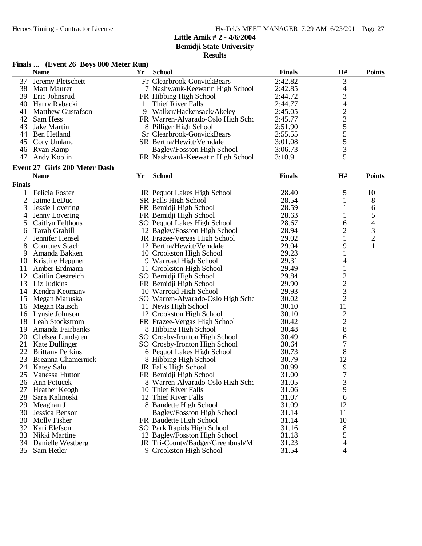|                | Finals  (Event 26 Boys 800 Meter Run) |    |                                   |               |                                |               |
|----------------|---------------------------------------|----|-----------------------------------|---------------|--------------------------------|---------------|
|                | <b>Name</b>                           | Yr | <b>School</b>                     | <b>Finals</b> | H#                             | <b>Points</b> |
| 37             | Jeremy Pletschett                     |    | Fr Clearbrook-GonvickBears        | 2:42.82       | 3                              |               |
| 38             | <b>Matt Maurer</b>                    |    | 7 Nashwauk-Keewatin High School   | 2:42.85       | 4                              |               |
| 39             | Eric Johnsrud                         |    | FR Hibbing High School            | 2:44.72       | 3                              |               |
| 40             | Harry Rybacki                         |    | 11 Thief River Falls              | 2:44.77       | 4                              |               |
| 41             | <b>Matthew Gustafson</b>              |    | 9 Walker/Hackensack/Akeley        | 2:45.05       |                                |               |
| 42             | Sam Hess                              |    | FR Warren-Alvarado-Oslo High Scho | 2:45.77       |                                |               |
| 43             | Jake Martin                           |    | 8 Pilliger High School            | 2:51.90       |                                |               |
| 44             | Ben Hetland                           |    | Sr Clearbrook-GonvickBears        | 2:55.55       | 2355                           |               |
| 45             | Cory Umland                           |    | SR Bertha/Hewitt/Verndale         | 3:01.08       |                                |               |
| 46             | Ryan Ramp                             |    | <b>Bagley/Fosston High School</b> | 3:06.73       | 3                              |               |
| 47             | Andy Koplin                           |    | FR Nashwauk-Keewatin High School  | 3:10.91       | 5                              |               |
|                | Event 27 Girls 200 Meter Dash         |    |                                   |               |                                |               |
|                | <b>Name</b>                           | Yr | <b>School</b>                     | <b>Finals</b> | H#                             | <b>Points</b> |
| <b>Finals</b>  |                                       |    |                                   |               |                                |               |
|                | Felicia Foster                        |    | JR Pequot Lakes High School       | 28.40         | 5                              | 10            |
| $\overline{2}$ | Jaime LeDuc                           |    | <b>SR Falls High School</b>       | 28.54         | 1                              | 8             |
| 3              | Jessie Lovering                       |    | FR Bemidji High School            | 28.59         | 1                              | 6             |
| 4              | Jenny Lovering                        |    | FR Bemidji High School            | 28.63         | 1                              | 5             |
| 5              | Caitlyn Felthous                      |    | SO Pequot Lakes High School       | 28.67         | 6                              | 4             |
| 6              | <b>Tarah Grabill</b>                  |    | 12 Bagley/Fosston High School     | 28.94         | 2                              | $\mathfrak 3$ |
| 7              | Jennifer Hensel                       |    | JR Frazee-Vergas High School      | 29.02         | 1                              | $\sqrt{2}$    |
| 8              | <b>Courtney Stach</b>                 |    | 12 Bertha/Hewitt/Verndale         | 29.04         | 9                              | $\mathbf{1}$  |
| 9              | Amanda Bakken                         |    | 10 Crookston High School          | 29.23         | 1                              |               |
| 10             | Kristine Heppner                      |    | 9 Warroad High School             | 29.31         | 4                              |               |
| 11             | Amber Erdmann                         |    | 11 Crookston High School          | 29.49         | 1                              |               |
| 12             | Caitlin Oestreich                     |    | SO Bemidji High School            | 29.84         |                                |               |
| 13             | Liz Judkins                           |    | FR Bemidji High School            | 29.90         | $\frac{2}{2}$<br>$\frac{3}{2}$ |               |
|                |                                       |    |                                   |               |                                |               |
| 14             | Kendra Keomany                        |    | 10 Warroad High School            | 29.93         |                                |               |
| 15             | Megan Maruska                         |    | SO Warren-Alvarado-Oslo High Scho | 30.02         |                                |               |
| 16             | Megan Rausch                          |    | 11 Nevis High School              | 30.10         | 11                             |               |
| 16             | Lynsie Johnson                        |    | 12 Crookston High School          | 30.10         | $\overline{\mathbf{c}}$        |               |
| 18             | Leah Stockstrom                       |    | FR Frazee-Vergas High School      | 30.42         | $\overline{c}$                 |               |
| 19             | Amanda Fairbanks                      |    | 8 Hibbing High School             | 30.48         | 8                              |               |
| 20             | Chelsea Lundgren                      |    | SO Crosby-Ironton High School     | 30.49         | 6                              |               |
| 21             | Kate Dullinger                        |    | SO Crosby-Ironton High School     | 30.64         | 7                              |               |
|                | 22 Brittany Perkins                   |    | 6 Pequot Lakes High School        | 30.73         | 8                              |               |
| 23             | <b>Breanna Chamernick</b>             |    | 8 Hibbing High School             | 30.79         | 12                             |               |
|                | 24 Katey Salo                         |    | JR Falls High School              | 30.99         | $\mathbf Q$                    |               |
| 25             | Vanessa Hutton                        |    | FR Bemidji High School            | 31.00         | 7                              |               |
| 26             | Ann Potucek                           |    | 8 Warren-Alvarado-Oslo High Scho  | 31.05         | 3                              |               |
| 27             | Heather Keogh                         |    | 10 Thief River Falls              | 31.06         | 9                              |               |
| 28             | Sara Kalinoski                        |    | 12 Thief River Falls              | 31.07         | 6                              |               |
| 29             | Meaghan J                             |    | 8 Baudette High School            | 31.09         | 12                             |               |
| 30             | Jessica Benson                        |    | <b>Bagley/Fosston High School</b> | 31.14         | 11                             |               |
| 30             | Molly Fisher                          |    | FR Baudette High School           | 31.14         | 10                             |               |
| 32             | Kari Elefson                          |    | SO Park Rapids High School        | 31.16         | 8                              |               |
| 33             | Nikki Martine                         |    | 12 Bagley/Fosston High School     | 31.18         | 5                              |               |
| 34             | Danielle Westberg                     |    | JR Tri-County/Badger/Greenbush/Mi | 31.23         | 4                              |               |
|                | 35 Sam Hetler                         |    | 9 Crookston High School           | 31.54         | 4                              |               |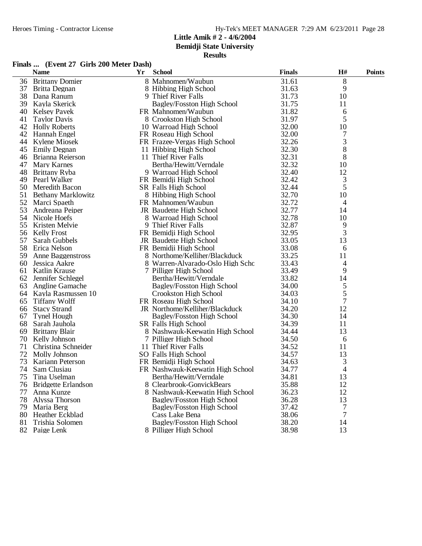**Bemidji State University**

# **Results**

# **Finals ... (Event 27 Girls 200 Meter Dash)**

|    | <b>Name</b>                | Yr | <b>School</b>                     | <b>Finals</b> | H#            | <b>Points</b> |
|----|----------------------------|----|-----------------------------------|---------------|---------------|---------------|
| 36 | <b>Brittany Domier</b>     |    | 8 Mahnomen/Waubun                 | 31.61         | 8             |               |
| 37 | Britta Degnan              |    | 8 Hibbing High School             | 31.63         | 9             |               |
| 38 | Dana Ranum                 |    | 9 Thief River Falls               | 31.73         | 10            |               |
| 39 | Kayla Skerick              |    | Bagley/Fosston High School        | 31.75         | 11            |               |
| 40 | <b>Kelsey Pavek</b>        |    | FR Mahnomen/Waubun                | 31.82         | 6             |               |
| 41 | <b>Taylor Davis</b>        |    | 8 Crookston High School           | 31.97         | 5             |               |
| 42 | <b>Holly Roberts</b>       |    | 10 Warroad High School            | 32.00         | 10            |               |
| 42 | Hannah Engel               |    | FR Roseau High School             | 32.00         | 7             |               |
| 44 | Kylene Miosek              |    | FR Frazee-Vergas High School      | 32.26         | 3             |               |
| 45 | <b>Emily Degnan</b>        |    | 11 Hibbing High School            | 32.30         | 8             |               |
| 46 | <b>Brianna Reierson</b>    |    | 11 Thief River Falls              | 32.31         | 8             |               |
| 47 | <b>Mary Karnes</b>         |    | Bertha/Hewitt/Verndale            | 32.32         | 10            |               |
| 48 | Brittany Ryba              |    | 9 Warroad High School             | 32.40         | 12            |               |
| 49 | Pearl Walker               |    | FR Bemidji High School            | 32.42         | 3             |               |
| 50 | Meredith Bacon             |    | SR Falls High School              | 32.44         | 5             |               |
| 51 | <b>Bethany Marklowitz</b>  |    | 8 Hibbing High School             | 32.70         | 10            |               |
|    | 52 Marci Spaeth            |    | FR Mahnomen/Waubun                | 32.72         | 4             |               |
| 53 | Andreana Peiper            |    | JR Baudette High School           | 32.77         | 14            |               |
| 54 | Nicole Hoefs               |    | 8 Warroad High School             | 32.78         | 10            |               |
| 55 | Kristen Melvie             |    | 9 Thief River Falls               | 32.87         | 9             |               |
| 56 | <b>Kelly Frost</b>         |    | FR Bemidji High School            | 32.95         | 3             |               |
| 57 | Sarah Gubbels              |    | JR Baudette High School           | 33.05         | 13            |               |
| 58 | Erica Nelson               |    | FR Bemidji High School            | 33.08         | 6             |               |
| 59 | Anne Baggenstross          |    | 8 Northome/Kelliher/Blackduck     | 33.25         | 11            |               |
| 60 | Jessica Aakre              |    | 8 Warren-Alvarado-Oslo High Scho  | 33.43         | 4             |               |
| 61 | Katlin Krause              |    | 7 Pilliger High School            | 33.49         | 9             |               |
| 62 | Jennifer Schlegel          |    | Bertha/Hewitt/Verndale            | 33.82         | 14            |               |
| 63 | <b>Angline Gamache</b>     |    | Bagley/Fosston High School        | 34.00         | 5             |               |
|    | 64 Kayla Rasmussen 10      |    | Crookston High School             | 34.03         |               |               |
| 65 | <b>Tiffany Wolff</b>       |    | FR Roseau High School             | 34.10         | $\frac{5}{7}$ |               |
| 66 | <b>Stacy Strand</b>        |    | JR Northome/Kelliher/Blackduck    | 34.20         | 12            |               |
| 67 | <b>Tynel Hough</b>         |    | Bagley/Fosston High School        | 34.30         | 14            |               |
| 68 | Sarah Jauhola              |    | SR Falls High School              | 34.39         | 11            |               |
| 69 | <b>Brittany Blair</b>      |    | 8 Nashwauk-Keewatin High School   | 34.44         | 13            |               |
| 70 | Kelly Johnson              |    | 7 Pilliger High School            | 34.50         | 6             |               |
| 71 | Christina Schneider        |    | 11 Thief River Falls              | 34.52         | 11            |               |
| 72 | Molly Johnson              |    | SO Falls High School              | 34.57         | 13            |               |
| 73 | Kariann Peterson           |    | FR Bemidji High School            | 34.63         | 3             |               |
| 74 | Sam Clusiau                |    | FR Nashwauk-Keewatin High School  | 34.77         | 4             |               |
| 75 | Tina Uselman               |    | Bertha/Hewitt/Verndale            | 34.81         | 13            |               |
| 76 | <b>Bridgette Erlandson</b> |    | 8 Clearbrook-GonvickBears         | 35.88         | 12            |               |
| 77 | Anna Kunze                 |    | 8 Nashwauk-Keewatin High School   | 36.23         | 12            |               |
| 78 | Alyssa Thorson             |    | <b>Bagley/Fosston High School</b> | 36.28         | 13            |               |
| 79 | Maria Berg                 |    | <b>Bagley/Fosston High School</b> | 37.42         | 7             |               |
| 80 | Heather Eckblad            |    | Cass Lake Bena                    | 38.06         | 7             |               |
| 81 | Trishia Solomen            |    | Bagley/Fosston High School        | 38.20         | 14            |               |
|    | 82 Paige Lenk              |    | 8 Pilliger High School            | 38.98         | 13            |               |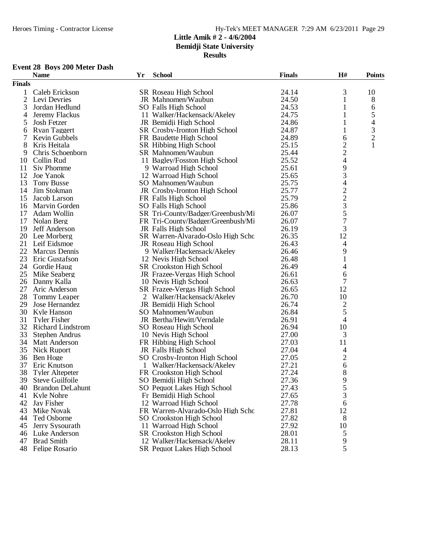**Bemidji State University**

**Results**

# **Event 28 Boys 200 Meter Dash**

|                | <b>Name</b>                        | Yr | <b>School</b>                                             | <b>Finals</b> | H#                                              | <b>Points</b>            |
|----------------|------------------------------------|----|-----------------------------------------------------------|---------------|-------------------------------------------------|--------------------------|
| <b>Finals</b>  |                                    |    |                                                           |               |                                                 |                          |
| 1              | Caleb Erickson                     |    | SR Roseau High School                                     | 24.14         | 3                                               | 10                       |
| $\overline{2}$ | Levi Devries                       |    | JR Mahnomen/Waubun                                        | 24.50         | 1                                               | 8                        |
| 3              | Jordan Hedlund                     |    | SO Falls High School                                      | 24.53         | 1                                               | 6                        |
| 4              | Jeremy Flackus                     |    | 11 Walker/Hackensack/Akeley                               | 24.75         | 1                                               | 5                        |
| 5              | Josh Fetzer                        |    | JR Bemidji High School                                    | 24.86         | 1                                               | $\overline{\mathcal{A}}$ |
| 6              | <b>Ryan Taggert</b>                |    | SR Crosby-Ironton High School                             | 24.87         | 1                                               | 3                        |
| 7              | Kevin Gubbels                      |    | FR Baudette High School                                   | 24.89         | 6                                               | $\overline{c}$           |
| 8              | Kris Heitala                       |    | SR Hibbing High School                                    | 25.15         | $\overline{c}$                                  | 1                        |
| 9              | Chris Schoenborn                   |    | SR Mahnomen/Waubun                                        | 25.44         | $\overline{c}$                                  |                          |
| 10             | Collin Rud                         |    | 11 Bagley/Fosston High School                             | 25.52         | $\overline{\mathcal{L}}$                        |                          |
| 11             | Siv Phomme                         |    | 9 Warroad High School                                     | 25.61         | 9                                               |                          |
| 12             | Joe Yanok                          |    | 12 Warroad High School                                    | 25.65         | 3                                               |                          |
| 13             | <b>Tony Busse</b>                  |    | SO Mahnomen/Waubun                                        | 25.75         | 4                                               |                          |
| 14             | Jim Stokman                        |    | JR Crosby-Ironton High School                             | 25.77         |                                                 |                          |
| 15             | Jacob Larson                       |    | FR Falls High School                                      | 25.79         |                                                 |                          |
| 16             | Marvin Gorden                      |    | SO Falls High School                                      | 25.86         |                                                 |                          |
| 17             | Adam Wollin                        |    | SR Tri-County/Badger/Greenbush/Mi                         | 26.07         | $\begin{array}{c} 2 \\ 2 \\ 3 \\ 5 \end{array}$ |                          |
| 17             |                                    |    |                                                           | 26.07         | $\overline{7}$                                  |                          |
| 19             | Nolan Berg<br><b>Jeff Anderson</b> |    | FR Tri-County/Badger/Greenbush/Mi<br>JR Falls High School | 26.19         | 3                                               |                          |
| 20             |                                    |    | SR Warren-Alvarado-Oslo High Scho                         | 26.35         | 12                                              |                          |
| 21             | Lee Morberg                        |    | JR Roseau High School                                     |               |                                                 |                          |
|                | Leif Eidsmoe                       |    |                                                           | 26.43         | 4                                               |                          |
| 22             | <b>Marcus Dennis</b>               |    | 9 Walker/Hackensack/Akeley                                | 26.46         | 9                                               |                          |
| 23             | Eric Gustafson                     |    | 12 Nevis High School                                      | 26.48         | $\mathbf{1}$                                    |                          |
| 24             | Gordie Haug                        |    | <b>SR</b> Crookston High School                           | 26.49         | 4                                               |                          |
| 25             | Mike Seaberg                       |    | JR Frazee-Vergas High School                              | 26.61         | 6                                               |                          |
| 26             | Danny Kalla                        |    | 10 Nevis High School                                      | 26.63         | 7                                               |                          |
| 27             | Aric Anderson                      |    | SR Frazee-Vergas High School                              | 26.65         | 12                                              |                          |
| 28             | <b>Tommy Leaper</b>                |    | 2 Walker/Hackensack/Akeley                                | 26.70         | 10                                              |                          |
| 29             | Jose Hernandez                     |    | JR Bemidji High School                                    | 26.74         | 2                                               |                          |
| 30             | Kyle Hanson                        |    | SO Mahnomen/Waubun                                        | 26.84         | 5                                               |                          |
| 31             | <b>Tyler Fisher</b>                |    | JR Bertha/Hewitt/Verndale                                 | 26.91         | 4                                               |                          |
|                | 32 Richard Lindstrom               |    | SO Roseau High School                                     | 26.94         | 10                                              |                          |
| 33             | Stephen Andrus                     |    | 10 Nevis High School                                      | 27.00         | 3                                               |                          |
| 34             | <b>Matt Anderson</b>               |    | FR Hibbing High School                                    | 27.03         | 11                                              |                          |
| 35             | Nick Ruport                        |    | JR Falls High School                                      | 27.04         | 4                                               |                          |
| 36             | Ben Hoge                           |    | SO Crosby-Ironton High School                             | 27.05         | $\overline{c}$                                  |                          |
| 37             | Eric Knutson                       |    | 1 Walker/Hackensack/Akeley                                | 27.21         | 6                                               |                          |
| 38             | Tyler Altepeter                    |    | FR Crookston High School                                  | 27.24         | 8                                               |                          |
|                | 39 Steve Guilfoile                 |    | SO Bemidji High School                                    | 27.36         | $\mathbf Q$                                     |                          |
| 40.            | <b>Brandon DeLahunt</b>            |    | SO Pequot Lakes High School                               | 27.43         | 5                                               |                          |
| 41             | Kyle Nohre                         |    | Fr Bemidji High School                                    | 27.65         | 3                                               |                          |
| 42             | Jay Fisher                         |    | 12 Warroad High School                                    | 27.78         | 6                                               |                          |
| 43             | Mike Novak                         |    | FR Warren-Alvarado-Oslo High Scho                         | 27.81         | 12                                              |                          |
| 44             | Ted Osborne                        |    | SO Crookston High School                                  | 27.82         | 8                                               |                          |
| 45             | Jerry Sysourath                    |    | 11 Warroad High School                                    | 27.92         | 10                                              |                          |
|                | 46 Luke Anderson                   |    | <b>SR</b> Crookston High School                           | 28.01         | 5                                               |                          |
| 47             | <b>Brad Smith</b>                  |    | 12 Walker/Hackensack/Akeley                               | 28.11         | 9                                               |                          |
|                | 48 Felipe Rosario                  |    | SR Pequot Lakes High School                               | 28.13         | 5                                               |                          |
|                |                                    |    |                                                           |               |                                                 |                          |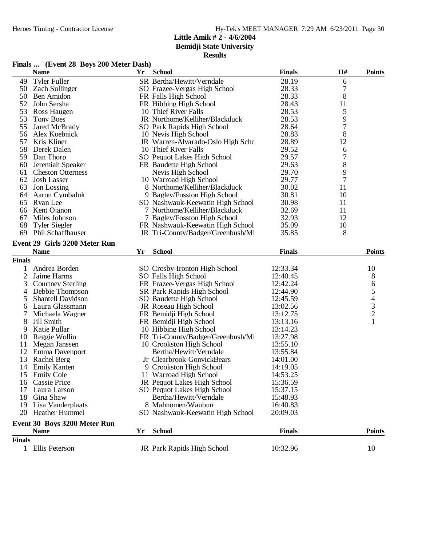**Bemidji State University**

|  | Finals  (Event 28 Boys 200 Meter Dash) |
|--|----------------------------------------|
|  |                                        |

|                | <b>Name</b>                   | Yr | <b>School</b>                     | <b>Finals</b> | $\mathbf{H}$ # | <b>Points</b>                  |
|----------------|-------------------------------|----|-----------------------------------|---------------|----------------|--------------------------------|
| 49             | <b>Tyler Fuller</b>           |    | SR Bertha/Hewitt/Verndale         | 28.19         | 6              |                                |
| 50             | <b>Zach Sullinger</b>         |    | SO Frazee-Vergas High School      | 28.33         | $\sqrt{ }$     |                                |
| 50             | Ben Amidon                    |    | FR Falls High School              | 28.33         | 8              |                                |
| 52             | John Sersha                   |    | FR Hibbing High School            | 28.43         | 11             |                                |
| 53             | Ross Haugen                   |    | 10 Thief River Falls              | 28.53         | 5              |                                |
| 53             | <b>Tony Boes</b>              |    | JR Northome/Kelliher/Blackduck    | 28.53         | 9              |                                |
| 55             | Jared McBrady                 |    | SO Park Rapids High School        | 28.64         | 7              |                                |
| 56             | Alex Koebnick                 |    | 10 Nevis High School              | 28.83         | 8              |                                |
| 57             | Kris Kliner                   |    | JR Warren-Alvarado-Oslo High Scho | 28.89         | 12             |                                |
| 58             | Derek Dalen                   |    | 10 Thief River Falls              | 29.52         | 6              |                                |
| 59             | Dan Thorp                     |    | SO Pequot Lakes High School       | 29.57         | 7              |                                |
| 60             | Jeremiah Speaker              |    | FR Baudette High School           | 29.63         | 8              |                                |
| 61             | <b>Cheston Otterness</b>      |    | Nevis High School                 | 29.70         | 9              |                                |
| 62             | <b>Josh Lasser</b>            |    | 10 Warroad High School            | 29.77         | 7              |                                |
| 63             | Jon Lossing                   |    | 8 Northome/Kelliher/Blackduck     | 30.02         | 11             |                                |
| 64             | Aaron Cymbaluk                |    | 9 Bagley/Fosston High School      | 30.81         | 10             |                                |
| 65             | Ryan Lee                      |    | SO Nashwauk-Keewatin High School  | 30.98         | 11             |                                |
| 66             | Kent Ojanon                   |    | 7 Northome/Kelliher/Blackduck     | 32.69         | 11             |                                |
| 67             | Miles Johnson                 |    | 7 Bagley/Fosston High School      | 32.93         | 12             |                                |
| 68             | <b>Tyler Siegler</b>          |    | FR Nashwauk-Keewatin High School  | 35.09         | 10             |                                |
| 69             | <b>Phil Schaffhauser</b>      |    | JR Tri-County/Badger/Greenbush/Mi | 35.85         | 8              |                                |
|                | Event 29 Girls 3200 Meter Run |    |                                   |               |                |                                |
|                | <b>Name</b>                   | Yr | <b>School</b>                     | <b>Finals</b> |                | <b>Points</b>                  |
| <b>Finals</b>  |                               |    |                                   |               |                |                                |
| 1              | Andrea Borden                 |    | SO Crosby-Ironton High School     | 12:33.34      |                | 10                             |
| $\overline{2}$ | Jaime Harms                   |    | SO Falls High School              | 12:40.45      |                | 8                              |
| 3              | <b>Courtney Sterling</b>      |    | FR Frazee-Vergas High School      | 12:42.24      |                | 6                              |
| 4              | Debbie Thompson               |    | <b>SR Park Rapids High School</b> | 12:44.90      |                |                                |
| 5              | <b>Shantell Davidson</b>      |    | SO Baudette High School           | 12:45.59      |                |                                |
| 6              | Laura Glassmann               |    | JR Roseau High School             | 13:02.56      |                | $\frac{5}{4}$<br>$\frac{3}{2}$ |
| 7              | Michaela Wagner               |    | FR Bemidji High School            | 13:12.75      |                |                                |
| 8              | Jill Smith                    |    | FR Bemidji High School            | 13:13.16      |                | $\mathbf{1}$                   |
| 9              | Katie Pullar                  |    | 10 Hibbing High School            | 13:14.23      |                |                                |
| 10             | Reggie Wollin                 |    | FR Tri-County/Badger/Greenbush/Mi | 13:27.98      |                |                                |
| 11             | Megan Janssen                 |    | 10 Crookston High School          | 13:55.10      |                |                                |
|                | 12 Emma Davenport             |    | Bertha/Hewitt/Verndale            | 13:55.84      |                |                                |
| 13             | Rachel Berg                   |    | Jr Clearbrook-GonvickBears        | 14:01.00      |                |                                |
| 14             | <b>Emily Kanten</b>           |    | 9 Crookston High School           | 14:19.05      |                |                                |
| 15             | <b>Emily Cole</b>             |    | 11 Warroad High School            | 14:53.25      |                |                                |
| 16             | Cassie Price                  |    | JR Pequot Lakes High School       | 15:36.59      |                |                                |
| 17             | Laura Larson                  |    | SO Pequot Lakes High School       | 15:37.15      |                |                                |
| 18             | Gina Shaw                     |    | Bertha/Hewitt/Verndale            | 15:48.93      |                |                                |
|                | 19 Lisa Vanderplaats          |    | 8 Mahnomen/Waubun                 | 16:40.83      |                |                                |
|                | 20 Heather Hummel             |    | SO Nashwauk-Keewatin High School  | 20:09.03      |                |                                |
|                | Event 30 Boys 3200 Meter Run  |    |                                   |               |                |                                |
|                | <b>Name</b>                   | Yr | <b>School</b>                     | <b>Finals</b> |                | <b>Points</b>                  |
| <b>Finals</b>  |                               |    |                                   |               |                |                                |
|                | 1 Ellis Peterson              |    | JR Park Rapids High School        | 10:32.96      |                | 10                             |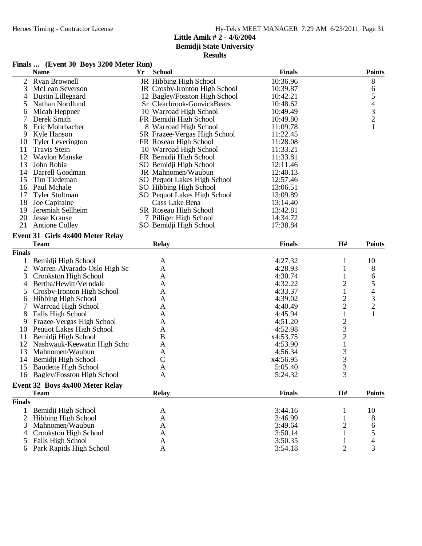**Bemidji State University**

|  | Finals  (Event 30 Boys 3200 Meter Run) |  |
|--|----------------------------------------|--|
|  |                                        |  |

|                | <b>Name</b>                      | Yr | <b>School</b>                 | <b>Finals</b> |                                            | <b>Points</b>                              |
|----------------|----------------------------------|----|-------------------------------|---------------|--------------------------------------------|--------------------------------------------|
| 2              | <b>Ryan Brownell</b>             |    | JR Hibbing High School        | 10:36.96      |                                            | 8                                          |
| 3              | <b>McLean Severson</b>           |    | JR Crosby-Ironton High School | 10:39.87      |                                            | 6                                          |
| 4              | Dustin Lillegaard                |    | 12 Bagley/Fosston High School | 10:42.21      |                                            | 5                                          |
| 5              | Nathan Nordlund                  |    | Sr Clearbrook-GonvickBears    | 10:48.62      |                                            |                                            |
| 6              | Micah Heppner                    |    | 10 Warroad High School        | 10:49.49      |                                            | $\begin{array}{c} 4 \\ 3 \\ 2 \end{array}$ |
| 7              | Derek Smith                      |    | FR Bemidji High School        | 10:49.80      |                                            |                                            |
| 8              | Eric Mohrbacher                  |    | 8 Warroad High School         | 11:09.78      |                                            | $\mathbf{1}$                               |
| 9              | Kyle Hanson                      |    | SR Frazee-Vergas High School  | 11:22.45      |                                            |                                            |
| 10             | <b>Tyler Leverington</b>         |    | FR Roseau High School         | 11:28.08      |                                            |                                            |
| 11             | <b>Travis Stein</b>              |    | 10 Warroad High School        | 11:33.21      |                                            |                                            |
| 12             | <b>Waylon Manske</b>             |    | FR Bemidji High School        | 11:33.81      |                                            |                                            |
| 13             | John Robia                       |    | SO Bemidji High School        | 12:11.46      |                                            |                                            |
| 14             | Darrell Goodman                  |    | JR Mahnomen/Waubun            | 12:40.13      |                                            |                                            |
| 15             | Tim Tiedeman                     |    | SO Pequot Lakes High School   | 12:57.46      |                                            |                                            |
| 16             | Paul Mchale                      |    | SO Hibbing High School        | 13:06.51      |                                            |                                            |
| 17             | <b>Tyler Stoltman</b>            |    | SO Pequot Lakes High School   | 13:09.89      |                                            |                                            |
| 18             | Joe Capitaine                    |    | Cass Lake Bena                | 13:14.40      |                                            |                                            |
| 19             | Jeremiah Sellheim                |    | <b>SR Roseau High School</b>  | 13:42.81      |                                            |                                            |
| 20             | <b>Jesse Krause</b>              |    | 7 Pilliger High School        | 14:34.72      |                                            |                                            |
| 21             | <b>Antione Colley</b>            |    | SO Bemidji High School        | 17:38.84      |                                            |                                            |
|                | Event 31 Girls 4x400 Meter Relay |    |                               |               |                                            |                                            |
|                | <b>Team</b>                      |    |                               | <b>Finals</b> |                                            | <b>Points</b>                              |
|                |                                  |    | <b>Relay</b>                  |               | H#                                         |                                            |
| <b>Finals</b>  |                                  |    |                               |               |                                            |                                            |
| 1              | Bemidji High School              |    | A                             | 4:27.32       | 1                                          | 10                                         |
| $\overline{2}$ | Warren-Alvarado-Oslo High Sc     |    | A                             | 4:28.93       | 1                                          | 8                                          |
| 3              | Crookston High School            |    | A                             | 4:30.74       | 1                                          | 6                                          |
| 4              | Bertha/Hewitt/Verndale           |    | A                             | 4:32.22       | $\overline{2}$                             | 5                                          |
| 5              | Crosby-Ironton High School       |    | A                             | 4:33.37       | $\mathbf{1}$                               | 4                                          |
| 6              | <b>Hibbing High School</b>       |    | A                             | 4:39.02       | $\overline{c}$                             | 3                                          |
| 7              | Warroad High School              |    | A                             | 4:40.49       | $\overline{2}$                             | $\overline{2}$                             |
| 8              | Falls High School                |    | A                             | 4:45.94       | 1                                          | 1                                          |
| 9              | Frazee-Vergas High School        |    | A                             | 4:51.20       | $\frac{2}{3}$                              |                                            |
| 10             | Pequot Lakes High School         |    | A                             | 4:52.98       |                                            |                                            |
| 11             | Bemidji High School              |    | $\bf{B}$                      | x4:53.75      | $\frac{2}{1}$                              |                                            |
| 12             | Nashwauk-Keewatin High Scho      |    | A                             | 4:53.90       |                                            |                                            |
| 13             | Mahnomen/Waubun                  |    | A                             | 4:56.34       | $\begin{array}{c} 3 \\ 3 \\ 3 \end{array}$ |                                            |
| 14             | Bemidji High School              |    | $\mathbf C$                   | x4:56.95      |                                            |                                            |
| 15             | <b>Baudette High School</b>      |    | A                             | 5:05.40       |                                            |                                            |
| 16             | Bagley/Fosston High School       |    | A                             | 5:24.32       |                                            |                                            |
|                | Event 32 Boys 4x400 Meter Relay  |    |                               |               |                                            |                                            |
|                | <b>Team</b>                      |    | <b>Relay</b>                  | <b>Finals</b> | H#                                         | <b>Points</b>                              |
| <b>Finals</b>  |                                  |    |                               |               |                                            |                                            |
| 1              | Bemidji High School              |    | A                             | 3:44.16       |                                            | 10                                         |
| 2              | <b>Hibbing High School</b>       |    | A                             | 3:46.99       |                                            | 8                                          |
| 3              | Mahnomen/Waubun                  |    | A                             | 3:49.64       | 2                                          | 6                                          |
| 4              | Crookston High School            |    | A                             | 3:50.14       | 1                                          | 5                                          |
| 5              | <b>Falls High School</b>         |    | A                             | 3:50.35       | 1                                          | 4                                          |
| 6              | Park Rapids High School          |    | A                             | 3:54.18       | $\overline{2}$                             | 3                                          |
|                |                                  |    |                               |               |                                            |                                            |